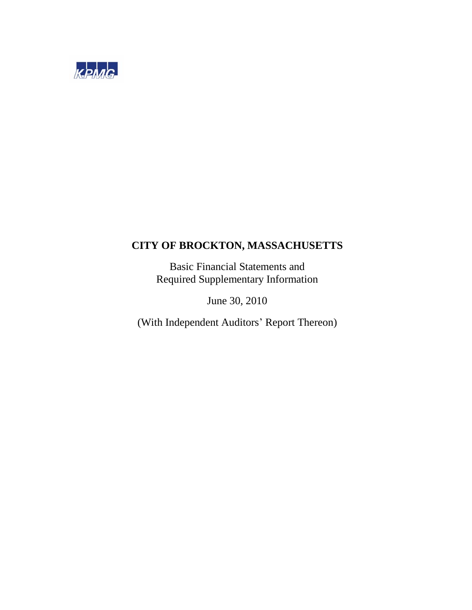

Basic Financial Statements and Required Supplementary Information

June 30, 2010

(With Independent Auditors' Report Thereon)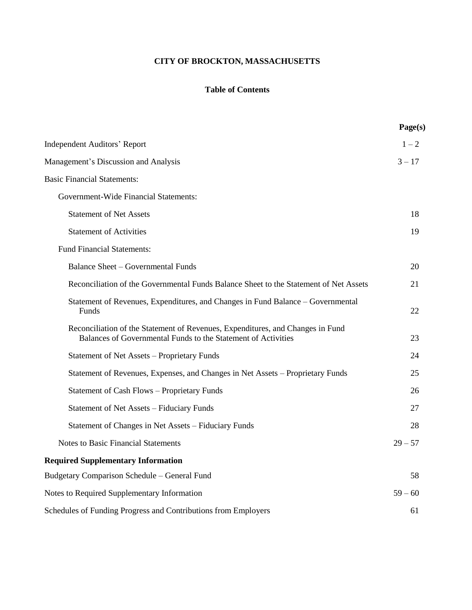### **Table of Contents**

|                                                                                                                                                 | Page(s)   |
|-------------------------------------------------------------------------------------------------------------------------------------------------|-----------|
| <b>Independent Auditors' Report</b>                                                                                                             | $1 - 2$   |
| Management's Discussion and Analysis                                                                                                            | $3 - 17$  |
| <b>Basic Financial Statements:</b>                                                                                                              |           |
| Government-Wide Financial Statements:                                                                                                           |           |
| <b>Statement of Net Assets</b>                                                                                                                  | 18        |
| <b>Statement of Activities</b>                                                                                                                  | 19        |
| <b>Fund Financial Statements:</b>                                                                                                               |           |
| <b>Balance Sheet - Governmental Funds</b>                                                                                                       | 20        |
| Reconciliation of the Governmental Funds Balance Sheet to the Statement of Net Assets                                                           | 21        |
| Statement of Revenues, Expenditures, and Changes in Fund Balance – Governmental<br>Funds                                                        | 22        |
| Reconciliation of the Statement of Revenues, Expenditures, and Changes in Fund<br>Balances of Governmental Funds to the Statement of Activities | 23        |
| Statement of Net Assets – Proprietary Funds                                                                                                     | 24        |
| Statement of Revenues, Expenses, and Changes in Net Assets – Proprietary Funds                                                                  | 25        |
| Statement of Cash Flows - Proprietary Funds                                                                                                     | 26        |
| Statement of Net Assets - Fiduciary Funds                                                                                                       | 27        |
| Statement of Changes in Net Assets – Fiduciary Funds                                                                                            | 28        |
| <b>Notes to Basic Financial Statements</b>                                                                                                      | $29 - 57$ |
| <b>Required Supplementary Information</b>                                                                                                       |           |
| Budgetary Comparison Schedule – General Fund                                                                                                    | 58        |
| Notes to Required Supplementary Information                                                                                                     | $59 - 60$ |
| Schedules of Funding Progress and Contributions from Employers                                                                                  | 61        |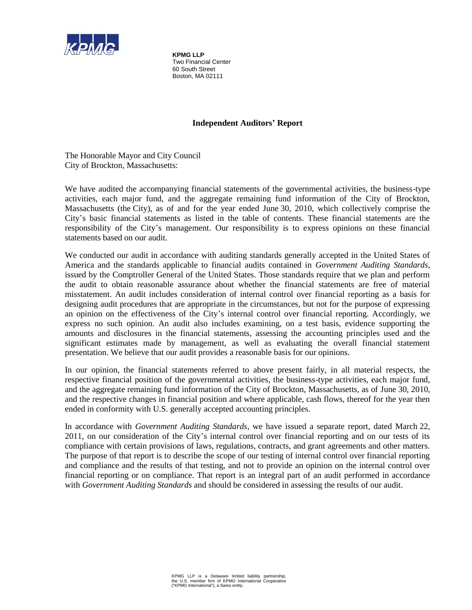

**KPMG LLP**  Two Financial Center 60 South Street Boston, MA 02111

### **Independent Auditors' Report**

The Honorable Mayor and City Council City of Brockton, Massachusetts:

We have audited the accompanying financial statements of the governmental activities, the business-type activities, each major fund, and the aggregate remaining fund information of the City of Brockton, Massachusetts (the City), as of and for the year ended June 30, 2010, which collectively comprise the City's basic financial statements as listed in the table of contents. These financial statements are the responsibility of the City's management. Our responsibility is to express opinions on these financial statements based on our audit.

We conducted our audit in accordance with auditing standards generally accepted in the United States of America and the standards applicable to financial audits contained in *Government Auditing Standards*, issued by the Comptroller General of the United States. Those standards require that we plan and perform the audit to obtain reasonable assurance about whether the financial statements are free of material misstatement. An audit includes consideration of internal control over financial reporting as a basis for designing audit procedures that are appropriate in the circumstances, but not for the purpose of expressing an opinion on the effectiveness of the City's internal control over financial reporting. Accordingly, we express no such opinion. An audit also includes examining, on a test basis, evidence supporting the amounts and disclosures in the financial statements, assessing the accounting principles used and the significant estimates made by management, as well as evaluating the overall financial statement presentation. We believe that our audit provides a reasonable basis for our opinions.

In our opinion, the financial statements referred to above present fairly, in all material respects, the respective financial position of the governmental activities, the business-type activities, each major fund, and the aggregate remaining fund information of the City of Brockton, Massachusetts, as of June 30, 2010, and the respective changes in financial position and where applicable, cash flows, thereof for the year then ended in conformity with U.S. generally accepted accounting principles.

In accordance with *Government Auditing Standards*, we have issued a separate report, dated March 22, 2011, on our consideration of the City's internal control over financial reporting and on our tests of its compliance with certain provisions of laws, regulations, contracts, and grant agreements and other matters. The purpose of that report is to describe the scope of our testing of internal control over financial reporting and compliance and the results of that testing, and not to provide an opinion on the internal control over financial reporting or on compliance. That report is an integral part of an audit performed in accordance with *Government Auditing Standards* and should be considered in assessing the results of our audit.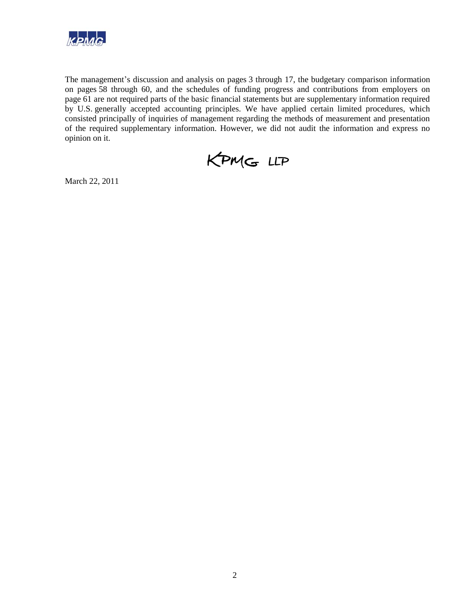

The management's discussion and analysis on pages 3 through 17, the budgetary comparison information on pages 58 through 60, and the schedules of funding progress and contributions from employers on page 61 are not required parts of the basic financial statements but are supplementary information required by U.S. generally accepted accounting principles. We have applied certain limited procedures, which consisted principally of inquiries of management regarding the methods of measurement and presentation of the required supplementary information. However, we did not audit the information and express no opinion on it.

KPMG LLP

March 22, 2011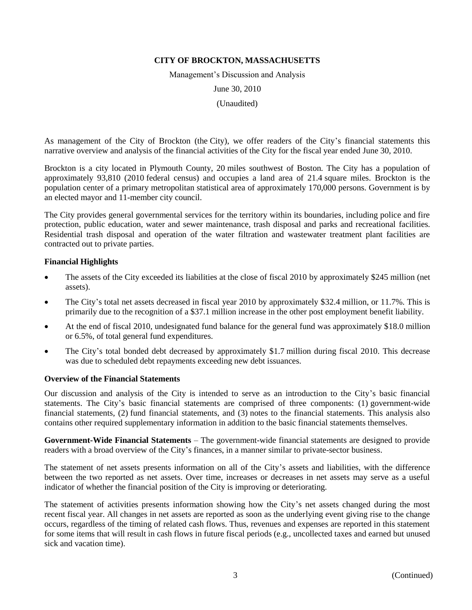Management's Discussion and Analysis

June 30, 2010

(Unaudited)

As management of the City of Brockton (the City), we offer readers of the City's financial statements this narrative overview and analysis of the financial activities of the City for the fiscal year ended June 30, 2010.

Brockton is a city located in Plymouth County, 20 miles southwest of Boston. The City has a population of approximately 93,810 (2010 federal census) and occupies a land area of 21.4 square miles. Brockton is the population center of a primary metropolitan statistical area of approximately 170,000 persons. Government is by an elected mayor and 11-member city council.

The City provides general governmental services for the territory within its boundaries, including police and fire protection, public education, water and sewer maintenance, trash disposal and parks and recreational facilities. Residential trash disposal and operation of the water filtration and wastewater treatment plant facilities are contracted out to private parties.

#### **Financial Highlights**

- The assets of the City exceeded its liabilities at the close of fiscal 2010 by approximately \$245 million (net assets).
- The City's total net assets decreased in fiscal year 2010 by approximately \$32.4 million, or 11.7%. This is primarily due to the recognition of a \$37.1 million increase in the other post employment benefit liability.
- At the end of fiscal 2010, undesignated fund balance for the general fund was approximately \$18.0 million or 6.5%, of total general fund expenditures.
- The City's total bonded debt decreased by approximately \$1.7 million during fiscal 2010. This decrease was due to scheduled debt repayments exceeding new debt issuances.

#### **Overview of the Financial Statements**

Our discussion and analysis of the City is intended to serve as an introduction to the City's basic financial statements. The City's basic financial statements are comprised of three components: (1) government-wide financial statements, (2) fund financial statements, and (3) notes to the financial statements. This analysis also contains other required supplementary information in addition to the basic financial statements themselves.

**Government-Wide Financial Statements** – The government-wide financial statements are designed to provide readers with a broad overview of the City's finances, in a manner similar to private-sector business.

The statement of net assets presents information on all of the City's assets and liabilities, with the difference between the two reported as net assets. Over time, increases or decreases in net assets may serve as a useful indicator of whether the financial position of the City is improving or deteriorating.

The statement of activities presents information showing how the City's net assets changed during the most recent fiscal year. All changes in net assets are reported as soon as the underlying event giving rise to the change occurs, regardless of the timing of related cash flows. Thus, revenues and expenses are reported in this statement for some items that will result in cash flows in future fiscal periods (e.g., uncollected taxes and earned but unused sick and vacation time).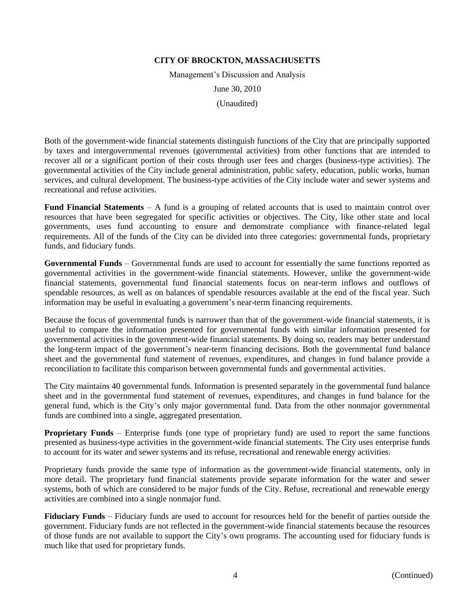Management's Discussion and Analysis

June 30, 2010

(Unaudited)

Both of the government-wide financial statements distinguish functions of the City that are principally supported by taxes and intergovernmental revenues (governmental activities) from other functions that are intended to recover all or a significant portion of their costs through user fees and charges (business-type activities). The governmental activities of the City include general administration, public safety, education, public works, human services, and cultural development. The business-type activities of the City include water and sewer systems and recreational and refuse activities.

**Fund Financial Statements** – A fund is a grouping of related accounts that is used to maintain control over resources that have been segregated for specific activities or objectives. The City, like other state and local governments, uses fund accounting to ensure and demonstrate compliance with finance-related legal requirements. All of the funds of the City can be divided into three categories: governmental funds, proprietary funds, and fiduciary funds.

**Governmental Funds** – Governmental funds are used to account for essentially the same functions reported as governmental activities in the government-wide financial statements. However, unlike the government-wide financial statements, governmental fund financial statements focus on near-term inflows and outflows of spendable resources, as well as on balances of spendable resources available at the end of the fiscal year. Such information may be useful in evaluating a government's near-term financing requirements.

Because the focus of governmental funds is narrower than that of the government-wide financial statements, it is useful to compare the information presented for governmental funds with similar information presented for governmental activities in the government-wide financial statements. By doing so, readers may better understand the long-term impact of the government's near-term financing decisions. Both the governmental fund balance sheet and the governmental fund statement of revenues, expenditures, and changes in fund balance provide a reconciliation to facilitate this comparison between governmental funds and governmental activities.

The City maintains 40 governmental funds. Information is presented separately in the governmental fund balance sheet and in the governmental fund statement of revenues, expenditures, and changes in fund balance for the general fund, which is the City's only major governmental fund. Data from the other nonmajor governmental funds are combined into a single, aggregated presentation.

**Proprietary Funds** – Enterprise funds (one type of proprietary fund) are used to report the same functions presented as business-type activities in the government-wide financial statements. The City uses enterprise funds to account for its water and sewer systems and its refuse, recreational and renewable energy activities.

Proprietary funds provide the same type of information as the government-wide financial statements, only in more detail. The proprietary fund financial statements provide separate information for the water and sewer systems, both of which are considered to be major funds of the City. Refuse, recreational and renewable energy activities are combined into a single nonmajor fund.

**Fiduciary Funds** – Fiduciary funds are used to account for resources held for the benefit of parties outside the government. Fiduciary funds are not reflected in the government-wide financial statements because the resources of those funds are not available to support the City's own programs. The accounting used for fiduciary funds is much like that used for proprietary funds.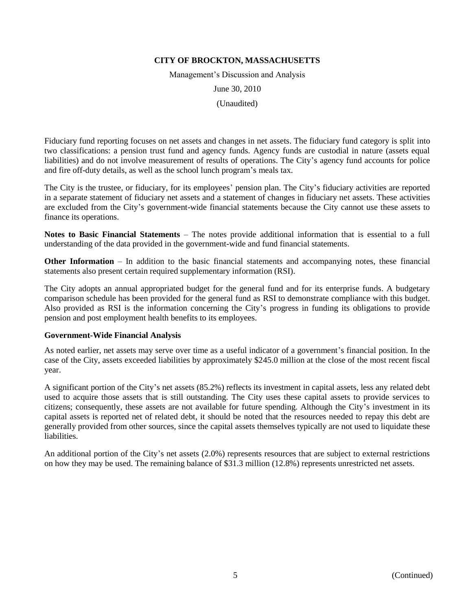Management's Discussion and Analysis

June 30, 2010

(Unaudited)

Fiduciary fund reporting focuses on net assets and changes in net assets. The fiduciary fund category is split into two classifications: a pension trust fund and agency funds. Agency funds are custodial in nature (assets equal liabilities) and do not involve measurement of results of operations. The City's agency fund accounts for police and fire off-duty details, as well as the school lunch program's meals tax.

The City is the trustee, or fiduciary, for its employees' pension plan. The City's fiduciary activities are reported in a separate statement of fiduciary net assets and a statement of changes in fiduciary net assets. These activities are excluded from the City's government-wide financial statements because the City cannot use these assets to finance its operations.

**Notes to Basic Financial Statements** – The notes provide additional information that is essential to a full understanding of the data provided in the government-wide and fund financial statements.

**Other Information** – In addition to the basic financial statements and accompanying notes, these financial statements also present certain required supplementary information (RSI).

The City adopts an annual appropriated budget for the general fund and for its enterprise funds. A budgetary comparison schedule has been provided for the general fund as RSI to demonstrate compliance with this budget. Also provided as RSI is the information concerning the City's progress in funding its obligations to provide pension and post employment health benefits to its employees.

#### **Government-Wide Financial Analysis**

As noted earlier, net assets may serve over time as a useful indicator of a government's financial position. In the case of the City, assets exceeded liabilities by approximately \$245.0 million at the close of the most recent fiscal year.

A significant portion of the City's net assets (85.2%) reflects its investment in capital assets, less any related debt used to acquire those assets that is still outstanding. The City uses these capital assets to provide services to citizens; consequently, these assets are not available for future spending. Although the City's investment in its capital assets is reported net of related debt, it should be noted that the resources needed to repay this debt are generally provided from other sources, since the capital assets themselves typically are not used to liquidate these liabilities.

An additional portion of the City's net assets (2.0%) represents resources that are subject to external restrictions on how they may be used. The remaining balance of \$31.3 million (12.8%) represents unrestricted net assets.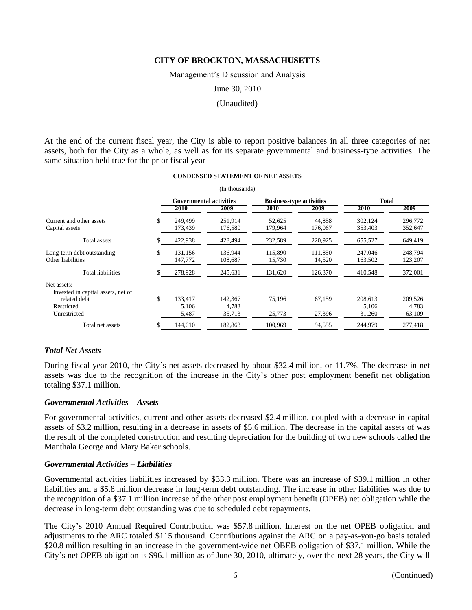Management's Discussion and Analysis

June 30, 2010

(Unaudited)

At the end of the current fiscal year, the City is able to report positive balances in all three categories of net assets, both for the City as a whole, as well as for its separate governmental and business-type activities. The same situation held true for the prior fiscal year

#### **CONDENSED STATEMENT OF NET ASSETS** (In thousands)

|                                                   |    | <b>Governmental activities</b> |                            | <b>Business-type activities</b> |                   | <b>Total</b>               |                            |  |
|---------------------------------------------------|----|--------------------------------|----------------------------|---------------------------------|-------------------|----------------------------|----------------------------|--|
|                                                   |    | 2010                           | 2009                       | <b>2010</b>                     | 2009              | 2010                       | 2009                       |  |
| Current and other assets<br>Capital assets        | \$ | 249,499<br>173,439             | 251.914<br>176,580         | 52.625<br>179,964               | 44.858<br>176,067 | 302.124<br>353,403         | 296,772<br>352,647         |  |
| Total assets                                      | \$ | 422,938                        | 428,494                    | 232,589                         | 220,925           | 655,527                    | 649,419                    |  |
| Long-term debt outstanding<br>Other liabilities   | \$ | 131,156<br>147,772             | 136.944<br>108,687         | 115,890<br>15,730               | 111.850<br>14,520 | 247,046<br>163,502         | 248,794<br>123,207         |  |
| Total liabilities                                 | \$ | 278,928                        | 245,631                    | 131,620                         | 126,370           | 410,548                    | 372,001                    |  |
| Net assets:<br>Invested in capital assets, net of |    |                                |                            |                                 |                   |                            |                            |  |
| related debt<br>Restricted<br>Unrestricted        | \$ | 133.417<br>5,106<br>5,487      | 142,367<br>4.783<br>35,713 | 75.196<br>25,773                | 67,159<br>27,396  | 208,613<br>5.106<br>31,260 | 209,526<br>4.783<br>63,109 |  |
| Total net assets                                  | S  | 144.010                        | 182,863                    | 100.969                         | 94,555            | 244,979                    | 277,418                    |  |

#### *Total Net Assets*

During fiscal year 2010, the City's net assets decreased by about \$32.4 million, or 11.7%. The decrease in net assets was due to the recognition of the increase in the City's other post employment benefit net obligation totaling \$37.1 million.

#### *Governmental Activities – Assets*

For governmental activities, current and other assets decreased \$2.4 million, coupled with a decrease in capital assets of \$3.2 million, resulting in a decrease in assets of \$5.6 million. The decrease in the capital assets of was the result of the completed construction and resulting depreciation for the building of two new schools called the Manthala George and Mary Baker schools.

#### *Governmental Activities – Liabilities*

Governmental activities liabilities increased by \$33.3 million. There was an increase of \$39.1 million in other liabilities and a \$5.8 million decrease in long-term debt outstanding. The increase in other liabilities was due to the recognition of a \$37.1 million increase of the other post employment benefit (OPEB) net obligation while the decrease in long-term debt outstanding was due to scheduled debt repayments.

The City's 2010 Annual Required Contribution was \$57.8 million. Interest on the net OPEB obligation and adjustments to the ARC totaled \$115 thousand. Contributions against the ARC on a pay-as-you-go basis totaled \$20.8 million resulting in an increase in the government-wide net OBEB obligation of \$37.1 million. While the City's net OPEB obligation is \$96.1 million as of June 30, 2010, ultimately, over the next 28 years, the City will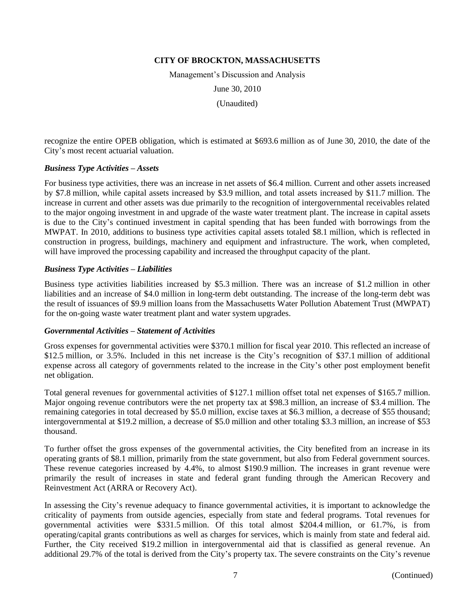Management's Discussion and Analysis

June 30, 2010

(Unaudited)

recognize the entire OPEB obligation, which is estimated at \$693.6 million as of June 30, 2010, the date of the City's most recent actuarial valuation.

#### *Business Type Activities – Assets*

For business type activities, there was an increase in net assets of \$6.4 million. Current and other assets increased by \$7.8 million, while capital assets increased by \$3.9 million, and total assets increased by \$11.7 million. The increase in current and other assets was due primarily to the recognition of intergovernmental receivables related to the major ongoing investment in and upgrade of the waste water treatment plant. The increase in capital assets is due to the City's continued investment in capital spending that has been funded with borrowings from the MWPAT. In 2010, additions to business type activities capital assets totaled \$8.1 million, which is reflected in construction in progress, buildings, machinery and equipment and infrastructure. The work, when completed, will have improved the processing capability and increased the throughput capacity of the plant.

#### *Business Type Activities – Liabilities*

Business type activities liabilities increased by \$5.3 million. There was an increase of \$1.2 million in other liabilities and an increase of \$4.0 million in long-term debt outstanding. The increase of the long-term debt was the result of issuances of \$9.9 million loans from the Massachusetts Water Pollution Abatement Trust (MWPAT) for the on-going waste water treatment plant and water system upgrades.

#### *Governmental Activities – Statement of Activities*

Gross expenses for governmental activities were \$370.1 million for fiscal year 2010. This reflected an increase of \$12.5 million, or 3.5%. Included in this net increase is the City's recognition of \$37.1 million of additional expense across all category of governments related to the increase in the City's other post employment benefit net obligation.

Total general revenues for governmental activities of \$127.1 million offset total net expenses of \$165.7 million. Major ongoing revenue contributors were the net property tax at \$98.3 million, an increase of \$3.4 million. The remaining categories in total decreased by \$5.0 million, excise taxes at \$6.3 million, a decrease of \$55 thousand; intergovernmental at \$19.2 million, a decrease of \$5.0 million and other totaling \$3.3 million, an increase of \$53 thousand.

To further offset the gross expenses of the governmental activities, the City benefited from an increase in its operating grants of \$8.1 million, primarily from the state government, but also from Federal government sources. These revenue categories increased by 4.4%, to almost \$190.9 million. The increases in grant revenue were primarily the result of increases in state and federal grant funding through the American Recovery and Reinvestment Act (ARRA or Recovery Act).

In assessing the City's revenue adequacy to finance governmental activities, it is important to acknowledge the criticality of payments from outside agencies, especially from state and federal programs. Total revenues for governmental activities were \$331.5 million. Of this total almost \$204.4 million, or 61.7%, is from operating/capital grants contributions as well as charges for services, which is mainly from state and federal aid. Further, the City received \$19.2 million in intergovernmental aid that is classified as general revenue. An additional 29.7% of the total is derived from the City's property tax. The severe constraints on the City's revenue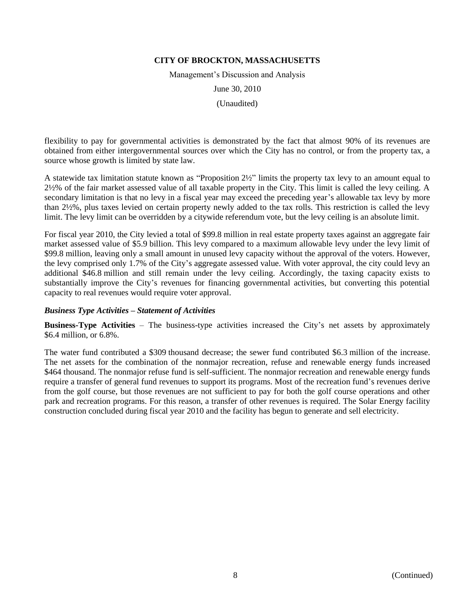Management's Discussion and Analysis

June 30, 2010

(Unaudited)

flexibility to pay for governmental activities is demonstrated by the fact that almost 90% of its revenues are obtained from either intergovernmental sources over which the City has no control, or from the property tax, a source whose growth is limited by state law.

A statewide tax limitation statute known as "Proposition 2½" limits the property tax levy to an amount equal to 2½% of the fair market assessed value of all taxable property in the City. This limit is called the levy ceiling. A secondary limitation is that no levy in a fiscal year may exceed the preceding year's allowable tax levy by more than 2½%, plus taxes levied on certain property newly added to the tax rolls. This restriction is called the levy limit. The levy limit can be overridden by a citywide referendum vote, but the levy ceiling is an absolute limit.

For fiscal year 2010, the City levied a total of \$99.8 million in real estate property taxes against an aggregate fair market assessed value of \$5.9 billion. This levy compared to a maximum allowable levy under the levy limit of \$99.8 million, leaving only a small amount in unused levy capacity without the approval of the voters. However, the levy comprised only 1.7% of the City's aggregate assessed value. With voter approval, the city could levy an additional \$46.8 million and still remain under the levy ceiling. Accordingly, the taxing capacity exists to substantially improve the City's revenues for financing governmental activities, but converting this potential capacity to real revenues would require voter approval.

#### *Business Type Activities – Statement of Activities*

**Business-Type Activities** – The business-type activities increased the City's net assets by approximately \$6.4 million, or 6.8%.

The water fund contributed a \$309 thousand decrease; the sewer fund contributed \$6.3 million of the increase. The net assets for the combination of the nonmajor recreation, refuse and renewable energy funds increased \$464 thousand. The nonmajor refuse fund is self-sufficient. The nonmajor recreation and renewable energy funds require a transfer of general fund revenues to support its programs. Most of the recreation fund's revenues derive from the golf course, but those revenues are not sufficient to pay for both the golf course operations and other park and recreation programs. For this reason, a transfer of other revenues is required. The Solar Energy facility construction concluded during fiscal year 2010 and the facility has begun to generate and sell electricity.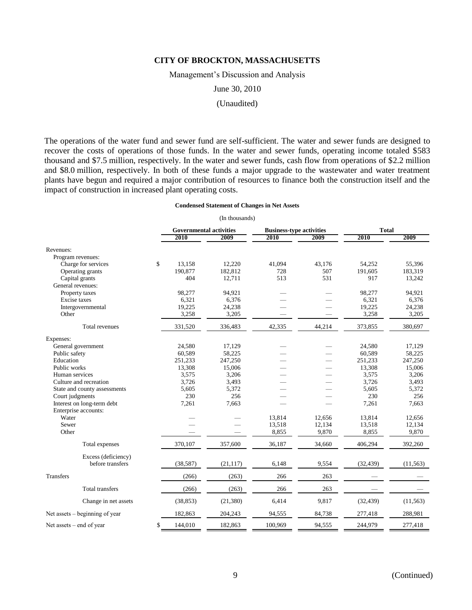Management's Discussion and Analysis

June 30, 2010

#### (Unaudited)

The operations of the water fund and sewer fund are self-sufficient. The water and sewer funds are designed to recover the costs of operations of those funds. In the water and sewer funds, operating income totaled \$583 thousand and \$7.5 million, respectively. In the water and sewer funds, cash flow from operations of \$2.2 million and \$8.0 million, respectively. In both of these funds a major upgrade to the wastewater and water treatment plants have begun and required a major contribution of resources to finance both the construction itself and the impact of construction in increased plant operating costs.

#### **Condensed Statement of Changes in Net Assets**

(In thousands)

|                                | <b>Governmental activities</b> |           | <b>Business-type activities</b> |        | <b>Total</b> |           |
|--------------------------------|--------------------------------|-----------|---------------------------------|--------|--------------|-----------|
|                                | 2010                           | 2009      | 2010                            | 2009   | 2010         | 2009      |
| Revenues:                      |                                |           |                                 |        |              |           |
| Program revenues:              |                                |           |                                 |        |              |           |
| \$<br>Charge for services      | 13,158                         | 12,220    | 41,094                          | 43,176 | 54,252       | 55,396    |
| Operating grants               | 190,877                        | 182,812   | 728                             | 507    | 191,605      | 183,319   |
| Capital grants                 | 404                            | 12,711    | 513                             | 531    | 917          | 13,242    |
| General revenues:              |                                |           |                                 |        |              |           |
| Property taxes                 | 98,277                         | 94,921    |                                 |        | 98,277       | 94,921    |
| Excise taxes                   | 6,321                          | 6,376     |                                 |        | 6,321        | 6,376     |
| Intergovernmental              | 19,225                         | 24,238    |                                 |        | 19,225       | 24,238    |
| Other                          | 3,258                          | 3,205     |                                 |        | 3,258        | 3,205     |
| Total revenues                 | 331,520                        | 336,483   | 42,335                          | 44,214 | 373,855      | 380,697   |
| Expenses:                      |                                |           |                                 |        |              |           |
| General government             | 24,580                         | 17,129    |                                 |        | 24,580       | 17,129    |
| Public safety                  | 60,589                         | 58,225    |                                 |        | 60,589       | 58,225    |
| Education                      | 251,233                        | 247,250   |                                 |        | 251,233      | 247,250   |
| Public works                   | 13,308                         | 15,006    |                                 |        | 13,308       | 15,006    |
| Human services                 | 3,575                          | 3,206     |                                 |        | 3,575        | 3,206     |
| Culture and recreation         | 3,726                          | 3,493     |                                 |        | 3,726        | 3,493     |
| State and county assessments   | 5,605                          | 5,372     |                                 |        | 5,605        | 5,372     |
| Court judgments                | 230                            | 256       |                                 |        | 230          | 256       |
| Interest on long-term debt     | 7,261                          | 7,663     |                                 |        | 7,261        | 7,663     |
| Enterprise accounts:           |                                |           |                                 |        |              |           |
| Water                          |                                |           | 13,814                          | 12,656 | 13,814       | 12,656    |
| Sewer                          |                                |           | 13,518                          | 12,134 | 13,518       | 12,134    |
| Other                          |                                |           | 8,855                           | 9.870  | 8,855        | 9,870     |
| Total expenses                 | 370,107                        | 357,600   | 36,187                          | 34,660 | 406,294      | 392,260   |
| Excess (deficiency)            |                                |           |                                 |        |              |           |
| before transfers               | (38, 587)                      | (21, 117) | 6,148                           | 9,554  | (32, 439)    | (11, 563) |
|                                |                                |           |                                 |        |              |           |
| Transfers                      | (266)                          | (263)     | 266                             | 263    |              |           |
| <b>Total transfers</b>         | (266)                          | (263)     | 266                             | 263    |              |           |
| Change in net assets           | (38, 853)                      | (21, 380) | 6,414                           | 9,817  | (32, 439)    | (11, 563) |
| Net assets – beginning of year | 182,863                        | 204,243   | 94,555                          | 84,738 | 277,418      | 288,981   |
| Net assets $-$ end of year     | \$<br>144,010                  | 182,863   | 100,969                         | 94,555 | 244,979      | 277,418   |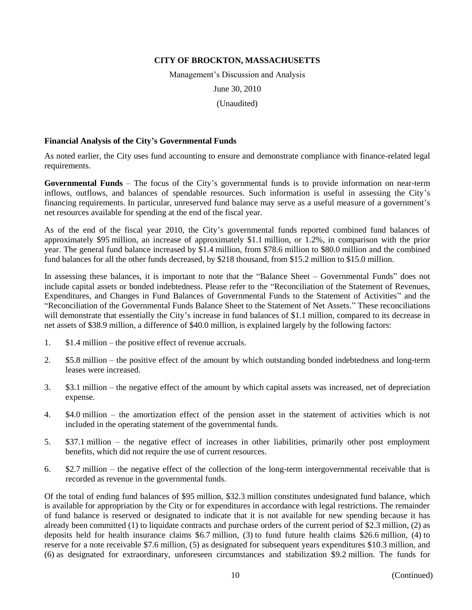Management's Discussion and Analysis

June 30, 2010

(Unaudited)

#### **Financial Analysis of the City's Governmental Funds**

As noted earlier, the City uses fund accounting to ensure and demonstrate compliance with finance-related legal requirements.

**Governmental Funds** – The focus of the City's governmental funds is to provide information on near-term inflows, outflows, and balances of spendable resources. Such information is useful in assessing the City's financing requirements. In particular, unreserved fund balance may serve as a useful measure of a government's net resources available for spending at the end of the fiscal year.

As of the end of the fiscal year 2010, the City's governmental funds reported combined fund balances of approximately \$95 million, an increase of approximately \$1.1 million, or 1.2%, in comparison with the prior year. The general fund balance increased by \$1.4 million, from \$78.6 million to \$80.0 million and the combined fund balances for all the other funds decreased, by \$218 thousand, from \$15.2 million to \$15.0 million.

In assessing these balances, it is important to note that the "Balance Sheet – Governmental Funds" does not include capital assets or bonded indebtedness. Please refer to the "Reconciliation of the Statement of Revenues, Expenditures, and Changes in Fund Balances of Governmental Funds to the Statement of Activities" and the ―Reconciliation of the Governmental Funds Balance Sheet to the Statement of Net Assets.‖ These reconciliations will demonstrate that essentially the City's increase in fund balances of \$1.1 million, compared to its decrease in net assets of \$38.9 million, a difference of \$40.0 million, is explained largely by the following factors:

- 1. \$1.4 million the positive effect of revenue accruals.
- 2. \$5.8 million the positive effect of the amount by which outstanding bonded indebtedness and long-term leases were increased.
- 3. \$3.1 million the negative effect of the amount by which capital assets was increased, net of depreciation expense.
- 4. \$4.0 million the amortization effect of the pension asset in the statement of activities which is not included in the operating statement of the governmental funds.
- 5. \$37.1 million the negative effect of increases in other liabilities, primarily other post employment benefits, which did not require the use of current resources.
- 6. \$2.7 million the negative effect of the collection of the long-term intergovernmental receivable that is recorded as revenue in the governmental funds.

Of the total of ending fund balances of \$95 million, \$32.3 million constitutes undesignated fund balance, which is available for appropriation by the City or for expenditures in accordance with legal restrictions. The remainder of fund balance is reserved or designated to indicate that it is not available for new spending because it has already been committed (1) to liquidate contracts and purchase orders of the current period of \$2.3 million, (2) as deposits held for health insurance claims \$6.7 million, (3) to fund future health claims \$26.6 million, (4) to reserve for a note receivable \$7.6 million, (5) as designated for subsequent years expenditures \$10.3 million, and (6) as designated for extraordinary, unforeseen circumstances and stabilization \$9.2 million. The funds for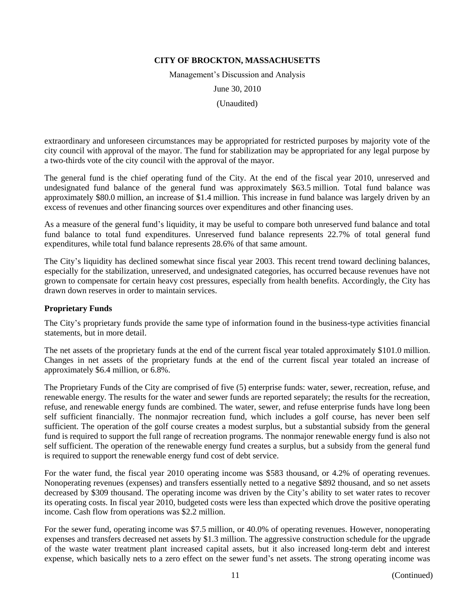Management's Discussion and Analysis

June 30, 2010

(Unaudited)

extraordinary and unforeseen circumstances may be appropriated for restricted purposes by majority vote of the city council with approval of the mayor. The fund for stabilization may be appropriated for any legal purpose by a two-thirds vote of the city council with the approval of the mayor.

The general fund is the chief operating fund of the City. At the end of the fiscal year 2010, unreserved and undesignated fund balance of the general fund was approximately \$63.5 million. Total fund balance was approximately \$80.0 million, an increase of \$1.4 million. This increase in fund balance was largely driven by an excess of revenues and other financing sources over expenditures and other financing uses.

As a measure of the general fund's liquidity, it may be useful to compare both unreserved fund balance and total fund balance to total fund expenditures. Unreserved fund balance represents 22.7% of total general fund expenditures, while total fund balance represents 28.6% of that same amount.

The City's liquidity has declined somewhat since fiscal year 2003. This recent trend toward declining balances, especially for the stabilization, unreserved, and undesignated categories, has occurred because revenues have not grown to compensate for certain heavy cost pressures, especially from health benefits. Accordingly, the City has drawn down reserves in order to maintain services.

#### **Proprietary Funds**

The City's proprietary funds provide the same type of information found in the business-type activities financial statements, but in more detail.

The net assets of the proprietary funds at the end of the current fiscal year totaled approximately \$101.0 million. Changes in net assets of the proprietary funds at the end of the current fiscal year totaled an increase of approximately \$6.4 million, or 6.8%.

The Proprietary Funds of the City are comprised of five (5) enterprise funds: water, sewer, recreation, refuse, and renewable energy. The results for the water and sewer funds are reported separately; the results for the recreation, refuse, and renewable energy funds are combined. The water, sewer, and refuse enterprise funds have long been self sufficient financially. The nonmajor recreation fund, which includes a golf course, has never been self sufficient. The operation of the golf course creates a modest surplus, but a substantial subsidy from the general fund is required to support the full range of recreation programs. The nonmajor renewable energy fund is also not self sufficient. The operation of the renewable energy fund creates a surplus, but a subsidy from the general fund is required to support the renewable energy fund cost of debt service.

For the water fund, the fiscal year 2010 operating income was \$583 thousand, or 4.2% of operating revenues. Nonoperating revenues (expenses) and transfers essentially netted to a negative \$892 thousand, and so net assets decreased by \$309 thousand. The operating income was driven by the City's ability to set water rates to recover its operating costs. In fiscal year 2010, budgeted costs were less than expected which drove the positive operating income. Cash flow from operations was \$2.2 million.

For the sewer fund, operating income was \$7.5 million, or 40.0% of operating revenues. However, nonoperating expenses and transfers decreased net assets by \$1.3 million. The aggressive construction schedule for the upgrade of the waste water treatment plant increased capital assets, but it also increased long-term debt and interest expense, which basically nets to a zero effect on the sewer fund's net assets. The strong operating income was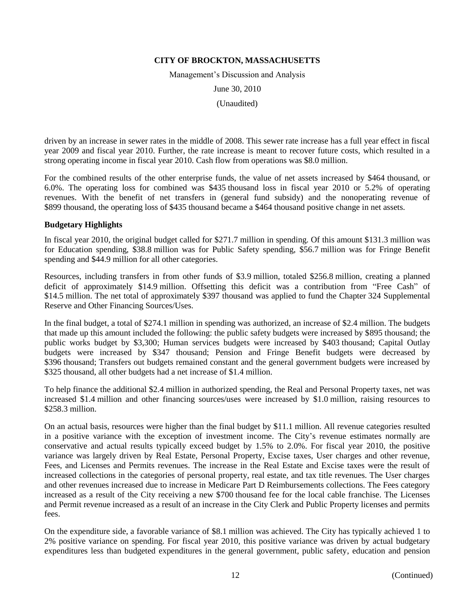Management's Discussion and Analysis

June 30, 2010

(Unaudited)

driven by an increase in sewer rates in the middle of 2008. This sewer rate increase has a full year effect in fiscal year 2009 and fiscal year 2010. Further, the rate increase is meant to recover future costs, which resulted in a strong operating income in fiscal year 2010. Cash flow from operations was \$8.0 million.

For the combined results of the other enterprise funds, the value of net assets increased by \$464 thousand, or 6.0%. The operating loss for combined was \$435 thousand loss in fiscal year 2010 or 5.2% of operating revenues. With the benefit of net transfers in (general fund subsidy) and the nonoperating revenue of \$899 thousand, the operating loss of \$435 thousand became a \$464 thousand positive change in net assets.

#### **Budgetary Highlights**

In fiscal year 2010, the original budget called for \$271.7 million in spending. Of this amount \$131.3 million was for Education spending, \$38.8 million was for Public Safety spending, \$56.7 million was for Fringe Benefit spending and \$44.9 million for all other categories.

Resources, including transfers in from other funds of \$3.9 million, totaled \$256.8 million, creating a planned deficit of approximately \$14.9 million. Offsetting this deficit was a contribution from "Free Cash" of \$14.5 million. The net total of approximately \$397 thousand was applied to fund the Chapter 324 Supplemental Reserve and Other Financing Sources/Uses.

In the final budget, a total of \$274.1 million in spending was authorized, an increase of \$2.4 million. The budgets that made up this amount included the following: the public safety budgets were increased by \$895 thousand; the public works budget by \$3,300; Human services budgets were increased by \$403 thousand; Capital Outlay budgets were increased by \$347 thousand; Pension and Fringe Benefit budgets were decreased by \$396 thousand; Transfers out budgets remained constant and the general government budgets were increased by \$325 thousand, all other budgets had a net increase of \$1.4 million.

To help finance the additional \$2.4 million in authorized spending, the Real and Personal Property taxes, net was increased \$1.4 million and other financing sources/uses were increased by \$1.0 million, raising resources to \$258.3 million.

On an actual basis, resources were higher than the final budget by \$11.1 million. All revenue categories resulted in a positive variance with the exception of investment income. The City's revenue estimates normally are conservative and actual results typically exceed budget by 1.5% to 2.0%. For fiscal year 2010, the positive variance was largely driven by Real Estate, Personal Property, Excise taxes, User charges and other revenue, Fees, and Licenses and Permits revenues. The increase in the Real Estate and Excise taxes were the result of increased collections in the categories of personal property, real estate, and tax title revenues. The User charges and other revenues increased due to increase in Medicare Part D Reimbursements collections. The Fees category increased as a result of the City receiving a new \$700 thousand fee for the local cable franchise. The Licenses and Permit revenue increased as a result of an increase in the City Clerk and Public Property licenses and permits fees.

On the expenditure side, a favorable variance of \$8.1 million was achieved. The City has typically achieved 1 to 2% positive variance on spending. For fiscal year 2010, this positive variance was driven by actual budgetary expenditures less than budgeted expenditures in the general government, public safety, education and pension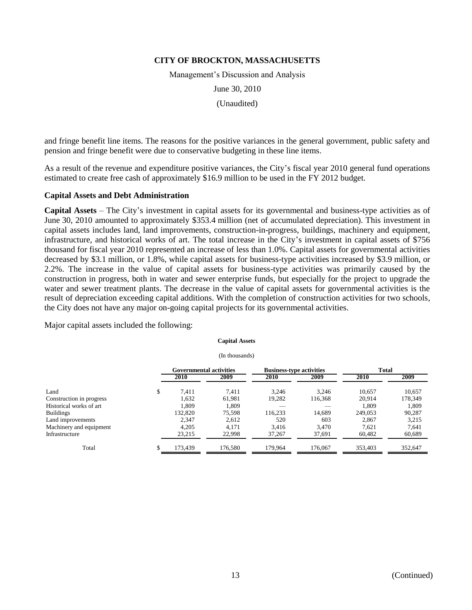Management's Discussion and Analysis

June 30, 2010

(Unaudited)

and fringe benefit line items. The reasons for the positive variances in the general government, public safety and pension and fringe benefit were due to conservative budgeting in these line items.

As a result of the revenue and expenditure positive variances, the City's fiscal year 2010 general fund operations estimated to create free cash of approximately \$16.9 million to be used in the FY 2012 budget.

#### **Capital Assets and Debt Administration**

**Capital Assets** – The City's investment in capital assets for its governmental and business-type activities as of June 30, 2010 amounted to approximately \$353.4 million (net of accumulated depreciation). This investment in capital assets includes land, land improvements, construction-in-progress, buildings, machinery and equipment, infrastructure, and historical works of art. The total increase in the City's investment in capital assets of \$756 thousand for fiscal year 2010 represented an increase of less than 1.0%. Capital assets for governmental activities decreased by \$3.1 million, or 1.8%, while capital assets for business-type activities increased by \$3.9 million, or 2.2%. The increase in the value of capital assets for business-type activities was primarily caused by the construction in progress, both in water and sewer enterprise funds, but especially for the project to upgrade the water and sewer treatment plants. The decrease in the value of capital assets for governmental activities is the result of depreciation exceeding capital additions. With the completion of construction activities for two schools, the City does not have any major on-going capital projects for its governmental activities.

Major capital assets included the following:

(In thousands) **Governmental activities Business-type activities Total Total 2010 Total 2010 2009 Total 2010 2009 2010 2009 2010 2009** Land 5 5 7,411 7,411 3,246 3,246 10,657 10,657 Construction in progress 1,632 61,981 19,282 116,368 20,914 178,349<br>
Historical works of art 1,809 1,809 1,809 1,809 1,809 1,809 Historical works of art 1,809 1,809 1,809 1,809 - 1,809 1,809 1,809 - 1,809 1,809 1,809 1,809 1,809 1,809 1,809 1,809 1,809 1,809 1,809 1,809 1,809 1,809 1,809 1,809 1,809 1,809 1,809 1,809 1,809 1,809 1,809 1,809 1,809 1, Buildings 132,820 75,598 116,233 14,689 249,053 90,287 Land improvements 2,347 2,612 520 603 2,867 3,215 Machinery and equipment 1.205 4,205 4,171 3,416 3,470 7,621 7,641<br>
19 1.641 16 3,470 7,641 57,267 37,691 60,689 60,689 60,689 Infrastructure 23,215 22,998 37,267 37,691 60,482 60,689 Total \$ 173,439 176,580 179,964 176,067 353,403 352,647

**Capital Assets**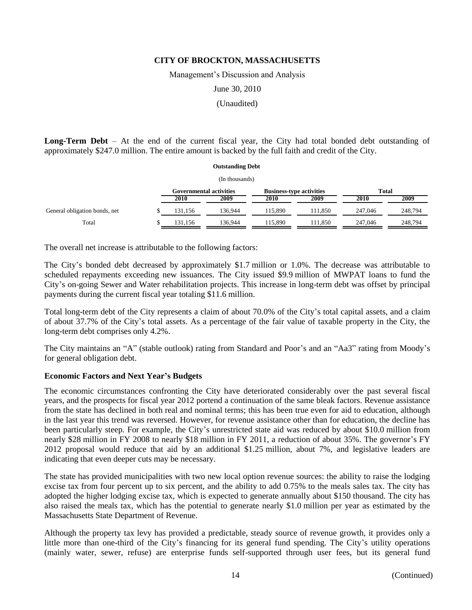Management's Discussion and Analysis

June 30, 2010

(Unaudited)

**Long-Term Debt** – At the end of the current fiscal year, the City had total bonded debt outstanding of approximately \$247.0 million. The entire amount is backed by the full faith and credit of the City.

|                               |  |                                | <b>Outstanding Debt</b> |                                 |         |              |         |  |  |
|-------------------------------|--|--------------------------------|-------------------------|---------------------------------|---------|--------------|---------|--|--|
| (In thousands)                |  |                                |                         |                                 |         |              |         |  |  |
|                               |  | <b>Governmental activities</b> |                         | <b>Business-type activities</b> |         | <b>Total</b> |         |  |  |
|                               |  | 2010                           | 2009                    | 2010                            | 2009    | 2010         | 2009    |  |  |
| General obligation bonds, net |  | 131,156                        | 136.944                 | 115,890                         | 111.850 | 247,046      | 248,794 |  |  |
| Total                         |  | 131,156                        | 136.944                 | 115,890                         | 111,850 | 247,046      | 248,794 |  |  |

The overall net increase is attributable to the following factors:

The City's bonded debt decreased by approximately \$1.7 million or 1.0%. The decrease was attributable to scheduled repayments exceeding new issuances. The City issued \$9.9 million of MWPAT loans to fund the City's on-going Sewer and Water rehabilitation projects. This increase in long-term debt was offset by principal payments during the current fiscal year totaling \$11.6 million.

Total long-term debt of the City represents a claim of about 70.0% of the City's total capital assets, and a claim of about 37.7% of the City's total assets. As a percentage of the fair value of taxable property in the City, the long-term debt comprises only 4.2%.

The City maintains an "A" (stable outlook) rating from Standard and Poor's and an "Aa3" rating from Moody's for general obligation debt.

#### **Economic Factors and Next Year's Budgets**

The economic circumstances confronting the City have deteriorated considerably over the past several fiscal years, and the prospects for fiscal year 2012 portend a continuation of the same bleak factors. Revenue assistance from the state has declined in both real and nominal terms; this has been true even for aid to education, although in the last year this trend was reversed. However, for revenue assistance other than for education, the decline has been particularly steep. For example, the City's unrestricted state aid was reduced by about \$10.0 million from nearly \$28 million in FY 2008 to nearly \$18 million in FY 2011, a reduction of about 35%. The governor's FY 2012 proposal would reduce that aid by an additional \$1.25 million, about 7%, and legislative leaders are indicating that even deeper cuts may be necessary.

The state has provided municipalities with two new local option revenue sources: the ability to raise the lodging excise tax from four percent up to six percent, and the ability to add 0.75% to the meals sales tax. The city has adopted the higher lodging excise tax, which is expected to generate annually about \$150 thousand. The city has also raised the meals tax, which has the potential to generate nearly \$1.0 million per year as estimated by the Massachusetts State Department of Revenue.

Although the property tax levy has provided a predictable, steady source of revenue growth, it provides only a little more than one-third of the City's financing for its general fund spending. The City's utility operations (mainly water, sewer, refuse) are enterprise funds self-supported through user fees, but its general fund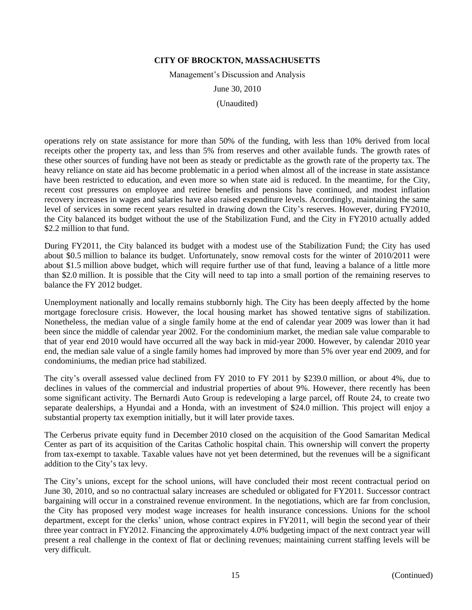Management's Discussion and Analysis

June 30, 2010

(Unaudited)

operations rely on state assistance for more than 50% of the funding, with less than 10% derived from local receipts other the property tax, and less than 5% from reserves and other available funds. The growth rates of these other sources of funding have not been as steady or predictable as the growth rate of the property tax. The heavy reliance on state aid has become problematic in a period when almost all of the increase in state assistance have been restricted to education, and even more so when state aid is reduced. In the meantime, for the City, recent cost pressures on employee and retiree benefits and pensions have continued, and modest inflation recovery increases in wages and salaries have also raised expenditure levels. Accordingly, maintaining the same level of services in some recent years resulted in drawing down the City's reserves. However, during FY2010, the City balanced its budget without the use of the Stabilization Fund, and the City in FY2010 actually added \$2.2 million to that fund.

During FY2011, the City balanced its budget with a modest use of the Stabilization Fund; the City has used about \$0.5 million to balance its budget. Unfortunately, snow removal costs for the winter of 2010/2011 were about \$1.5 million above budget, which will require further use of that fund, leaving a balance of a little more than \$2.0 million. It is possible that the City will need to tap into a small portion of the remaining reserves to balance the FY 2012 budget.

Unemployment nationally and locally remains stubbornly high. The City has been deeply affected by the home mortgage foreclosure crisis. However, the local housing market has showed tentative signs of stabilization. Nonetheless, the median value of a single family home at the end of calendar year 2009 was lower than it had been since the middle of calendar year 2002. For the condominium market, the median sale value comparable to that of year end 2010 would have occurred all the way back in mid-year 2000. However, by calendar 2010 year end, the median sale value of a single family homes had improved by more than 5% over year end 2009, and for condominiums, the median price had stabilized.

The city's overall assessed value declined from FY 2010 to FY 2011 by \$239.0 million, or about 4%, due to declines in values of the commercial and industrial properties of about 9%. However, there recently has been some significant activity. The Bernardi Auto Group is redeveloping a large parcel, off Route 24, to create two separate dealerships, a Hyundai and a Honda, with an investment of \$24.0 million. This project will enjoy a substantial property tax exemption initially, but it will later provide taxes.

The Cerberus private equity fund in December 2010 closed on the acquisition of the Good Samaritan Medical Center as part of its acquisition of the Caritas Catholic hospital chain. This ownership will convert the property from tax-exempt to taxable. Taxable values have not yet been determined, but the revenues will be a significant addition to the City's tax levy.

The City's unions, except for the school unions, will have concluded their most recent contractual period on June 30, 2010, and so no contractual salary increases are scheduled or obligated for FY2011. Successor contract bargaining will occur in a constrained revenue environment. In the negotiations, which are far from conclusion, the City has proposed very modest wage increases for health insurance concessions. Unions for the school department, except for the clerks' union, whose contract expires in FY2011, will begin the second year of their three year contract in FY2012. Financing the approximately 4.0% budgeting impact of the next contract year will present a real challenge in the context of flat or declining revenues; maintaining current staffing levels will be very difficult.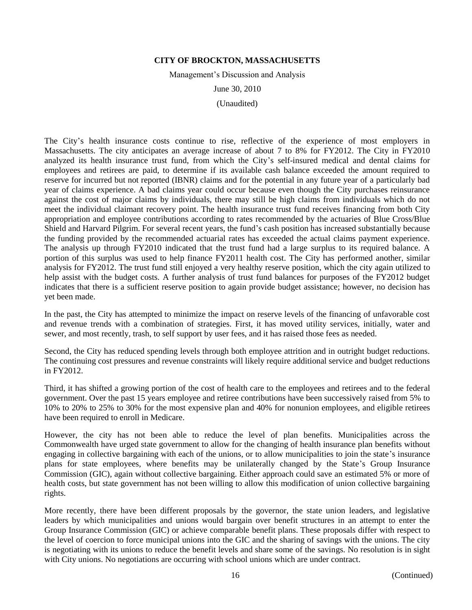Management's Discussion and Analysis

June 30, 2010

(Unaudited)

The City's health insurance costs continue to rise, reflective of the experience of most employers in Massachusetts. The city anticipates an average increase of about 7 to 8% for FY2012. The City in FY2010 analyzed its health insurance trust fund, from which the City's self-insured medical and dental claims for employees and retirees are paid, to determine if its available cash balance exceeded the amount required to reserve for incurred but not reported (IBNR) claims and for the potential in any future year of a particularly bad year of claims experience. A bad claims year could occur because even though the City purchases reinsurance against the cost of major claims by individuals, there may still be high claims from individuals which do not meet the individual claimant recovery point. The health insurance trust fund receives financing from both City appropriation and employee contributions according to rates recommended by the actuaries of Blue Cross/Blue Shield and Harvard Pilgrim. For several recent years, the fund's cash position has increased substantially because the funding provided by the recommended actuarial rates has exceeded the actual claims payment experience. The analysis up through FY2010 indicated that the trust fund had a large surplus to its required balance. A portion of this surplus was used to help finance FY2011 health cost. The City has performed another, similar analysis for FY2012. The trust fund still enjoyed a very healthy reserve position, which the city again utilized to help assist with the budget costs. A further analysis of trust fund balances for purposes of the FY2012 budget indicates that there is a sufficient reserve position to again provide budget assistance; however, no decision has yet been made.

In the past, the City has attempted to minimize the impact on reserve levels of the financing of unfavorable cost and revenue trends with a combination of strategies. First, it has moved utility services, initially, water and sewer, and most recently, trash, to self support by user fees, and it has raised those fees as needed.

Second, the City has reduced spending levels through both employee attrition and in outright budget reductions. The continuing cost pressures and revenue constraints will likely require additional service and budget reductions in FY2012.

Third, it has shifted a growing portion of the cost of health care to the employees and retirees and to the federal government. Over the past 15 years employee and retiree contributions have been successively raised from 5% to 10% to 20% to 25% to 30% for the most expensive plan and 40% for nonunion employees, and eligible retirees have been required to enroll in Medicare.

However, the city has not been able to reduce the level of plan benefits. Municipalities across the Commonwealth have urged state government to allow for the changing of health insurance plan benefits without engaging in collective bargaining with each of the unions, or to allow municipalities to join the state's insurance plans for state employees, where benefits may be unilaterally changed by the State's Group Insurance Commission (GIC), again without collective bargaining. Either approach could save an estimated 5% or more of health costs, but state government has not been willing to allow this modification of union collective bargaining rights.

More recently, there have been different proposals by the governor, the state union leaders, and legislative leaders by which municipalities and unions would bargain over benefit structures in an attempt to enter the Group Insurance Commission (GIC) or achieve comparable benefit plans. These proposals differ with respect to the level of coercion to force municipal unions into the GIC and the sharing of savings with the unions. The city is negotiating with its unions to reduce the benefit levels and share some of the savings. No resolution is in sight with City unions. No negotiations are occurring with school unions which are under contract.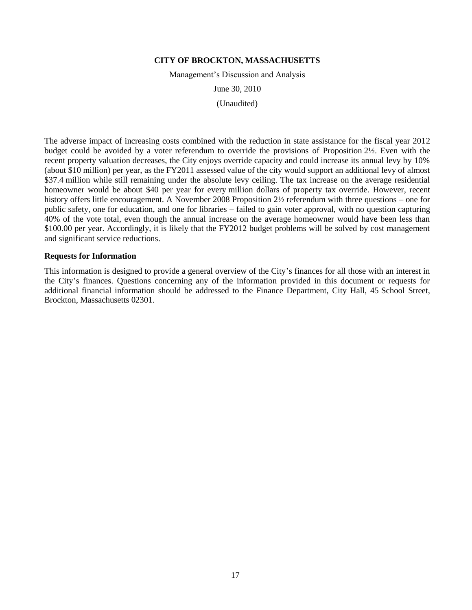Management's Discussion and Analysis

June 30, 2010

(Unaudited)

The adverse impact of increasing costs combined with the reduction in state assistance for the fiscal year 2012 budget could be avoided by a voter referendum to override the provisions of Proposition 2½. Even with the recent property valuation decreases, the City enjoys override capacity and could increase its annual levy by 10% (about \$10 million) per year, as the FY2011 assessed value of the city would support an additional levy of almost \$37.4 million while still remaining under the absolute levy ceiling. The tax increase on the average residential homeowner would be about \$40 per year for every million dollars of property tax override. However, recent history offers little encouragement. A November 2008 Proposition 2½ referendum with three questions – one for public safety, one for education, and one for libraries – failed to gain voter approval, with no question capturing 40% of the vote total, even though the annual increase on the average homeowner would have been less than \$100.00 per year. Accordingly, it is likely that the FY2012 budget problems will be solved by cost management and significant service reductions.

#### **Requests for Information**

This information is designed to provide a general overview of the City's finances for all those with an interest in the City's finances. Questions concerning any of the information provided in this document or requests for additional financial information should be addressed to the Finance Department, City Hall, 45 School Street, Brockton, Massachusetts 02301.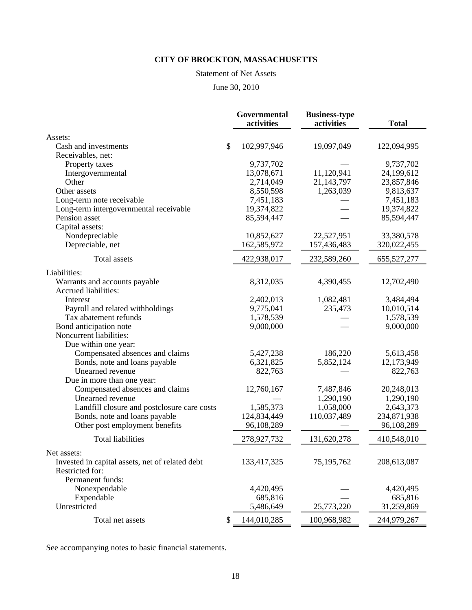### Statement of Net Assets

June 30, 2010

|                                                 | Governmental<br>activities | <b>Business-type</b><br>activities | <b>Total</b> |
|-------------------------------------------------|----------------------------|------------------------------------|--------------|
| Assets:                                         |                            |                                    |              |
| Cash and investments                            | \$<br>102,997,946          | 19,097,049                         | 122,094,995  |
| Receivables, net:                               |                            |                                    |              |
| Property taxes                                  | 9,737,702                  |                                    | 9,737,702    |
| Intergovernmental                               | 13,078,671                 | 11,120,941                         | 24,199,612   |
| Other                                           | 2,714,049                  | 21,143,797                         | 23,857,846   |
| Other assets                                    | 8,550,598                  | 1,263,039                          | 9,813,637    |
| Long-term note receivable                       | 7,451,183                  |                                    | 7,451,183    |
| Long-term intergovernmental receivable          | 19,374,822                 |                                    | 19,374,822   |
| Pension asset                                   | 85,594,447                 |                                    | 85,594,447   |
| Capital assets:                                 |                            |                                    |              |
| Nondepreciable                                  | 10,852,627                 | 22,527,951                         | 33,380,578   |
| Depreciable, net                                | 162,585,972                | 157,436,483                        | 320,022,455  |
| Total assets                                    | 422,938,017                | 232,589,260                        | 655,527,277  |
| Liabilities:                                    |                            |                                    |              |
| Warrants and accounts payable                   | 8,312,035                  | 4,390,455                          | 12,702,490   |
| Accrued liabilities:                            |                            |                                    |              |
| Interest                                        | 2,402,013                  | 1,082,481                          | 3,484,494    |
| Payroll and related withholdings                | 9,775,041                  | 235,473                            | 10,010,514   |
| Tax abatement refunds                           | 1,578,539                  |                                    | 1,578,539    |
| Bond anticipation note                          | 9,000,000                  |                                    | 9,000,000    |
| Noncurrent liabilities:                         |                            |                                    |              |
| Due within one year:                            |                            |                                    |              |
| Compensated absences and claims                 | 5,427,238                  | 186,220                            | 5,613,458    |
| Bonds, note and loans payable                   | 6,321,825                  | 5,852,124                          | 12,173,949   |
| Unearned revenue                                | 822,763                    |                                    | 822,763      |
| Due in more than one year:                      |                            |                                    |              |
| Compensated absences and claims                 | 12,760,167                 | 7,487,846                          | 20,248,013   |
| Unearned revenue                                |                            | 1,290,190                          | 1,290,190    |
| Landfill closure and postclosure care costs     | 1,585,373                  | 1,058,000                          | 2,643,373    |
| Bonds, note and loans payable                   | 124,834,449                | 110,037,489                        | 234,871,938  |
| Other post employment benefits                  | 96,108,289                 |                                    | 96,108,289   |
| <b>Total liabilities</b>                        | 278,927,732                | 131,620,278                        | 410,548,010  |
| Net assets:                                     |                            |                                    |              |
| Invested in capital assets, net of related debt | 133,417,325                | 75, 195, 762                       | 208,613,087  |
| Restricted for:                                 |                            |                                    |              |
| Permanent funds:                                |                            |                                    |              |
| Nonexpendable                                   | 4,420,495                  |                                    | 4,420,495    |
| Expendable                                      | 685,816                    |                                    | 685,816      |
| Unrestricted                                    | 5,486,649                  | 25,773,220                         | 31,259,869   |
| Total net assets                                | \$<br>144,010,285          | 100,968,982                        | 244,979,267  |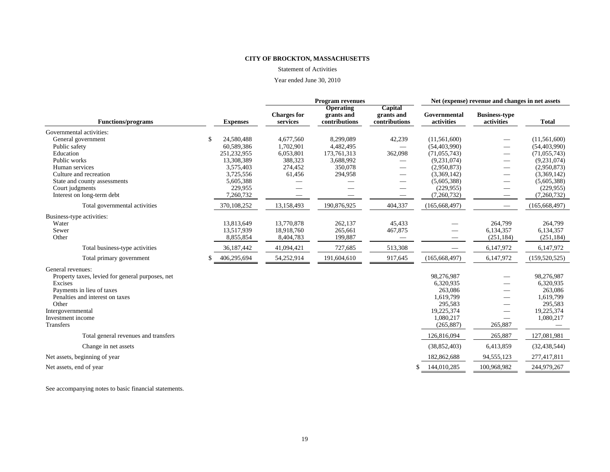#### Statement of Activities

#### Year ended June 30, 2010

|                                                                                                                                                                                                                           |     |                                                                                                                      | <b>Program revenues</b>                                             |                                                                          |                                               | Net (expense) revenue and changes in net assets                                                                                           |                                                              |                                                                                                                                           |  |
|---------------------------------------------------------------------------------------------------------------------------------------------------------------------------------------------------------------------------|-----|----------------------------------------------------------------------------------------------------------------------|---------------------------------------------------------------------|--------------------------------------------------------------------------|-----------------------------------------------|-------------------------------------------------------------------------------------------------------------------------------------------|--------------------------------------------------------------|-------------------------------------------------------------------------------------------------------------------------------------------|--|
| <b>Functions/programs</b>                                                                                                                                                                                                 |     | <b>Expenses</b>                                                                                                      | <b>Charges for</b><br>services                                      | <b>Operating</b><br>grants and<br>contributions                          | Capital<br>grants and<br>contributions        | Governmental<br>activities                                                                                                                | <b>Business-type</b><br>activities                           | <b>Total</b>                                                                                                                              |  |
| Governmental activities:<br>General government<br>Public safety<br>Education<br>Public works<br>Human services<br>Culture and recreation<br>State and county assessments<br>Court judgments<br>Interest on long-term debt | \$. | 24,580,488<br>60,589,386<br>251,232,955<br>13,308,389<br>3,575,403<br>3,725,556<br>5,605,388<br>229,955<br>7,260,732 | 4,677,560<br>1,702,901<br>6,053,801<br>388,323<br>274,452<br>61,456 | 8,299,089<br>4,482,495<br>173,761,313<br>3,688,992<br>350,078<br>294,958 | 42,239<br>$\overline{\phantom{0}}$<br>362,098 | (11,561,600)<br>(54, 403, 990)<br>(71, 055, 743)<br>(9,231,074)<br>(2,950,873)<br>(3,369,142)<br>(5,605,388)<br>(229, 955)<br>(7,260,732) | -<br>-<br>--<br>$\overline{\phantom{0}}$                     | (11,561,600)<br>(54, 403, 990)<br>(71, 055, 743)<br>(9,231,074)<br>(2,950,873)<br>(3,369,142)<br>(5,605,388)<br>(229, 955)<br>(7,260,732) |  |
| Total governmental activities                                                                                                                                                                                             |     | 370,108,252                                                                                                          | 13,158,493                                                          | 190,876,925                                                              | 404,337                                       | (165, 668, 497)                                                                                                                           | $\hspace{0.1mm}-\hspace{0.1mm}$                              | (165, 668, 497)                                                                                                                           |  |
| Business-type activities:<br>Water<br>Sewer<br>Other<br>Total business-type activities<br>Total primary government                                                                                                        |     | 13,813,649<br>13,517,939<br>8,855,854<br>36,187,442<br>406,295,694                                                   | 13,770,878<br>18,918,760<br>8,404,783<br>41,094,421<br>54,252,914   | 262,137<br>265,661<br>199,887<br>727,685<br>191,604,610                  | 45,433<br>467,875<br>513,308<br>917,645       | (165, 668, 497)                                                                                                                           | 264,799<br>6,134,357<br>(251, 184)<br>6,147,972<br>6,147,972 | 264,799<br>6,134,357<br>(251, 184)<br>6,147,972<br>(159, 520, 525)                                                                        |  |
| General revenues:<br>Property taxes, levied for general purposes, net<br>Excises<br>Payments in lieu of taxes<br>Penalties and interest on taxes<br>Other<br>Intergovernmental<br>Investment income<br>Transfers          |     |                                                                                                                      |                                                                     |                                                                          |                                               | 98,276,987<br>6,320,935<br>263,086<br>1,619,799<br>295,583<br>19,225,374<br>1,080,217<br>(265, 887)                                       | $\overline{\phantom{0}}$<br>265,887                          | 98,276,987<br>6,320,935<br>263,086<br>1,619,799<br>295,583<br>19,225,374<br>1,080,217                                                     |  |
| Total general revenues and transfers                                                                                                                                                                                      |     |                                                                                                                      |                                                                     |                                                                          |                                               | 126,816,094                                                                                                                               | 265,887                                                      | 127,081,981                                                                                                                               |  |
| Change in net assets                                                                                                                                                                                                      |     |                                                                                                                      |                                                                     |                                                                          |                                               | (38, 852, 403)                                                                                                                            | 6,413,859                                                    | (32, 438, 544)                                                                                                                            |  |
| Net assets, beginning of year                                                                                                                                                                                             |     |                                                                                                                      |                                                                     |                                                                          |                                               | 182,862,688                                                                                                                               | 94,555,123                                                   | 277,417,811                                                                                                                               |  |
| Net assets, end of year                                                                                                                                                                                                   |     |                                                                                                                      |                                                                     |                                                                          |                                               | 144,010,285<br>\$                                                                                                                         | 100,968,982                                                  | 244,979,267                                                                                                                               |  |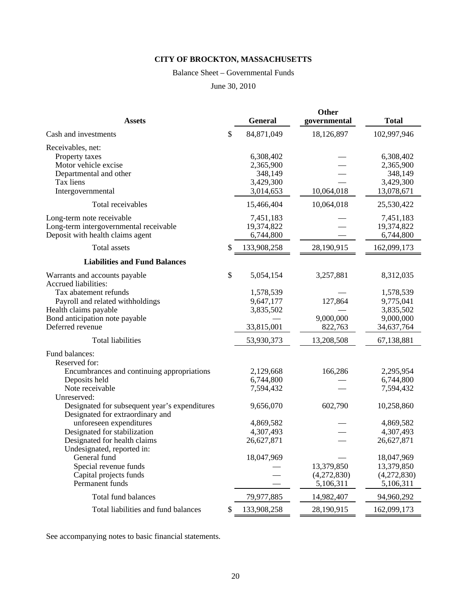### Balance Sheet – Governmental Funds

June 30, 2010

| <b>Assets</b>                                                                                                                                                    | <b>General</b>                                              | <b>Other</b><br>governmental           | <b>Total</b>                                                   |
|------------------------------------------------------------------------------------------------------------------------------------------------------------------|-------------------------------------------------------------|----------------------------------------|----------------------------------------------------------------|
| Cash and investments                                                                                                                                             | \$<br>84,871,049                                            | 18,126,897                             | 102,997,946                                                    |
| Receivables, net:<br>Property taxes<br>Motor vehicle excise<br>Departmental and other<br>Tax liens<br>Intergovernmental                                          | 6,308,402<br>2,365,900<br>348,149<br>3,429,300<br>3,014,653 | 10,064,018                             | 6,308,402<br>2,365,900<br>348,149<br>3,429,300<br>13,078,671   |
| Total receivables                                                                                                                                                | 15,466,404                                                  | 10,064,018                             | 25,530,422                                                     |
| Long-term note receivable<br>Long-term intergovernmental receivable<br>Deposit with health claims agent                                                          | 7,451,183<br>19,374,822<br>6,744,800                        |                                        | 7,451,183<br>19,374,822<br>6,744,800                           |
| Total assets                                                                                                                                                     | \$<br>133,908,258                                           | 28,190,915                             | 162,099,173                                                    |
| <b>Liabilities and Fund Balances</b>                                                                                                                             |                                                             |                                        |                                                                |
| Warrants and accounts payable                                                                                                                                    | \$<br>5,054,154                                             | 3,257,881                              | 8,312,035                                                      |
| Accrued liabilities:<br>Tax abatement refunds<br>Payroll and related withholdings<br>Health claims payable<br>Bond anticipation note payable<br>Deferred revenue | 1,578,539<br>9,647,177<br>3,835,502<br>33,815,001           | 127,864<br>9,000,000<br>822,763        | 1,578,539<br>9,775,041<br>3,835,502<br>9,000,000<br>34,637,764 |
| <b>Total liabilities</b>                                                                                                                                         | 53,930,373                                                  | 13,208,508                             | 67,138,881                                                     |
| Fund balances:<br>Reserved for:<br>Encumbrances and continuing appropriations<br>Deposits held<br>Note receivable                                                | 2,129,668<br>6,744,800<br>7,594,432                         | 166,286                                | 2,295,954<br>6,744,800<br>7,594,432                            |
| Unreserved:<br>Designated for subsequent year's expenditures<br>Designated for extraordinary and                                                                 | 9,656,070                                                   | 602,790                                | 10,258,860                                                     |
| unforeseen expenditures<br>Designated for stabilization<br>Designated for health claims<br>Undesignated, reported in:                                            | 4,869,582<br>4,307,493<br>26,627,871                        |                                        | 4,869,582<br>4,307,493<br>26,627,871                           |
| General fund<br>Special revenue funds<br>Capital projects funds<br>Permanent funds                                                                               | 18,047,969                                                  | 13,379,850<br>(4,272,830)<br>5,106,311 | 18,047,969<br>13,379,850<br>(4,272,830)<br>5,106,311           |
| <b>Total fund balances</b>                                                                                                                                       | 79,977,885                                                  | 14,982,407                             | 94,960,292                                                     |
| Total liabilities and fund balances                                                                                                                              | \$<br>133,908,258                                           | 28,190,915                             | 162,099,173                                                    |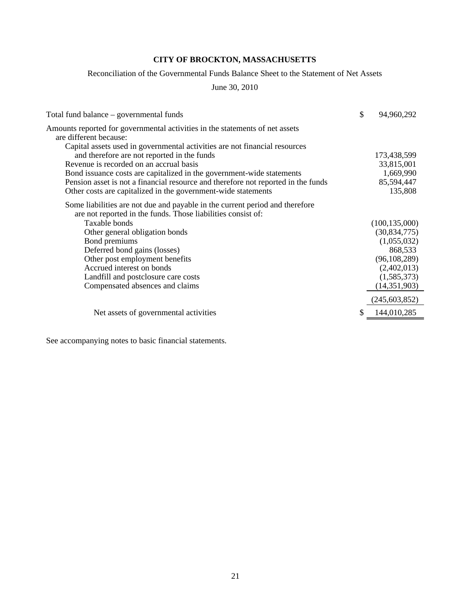### Reconciliation of the Governmental Funds Balance Sheet to the Statement of Net Assets

## June 30, 2010

| Total fund balance – governmental funds                                                                                                      | \$ | 94,960,292      |
|----------------------------------------------------------------------------------------------------------------------------------------------|----|-----------------|
| Amounts reported for governmental activities in the statements of net assets<br>are different because:                                       |    |                 |
| Capital assets used in governmental activities are not financial resources                                                                   |    |                 |
| and therefore are not reported in the funds                                                                                                  |    | 173,438,599     |
| Revenue is recorded on an accrual basis                                                                                                      |    | 33,815,001      |
| Bond issuance costs are capitalized in the government-wide statements                                                                        |    | 1,669,990       |
| Pension asset is not a financial resource and therefore not reported in the funds                                                            |    | 85,594,447      |
| Other costs are capitalized in the government-wide statements                                                                                |    | 135,808         |
| Some liabilities are not due and payable in the current period and therefore<br>are not reported in the funds. Those liabilities consist of: |    |                 |
| Taxable bonds                                                                                                                                |    | (100, 135, 000) |
| Other general obligation bonds                                                                                                               |    | (30, 834, 775)  |
| Bond premiums                                                                                                                                |    | (1,055,032)     |
| Deferred bond gains (losses)                                                                                                                 |    | 868,533         |
| Other post employment benefits                                                                                                               |    | (96, 108, 289)  |
| Accrued interest on bonds                                                                                                                    |    | (2,402,013)     |
| Landfill and postclosure care costs                                                                                                          |    | (1,585,373)     |
| Compensated absences and claims                                                                                                              |    | (14, 351, 903)  |
|                                                                                                                                              |    | (245, 603, 852) |
| Net assets of governmental activities                                                                                                        | S  | 144,010,285     |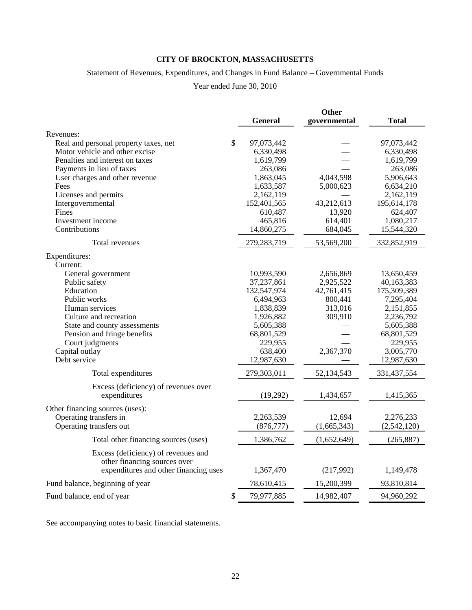### Statement of Revenues, Expenditures, and Changes in Fund Balance – Governmental Funds

Year ended June 30, 2010

|                                       |                  | <b>Other</b> |              |
|---------------------------------------|------------------|--------------|--------------|
|                                       | General          | governmental | <b>Total</b> |
| Revenues:                             |                  |              |              |
| Real and personal property taxes, net | \$<br>97,073,442 |              | 97,073,442   |
| Motor vehicle and other excise        | 6,330,498        |              | 6,330,498    |
| Penalties and interest on taxes       | 1,619,799        |              | 1,619,799    |
| Payments in lieu of taxes             | 263,086          |              | 263,086      |
| User charges and other revenue        | 1,863,045        | 4,043,598    | 5,906,643    |
| Fees                                  | 1,633,587        | 5,000,623    | 6,634,210    |
| Licenses and permits                  | 2,162,119        |              | 2,162,119    |
| Intergovernmental                     | 152,401,565      | 43,212,613   | 195,614,178  |
| Fines                                 | 610,487          | 13,920       | 624,407      |
| Investment income                     | 465,816          | 614,401      | 1,080,217    |
| Contributions                         | 14,860,275       | 684,045      | 15,544,320   |
| Total revenues                        | 279,283,719      | 53,569,200   | 332,852,919  |
| Expenditures:                         |                  |              |              |
| Current:                              |                  |              |              |
| General government                    | 10,993,590       | 2,656,869    | 13,650,459   |
| Public safety                         | 37,237,861       | 2,925,522    | 40,163,383   |
| Education                             | 132,547,974      | 42,761,415   | 175,309,389  |
| Public works                          | 6,494,963        | 800,441      | 7,295,404    |
| Human services                        | 1,838,839        | 313,016      | 2,151,855    |
| Culture and recreation                | 1,926,882        | 309,910      | 2,236,792    |
| State and county assessments          | 5,605,388        |              | 5,605,388    |
| Pension and fringe benefits           | 68,801,529       |              | 68,801,529   |
| Court judgments                       | 229,955          |              | 229,955      |
| Capital outlay                        | 638,400          | 2,367,370    | 3,005,770    |
| Debt service                          | 12,987,630       |              | 12,987,630   |
| Total expenditures                    | 279,303,011      | 52,134,543   | 331,437,554  |
| Excess (deficiency) of revenues over  |                  |              |              |
| expenditures                          | (19,292)         | 1,434,657    | 1,415,365    |
| Other financing sources (uses):       |                  |              |              |
| Operating transfers in                | 2,263,539        | 12,694       | 2,276,233    |
| Operating transfers out               | (876, 777)       | (1,665,343)  | (2,542,120)  |
| Total other financing sources (uses)  | 1,386,762        | (1,652,649)  | (265, 887)   |
| Excess (deficiency) of revenues and   |                  |              |              |
| other financing sources over          |                  |              |              |
| expenditures and other financing uses | 1,367,470        | (217,992)    | 1,149,478    |
|                                       |                  |              |              |
| Fund balance, beginning of year       | 78,610,415       | 15,200,399   | 93,810,814   |
| Fund balance, end of year             | \$<br>79,977,885 | 14,982,407   | 94,960,292   |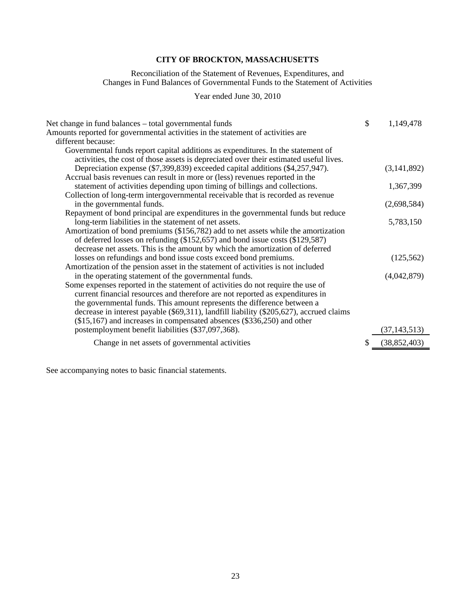#### Reconciliation of the Statement of Revenues, Expenditures, and Changes in Fund Balances of Governmental Funds to the Statement of Activities

### Year ended June 30, 2010

| Net change in fund balances – total governmental funds                                  | \$<br>1,149,478      |
|-----------------------------------------------------------------------------------------|----------------------|
| Amounts reported for governmental activities in the statement of activities are         |                      |
| different because:                                                                      |                      |
| Governmental funds report capital additions as expenditures. In the statement of        |                      |
| activities, the cost of those assets is depreciated over their estimated useful lives.  |                      |
| Depreciation expense (\$7,399,839) exceeded capital additions (\$4,257,947).            | (3,141,892)          |
| Accrual basis revenues can result in more or (less) revenues reported in the            |                      |
| statement of activities depending upon timing of billings and collections.              | 1,367,399            |
| Collection of long-term intergovernmental receivable that is recorded as revenue        |                      |
| in the governmental funds.                                                              | (2,698,584)          |
| Repayment of bond principal are expenditures in the governmental funds but reduce       |                      |
| long-term liabilities in the statement of net assets.                                   | 5,783,150            |
| Amortization of bond premiums (\$156,782) add to net assets while the amortization      |                      |
| of deferred losses on refunding (\$152,657) and bond issue costs (\$129,587)            |                      |
| decrease net assets. This is the amount by which the amortization of deferred           |                      |
| losses on refundings and bond issue costs exceed bond premiums.                         | (125, 562)           |
| Amortization of the pension asset in the statement of activities is not included        |                      |
| in the operating statement of the governmental funds.                                   | (4,042,879)          |
| Some expenses reported in the statement of activities do not require the use of         |                      |
| current financial resources and therefore are not reported as expenditures in           |                      |
| the governmental funds. This amount represents the difference between a                 |                      |
| decrease in interest payable (\$69,311), landfill liability (\$205,627), accrued claims |                      |
| $(\$15,167)$ and increases in compensated absences $(\$336,250)$ and other              |                      |
| postemployment benefit liabilities (\$37,097,368).                                      | (37, 143, 513)       |
| Change in net assets of governmental activities                                         | \$<br>(38, 852, 403) |
|                                                                                         |                      |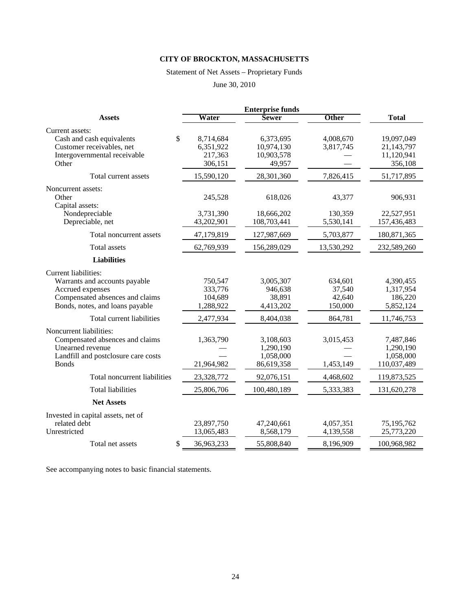### Statement of Net Assets – Proprietary Funds

June 30, 2010

|                                                                                                                                                 |                                                    | <b>Enterprise funds</b>                           |                                        |                                                    |
|-------------------------------------------------------------------------------------------------------------------------------------------------|----------------------------------------------------|---------------------------------------------------|----------------------------------------|----------------------------------------------------|
| <b>Assets</b>                                                                                                                                   | Water                                              | <b>Sewer</b>                                      | Other                                  | <b>Total</b>                                       |
| Current assets:<br>Cash and cash equivalents<br>Customer receivables, net<br>Intergovernmental receivable<br>Other                              | \$<br>8,714,684<br>6,351,922<br>217,363<br>306,151 | 6,373,695<br>10,974,130<br>10,903,578<br>49,957   | 4,008,670<br>3,817,745                 | 19,097,049<br>21,143,797<br>11,120,941<br>356,108  |
| Total current assets                                                                                                                            | 15,590,120                                         | 28,301,360                                        | 7,826,415                              | 51,717,895                                         |
| Noncurrent assets:<br>Other<br>Capital assets:                                                                                                  | 245,528                                            | 618,026                                           | 43,377                                 | 906,931                                            |
| Nondepreciable<br>Depreciable, net                                                                                                              | 3,731,390<br>43,202,901                            | 18,666,202<br>108,703,441                         | 130,359<br>5,530,141                   | 22,527,951<br>157,436,483                          |
| Total noncurrent assets                                                                                                                         | 47,179,819                                         | 127,987,669                                       | 5,703,877                              | 180,871,365                                        |
| Total assets                                                                                                                                    | 62,769,939                                         | 156,289,029                                       | 13,530,292                             | 232,589,260                                        |
| <b>Liabilities</b>                                                                                                                              |                                                    |                                                   |                                        |                                                    |
| Current liabilities:<br>Warrants and accounts payable<br>Accrued expenses<br>Compensated absences and claims<br>Bonds, notes, and loans payable | 750,547<br>333,776<br>104,689<br>1,288,922         | 3,005,307<br>946,638<br>38,891<br>4,413,202       | 634,601<br>37,540<br>42,640<br>150,000 | 4,390,455<br>1,317,954<br>186,220<br>5,852,124     |
| Total current liabilities                                                                                                                       | 2,477,934                                          | 8,404,038                                         | 864,781                                | 11,746,753                                         |
| Noncurrent liabilities:<br>Compensated absences and claims<br>Unearned revenue<br>Landfill and postclosure care costs<br><b>Bonds</b>           | 1,363,790<br>21,964,982                            | 3,108,603<br>1,290,190<br>1,058,000<br>86,619,358 | 3,015,453<br>1,453,149                 | 7,487,846<br>1,290,190<br>1,058,000<br>110,037,489 |
| Total noncurrent liabilities                                                                                                                    | 23,328,772                                         | 92,076,151                                        | 4,468,602                              | 119,873,525                                        |
| <b>Total liabilities</b>                                                                                                                        | 25,806,706                                         | 100,480,189                                       | 5,333,383                              | 131,620,278                                        |
| <b>Net Assets</b>                                                                                                                               |                                                    |                                                   |                                        |                                                    |
| Invested in capital assets, net of<br>related debt<br>Unrestricted                                                                              | 23,897,750<br>13,065,483                           | 47,240,661<br>8,568,179                           | 4,057,351<br>4,139,558                 | 75,195,762<br>25,773,220                           |
| Total net assets                                                                                                                                | \$<br>36,963,233                                   | 55,808,840                                        | 8,196,909                              | 100,968,982                                        |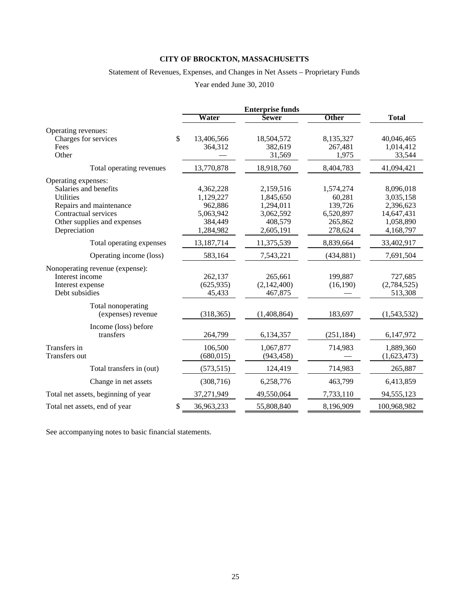### Statement of Revenues, Expenses, and Changes in Net Assets – Proprietary Funds

Year ended June 30, 2010

|                                     | Water            | <b>Sewer</b> | <b>Other</b> | <b>Total</b> |
|-------------------------------------|------------------|--------------|--------------|--------------|
| Operating revenues:                 |                  |              |              |              |
| Charges for services                | \$<br>13,406,566 | 18,504,572   | 8,135,327    | 40,046,465   |
| Fees                                | 364,312          | 382,619      | 267,481      | 1,014,412    |
| Other                               |                  | 31,569       | 1,975        | 33,544       |
| Total operating revenues            | 13,770,878       | 18,918,760   | 8,404,783    | 41,094,421   |
| Operating expenses:                 |                  |              |              |              |
| Salaries and benefits               | 4,362,228        | 2,159,516    | 1,574,274    | 8,096,018    |
| <b>Utilities</b>                    | 1,129,227        | 1,845,650    | 60,281       | 3,035,158    |
| Repairs and maintenance             | 962,886          | 1,294,011    | 139,726      | 2,396,623    |
| Contractual services                | 5,063,942        | 3,062,592    | 6,520,897    | 14,647,431   |
| Other supplies and expenses         | 384,449          | 408,579      | 265,862      | 1,058,890    |
| Depreciation                        | 1,284,982        | 2,605,191    | 278,624      | 4,168,797    |
| Total operating expenses            | 13, 187, 714     | 11,375,539   | 8,839,664    | 33,402,917   |
| Operating income (loss)             | 583,164          | 7,543,221    | (434, 881)   | 7,691,504    |
| Nonoperating revenue (expense):     |                  |              |              |              |
| Interest income                     | 262,137          | 265,661      | 199,887      | 727,685      |
| Interest expense                    | (625, 935)       | (2,142,400)  | (16, 190)    | (2,784,525)  |
| Debt subsidies                      | 45,433           | 467,875      |              | 513,308      |
| Total nonoperating                  |                  |              |              |              |
| (expenses) revenue                  | (318, 365)       | (1,408,864)  | 183,697      | (1,543,532)  |
| Income (loss) before                |                  |              |              |              |
| transfers                           | 264,799          | 6,134,357    | (251, 184)   | 6,147,972    |
| Transfers in                        | 106,500          | 1,067,877    | 714,983      | 1,889,360    |
| Transfers out                       | (680, 015)       | (943, 458)   |              | (1,623,473)  |
| Total transfers in (out)            | (573, 515)       | 124,419      | 714,983      | 265,887      |
| Change in net assets                | (308, 716)       | 6,258,776    | 463,799      | 6,413,859    |
| Total net assets, beginning of year | 37,271,949       | 49,550,064   | 7,733,110    | 94,555,123   |
| Total net assets, end of year       | \$<br>36,963,233 | 55,808,840   | 8,196,909    | 100,968,982  |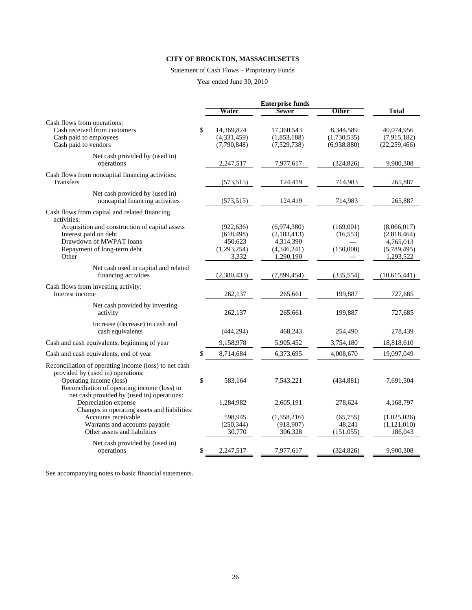#### Statement of Cash Flows – Proprietary Funds

#### Year ended June 30, 2010

|                                                                                                                                                                                                                     | <b>Enterprise funds</b>                                     |                                                                     |                                             |                                                                     |
|---------------------------------------------------------------------------------------------------------------------------------------------------------------------------------------------------------------------|-------------------------------------------------------------|---------------------------------------------------------------------|---------------------------------------------|---------------------------------------------------------------------|
|                                                                                                                                                                                                                     | Water                                                       | <b>Sewer</b>                                                        | Other                                       | <b>Total</b>                                                        |
| Cash flows from operations:<br>Cash received from customers<br>Cash paid to employees<br>Cash paid to vendors                                                                                                       | \$<br>14,369,824<br>(4,331,459)<br>(7,790,848)              | 17,360,543<br>(1,853,188)<br>(7,529,738)                            | 8,344,589<br>(1,730,535)<br>(6,938,880)     | 40,074,956<br>(7,915,182)<br>(22, 259, 466)                         |
| Net cash provided by (used in)<br>operations                                                                                                                                                                        | 2,247,517                                                   | 7,977,617                                                           | (324, 826)                                  | 9,900,308                                                           |
| Cash flows from noncapital financing activities:<br><b>Transfers</b>                                                                                                                                                | (573, 515)                                                  | 124,419                                                             | 714,983                                     | 265,887                                                             |
| Net cash provided by (used in)<br>noncapital financing activities                                                                                                                                                   | (573, 515)                                                  | 124,419                                                             | 714,983                                     | 265,887                                                             |
| Cash flows from capital and related financing<br>activities:<br>Acquisition and construction of capital assets<br>Interest paid on debt<br>Drawdown of MWPAT loans<br>Repayment of long-term debt<br>Other          | (922, 636)<br>(618, 498)<br>450,623<br>(1,293,254)<br>3,332 | (6,974,380)<br>(2,183,413)<br>4,314,390<br>(4,346,241)<br>1,290,190 | (169,001)<br>(16, 553)<br>(150,000)         | (8,066,017)<br>(2,818,464)<br>4,765,013<br>(5,789,495)<br>1,293,522 |
| Net cash used in capital and related<br>financing activities                                                                                                                                                        | (2,380,433)                                                 | (7,899,454)                                                         | (335, 554)                                  | (10,615,441)                                                        |
| Cash flows from investing activity:<br>Interest income                                                                                                                                                              | 262,137                                                     | 265,661                                                             | 199,887                                     | 727,685                                                             |
| Net cash provided by investing<br>activity                                                                                                                                                                          | 262,137                                                     | 265,661                                                             | 199,887                                     | 727,685                                                             |
| Increase (decrease) in cash and<br>cash equivalents                                                                                                                                                                 | (444, 294)                                                  | 468,243                                                             | 254,490                                     | 278,439                                                             |
| Cash and cash equivalents, beginning of year                                                                                                                                                                        | 9,158,978                                                   | 5,905,452                                                           | 3,754,180                                   | 18,818,610                                                          |
| Cash and cash equivalents, end of year                                                                                                                                                                              | \$<br>8,714,684                                             | 6,373,695                                                           | 4,008,670                                   | 19,097,049                                                          |
| Reconciliation of operating income (loss) to net cash<br>provided by (used in) operations:<br>Operating income (loss)<br>Reconciliation of operating income (loss) to<br>net cash provided by (used in) operations: | \$<br>583,164                                               | 7,543,221                                                           | (434,881)                                   | 7,691,504                                                           |
| Depreciation expense<br>Changes in operating assets and liabilities:<br>Accounts receivable<br>Warrants and accounts payable<br>Other assets and liabilities                                                        | 1,284,982<br>598,945<br>(250, 344)<br>30,770                | 2,605,191<br>(1,558,216)<br>(918, 907)<br>306,328                   | 278,624<br>(65,755)<br>48,241<br>(151, 055) | 4,168,797<br>(1,025,026)<br>(1,121,010)<br>186,043                  |
| Net cash provided by (used in)<br>operations                                                                                                                                                                        | \$<br>2,247,517                                             | 7,977,617                                                           | (324, 826)                                  | 9,900,308                                                           |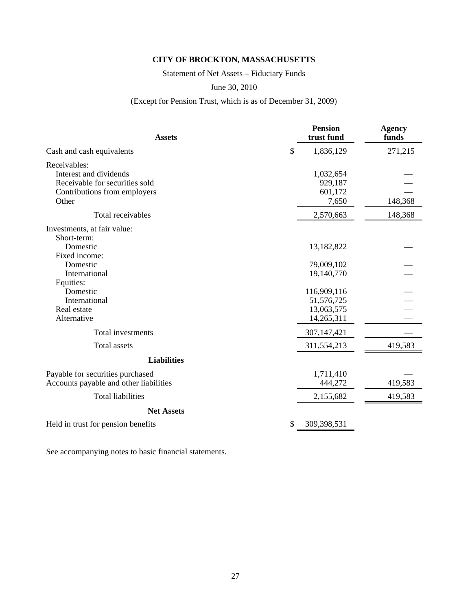### Statement of Net Assets – Fiduciary Funds

### June 30, 2010

### (Except for Pension Trust, which is as of December 31, 2009)

| <b>Assets</b>                                                                                                     | <b>Pension</b><br>trust fund                          | <b>Agency</b><br>funds |
|-------------------------------------------------------------------------------------------------------------------|-------------------------------------------------------|------------------------|
| Cash and cash equivalents                                                                                         | \$<br>1,836,129                                       | 271,215                |
| Receivables:<br>Interest and dividends<br>Receivable for securities sold<br>Contributions from employers<br>Other | 1,032,654<br>929,187<br>601,172<br>7,650              | 148,368                |
| Total receivables                                                                                                 | 2,570,663                                             | 148,368                |
| Investments, at fair value:<br>Short-term:                                                                        |                                                       |                        |
| Domestic<br>Fixed income:<br>Domestic<br>International                                                            | 13,182,822<br>79,009,102<br>19,140,770                |                        |
| Equities:<br>Domestic<br>International<br>Real estate<br>Alternative                                              | 116,909,116<br>51,576,725<br>13,063,575<br>14,265,311 |                        |
| Total investments                                                                                                 | 307,147,421                                           |                        |
| Total assets                                                                                                      | 311,554,213                                           | 419,583                |
| <b>Liabilities</b>                                                                                                |                                                       |                        |
| Payable for securities purchased<br>Accounts payable and other liabilities                                        | 1,711,410<br>444,272                                  | 419,583                |
| <b>Total liabilities</b>                                                                                          | 2,155,682                                             | 419,583                |
| <b>Net Assets</b>                                                                                                 |                                                       |                        |
| Held in trust for pension benefits                                                                                | \$<br>309,398,531                                     |                        |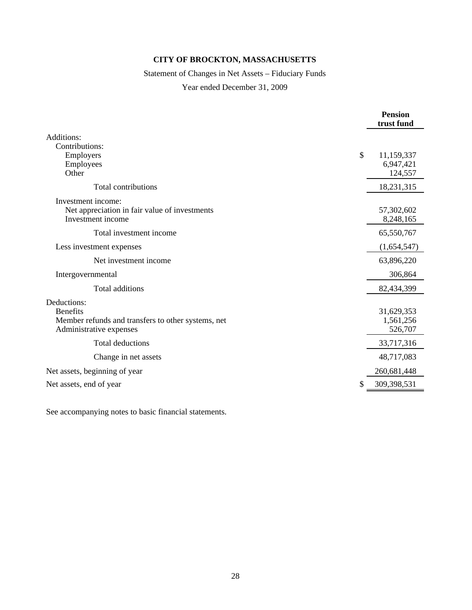### Statement of Changes in Net Assets – Fiduciary Funds

Year ended December 31, 2009

|                                                                                                                 | <b>Pension</b><br>trust fund             |
|-----------------------------------------------------------------------------------------------------------------|------------------------------------------|
| Additions:                                                                                                      |                                          |
| Contributions:<br>Employers<br>Employees<br>Other                                                               | \$<br>11,159,337<br>6,947,421<br>124,557 |
| <b>Total contributions</b>                                                                                      | 18,231,315                               |
| Investment income:<br>Net appreciation in fair value of investments<br>Investment income                        | 57,302,602<br>8,248,165                  |
| Total investment income                                                                                         | 65,550,767                               |
| Less investment expenses                                                                                        | (1,654,547)                              |
| Net investment income                                                                                           | 63,896,220                               |
| Intergovernmental                                                                                               | 306,864                                  |
| Total additions                                                                                                 | 82,434,399                               |
| Deductions:<br><b>Benefits</b><br>Member refunds and transfers to other systems, net<br>Administrative expenses | 31,629,353<br>1,561,256<br>526,707       |
| <b>Total deductions</b>                                                                                         | 33,717,316                               |
| Change in net assets                                                                                            | 48,717,083                               |
| Net assets, beginning of year                                                                                   | 260,681,448                              |
| Net assets, end of year                                                                                         | \$<br>309,398,531                        |
|                                                                                                                 |                                          |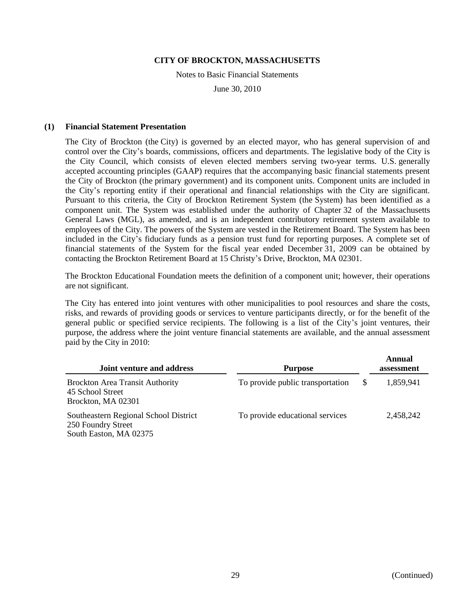Notes to Basic Financial Statements

June 30, 2010

#### **(1) Financial Statement Presentation**

The City of Brockton (the City) is governed by an elected mayor, who has general supervision of and control over the City's boards, commissions, officers and departments. The legislative body of the City is the City Council, which consists of eleven elected members serving two-year terms. U.S. generally accepted accounting principles (GAAP) requires that the accompanying basic financial statements present the City of Brockton (the primary government) and its component units. Component units are included in the City's reporting entity if their operational and financial relationships with the City are significant. Pursuant to this criteria, the City of Brockton Retirement System (the System) has been identified as a component unit. The System was established under the authority of Chapter 32 of the Massachusetts General Laws (MGL), as amended, and is an independent contributory retirement system available to employees of the City. The powers of the System are vested in the Retirement Board. The System has been included in the City's fiduciary funds as a pension trust fund for reporting purposes. A complete set of financial statements of the System for the fiscal year ended December 31, 2009 can be obtained by contacting the Brockton Retirement Board at 15 Christy's Drive, Brockton, MA 02301.

The Brockton Educational Foundation meets the definition of a component unit; however, their operations are not significant.

The City has entered into joint ventures with other municipalities to pool resources and share the costs, risks, and rewards of providing goods or services to venture participants directly, or for the benefit of the general public or specified service recipients. The following is a list of the City's joint ventures, their purpose, the address where the joint venture financial statements are available, and the annual assessment paid by the City in 2010:

| <b>Joint venture and address</b>                                                      | <b>Purpose</b>                   |   | Annual<br>assessment |
|---------------------------------------------------------------------------------------|----------------------------------|---|----------------------|
| <b>Brockton Area Transit Authority</b><br>45 School Street<br>Brockton, MA 02301      | To provide public transportation | S | 1,859,941            |
| Southeastern Regional School District<br>250 Foundry Street<br>South Easton, MA 02375 | To provide educational services  |   | 2,458,242            |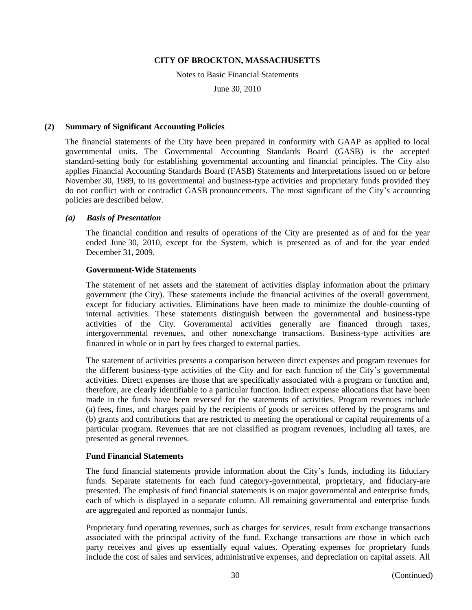Notes to Basic Financial Statements

June 30, 2010

#### **(2) Summary of Significant Accounting Policies**

The financial statements of the City have been prepared in conformity with GAAP as applied to local governmental units. The Governmental Accounting Standards Board (GASB) is the accepted standard-setting body for establishing governmental accounting and financial principles. The City also applies Financial Accounting Standards Board (FASB) Statements and Interpretations issued on or before November 30, 1989, to its governmental and business-type activities and proprietary funds provided they do not conflict with or contradict GASB pronouncements. The most significant of the City's accounting policies are described below.

#### *(a) Basis of Presentation*

The financial condition and results of operations of the City are presented as of and for the year ended June 30, 2010, except for the System, which is presented as of and for the year ended December 31, 2009.

#### **Government-Wide Statements**

The statement of net assets and the statement of activities display information about the primary government (the City). These statements include the financial activities of the overall government, except for fiduciary activities. Eliminations have been made to minimize the double-counting of internal activities. These statements distinguish between the governmental and business-type activities of the City. Governmental activities generally are financed through taxes, intergovernmental revenues, and other nonexchange transactions. Business-type activities are financed in whole or in part by fees charged to external parties.

The statement of activities presents a comparison between direct expenses and program revenues for the different business-type activities of the City and for each function of the City's governmental activities. Direct expenses are those that are specifically associated with a program or function and, therefore, are clearly identifiable to a particular function. Indirect expense allocations that have been made in the funds have been reversed for the statements of activities. Program revenues include (a) fees, fines, and charges paid by the recipients of goods or services offered by the programs and (b) grants and contributions that are restricted to meeting the operational or capital requirements of a particular program. Revenues that are not classified as program revenues, including all taxes, are presented as general revenues.

#### **Fund Financial Statements**

The fund financial statements provide information about the City's funds, including its fiduciary funds. Separate statements for each fund category-governmental, proprietary, and fiduciary-are presented. The emphasis of fund financial statements is on major governmental and enterprise funds, each of which is displayed in a separate column. All remaining governmental and enterprise funds are aggregated and reported as nonmajor funds.

Proprietary fund operating revenues, such as charges for services, result from exchange transactions associated with the principal activity of the fund. Exchange transactions are those in which each party receives and gives up essentially equal values. Operating expenses for proprietary funds include the cost of sales and services, administrative expenses, and depreciation on capital assets. All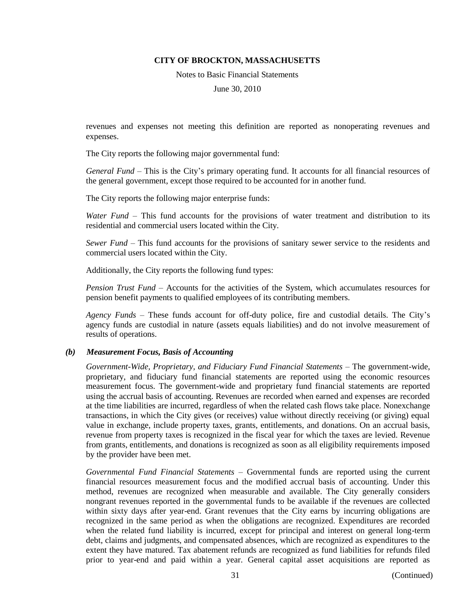Notes to Basic Financial Statements

June 30, 2010

revenues and expenses not meeting this definition are reported as nonoperating revenues and expenses.

The City reports the following major governmental fund:

*General Fund* – This is the City's primary operating fund. It accounts for all financial resources of the general government, except those required to be accounted for in another fund.

The City reports the following major enterprise funds:

*Water Fund* – This fund accounts for the provisions of water treatment and distribution to its residential and commercial users located within the City.

*Sewer Fund* – This fund accounts for the provisions of sanitary sewer service to the residents and commercial users located within the City.

Additionally, the City reports the following fund types:

*Pension Trust Fund* – Accounts for the activities of the System, which accumulates resources for pension benefit payments to qualified employees of its contributing members.

*Agency Funds* – These funds account for off-duty police, fire and custodial details. The City's agency funds are custodial in nature (assets equals liabilities) and do not involve measurement of results of operations.

#### *(b) Measurement Focus, Basis of Accounting*

*Government-Wide, Proprietary, and Fiduciary Fund Financial Statements* – The government-wide, proprietary, and fiduciary fund financial statements are reported using the economic resources measurement focus. The government-wide and proprietary fund financial statements are reported using the accrual basis of accounting. Revenues are recorded when earned and expenses are recorded at the time liabilities are incurred, regardless of when the related cash flows take place. Nonexchange transactions, in which the City gives (or receives) value without directly receiving (or giving) equal value in exchange, include property taxes, grants, entitlements, and donations. On an accrual basis, revenue from property taxes is recognized in the fiscal year for which the taxes are levied. Revenue from grants, entitlements, and donations is recognized as soon as all eligibility requirements imposed by the provider have been met.

*Governmental Fund Financial Statements* – Governmental funds are reported using the current financial resources measurement focus and the modified accrual basis of accounting. Under this method, revenues are recognized when measurable and available. The City generally considers nongrant revenues reported in the governmental funds to be available if the revenues are collected within sixty days after year-end. Grant revenues that the City earns by incurring obligations are recognized in the same period as when the obligations are recognized. Expenditures are recorded when the related fund liability is incurred, except for principal and interest on general long-term debt, claims and judgments, and compensated absences, which are recognized as expenditures to the extent they have matured. Tax abatement refunds are recognized as fund liabilities for refunds filed prior to year-end and paid within a year. General capital asset acquisitions are reported as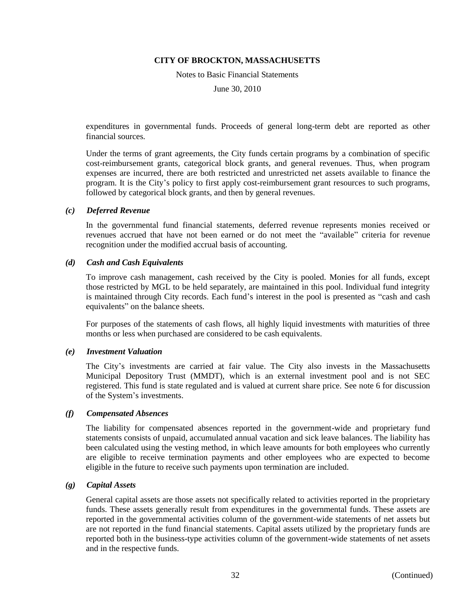Notes to Basic Financial Statements

June 30, 2010

expenditures in governmental funds. Proceeds of general long-term debt are reported as other financial sources.

Under the terms of grant agreements, the City funds certain programs by a combination of specific cost-reimbursement grants, categorical block grants, and general revenues. Thus, when program expenses are incurred, there are both restricted and unrestricted net assets available to finance the program. It is the City's policy to first apply cost-reimbursement grant resources to such programs, followed by categorical block grants, and then by general revenues.

#### *(c) Deferred Revenue*

In the governmental fund financial statements, deferred revenue represents monies received or revenues accrued that have not been earned or do not meet the "available" criteria for revenue recognition under the modified accrual basis of accounting.

#### *(d) Cash and Cash Equivalents*

To improve cash management, cash received by the City is pooled. Monies for all funds, except those restricted by MGL to be held separately, are maintained in this pool. Individual fund integrity is maintained through City records. Each fund's interest in the pool is presented as "cash and cash" equivalents" on the balance sheets.

For purposes of the statements of cash flows, all highly liquid investments with maturities of three months or less when purchased are considered to be cash equivalents.

#### *(e) Investment Valuation*

The City's investments are carried at fair value. The City also invests in the Massachusetts Municipal Depository Trust (MMDT), which is an external investment pool and is not SEC registered. This fund is state regulated and is valued at current share price. See note 6 for discussion of the System's investments.

#### *(f) Compensated Absences*

The liability for compensated absences reported in the government-wide and proprietary fund statements consists of unpaid, accumulated annual vacation and sick leave balances. The liability has been calculated using the vesting method, in which leave amounts for both employees who currently are eligible to receive termination payments and other employees who are expected to become eligible in the future to receive such payments upon termination are included.

#### *(g) Capital Assets*

General capital assets are those assets not specifically related to activities reported in the proprietary funds. These assets generally result from expenditures in the governmental funds. These assets are reported in the governmental activities column of the government-wide statements of net assets but are not reported in the fund financial statements. Capital assets utilized by the proprietary funds are reported both in the business-type activities column of the government-wide statements of net assets and in the respective funds.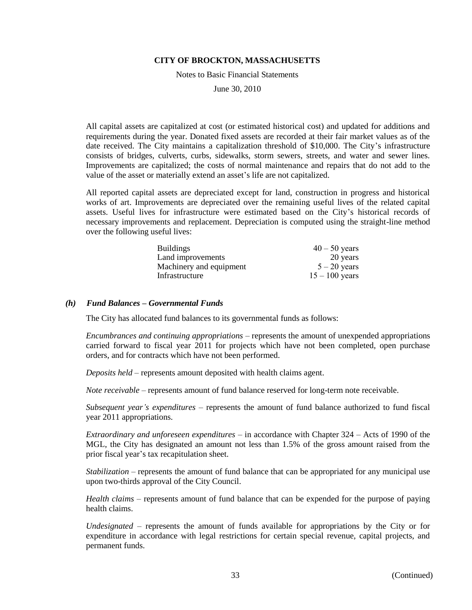Notes to Basic Financial Statements

June 30, 2010

All capital assets are capitalized at cost (or estimated historical cost) and updated for additions and requirements during the year. Donated fixed assets are recorded at their fair market values as of the date received. The City maintains a capitalization threshold of \$10,000. The City's infrastructure consists of bridges, culverts, curbs, sidewalks, storm sewers, streets, and water and sewer lines. Improvements are capitalized; the costs of normal maintenance and repairs that do not add to the value of the asset or materially extend an asset's life are not capitalized.

All reported capital assets are depreciated except for land, construction in progress and historical works of art. Improvements are depreciated over the remaining useful lives of the related capital assets. Useful lives for infrastructure were estimated based on the City's historical records of necessary improvements and replacement. Depreciation is computed using the straight-line method over the following useful lives:

| <b>Buildings</b>        | $40 - 50$ years  |
|-------------------------|------------------|
| Land improvements       | 20 years         |
| Machinery and equipment | $5 - 20$ years   |
| Infrastructure          | $15 - 100$ years |

#### *(h) Fund Balances – Governmental Funds*

The City has allocated fund balances to its governmental funds as follows:

*Encumbrances and continuing appropriations* – represents the amount of unexpended appropriations carried forward to fiscal year 2011 for projects which have not been completed, open purchase orders, and for contracts which have not been performed.

*Deposits held* – represents amount deposited with health claims agent.

*Note receivable* – represents amount of fund balance reserved for long-term note receivable.

*Subsequent year's expenditures* – represents the amount of fund balance authorized to fund fiscal year 2011 appropriations.

*Extraordinary and unforeseen expenditures* – in accordance with Chapter 324 – Acts of 1990 of the MGL, the City has designated an amount not less than 1.5% of the gross amount raised from the prior fiscal year's tax recapitulation sheet.

*Stabilization* – represents the amount of fund balance that can be appropriated for any municipal use upon two-thirds approval of the City Council.

*Health claims* – represents amount of fund balance that can be expended for the purpose of paying health claims.

*Undesignated* – represents the amount of funds available for appropriations by the City or for expenditure in accordance with legal restrictions for certain special revenue, capital projects, and permanent funds.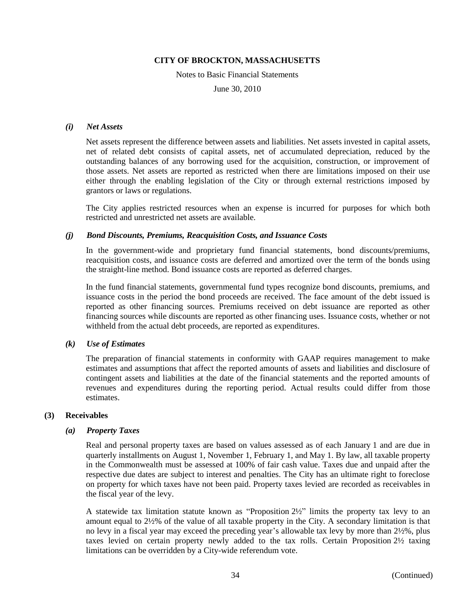Notes to Basic Financial Statements

June 30, 2010

#### *(i) Net Assets*

Net assets represent the difference between assets and liabilities. Net assets invested in capital assets, net of related debt consists of capital assets, net of accumulated depreciation, reduced by the outstanding balances of any borrowing used for the acquisition, construction, or improvement of those assets. Net assets are reported as restricted when there are limitations imposed on their use either through the enabling legislation of the City or through external restrictions imposed by grantors or laws or regulations.

The City applies restricted resources when an expense is incurred for purposes for which both restricted and unrestricted net assets are available.

#### *(j) Bond Discounts, Premiums, Reacquisition Costs, and Issuance Costs*

In the government-wide and proprietary fund financial statements, bond discounts/premiums, reacquisition costs, and issuance costs are deferred and amortized over the term of the bonds using the straight-line method. Bond issuance costs are reported as deferred charges.

In the fund financial statements, governmental fund types recognize bond discounts, premiums, and issuance costs in the period the bond proceeds are received. The face amount of the debt issued is reported as other financing sources. Premiums received on debt issuance are reported as other financing sources while discounts are reported as other financing uses. Issuance costs, whether or not withheld from the actual debt proceeds, are reported as expenditures.

#### *(k) Use of Estimates*

The preparation of financial statements in conformity with GAAP requires management to make estimates and assumptions that affect the reported amounts of assets and liabilities and disclosure of contingent assets and liabilities at the date of the financial statements and the reported amounts of revenues and expenditures during the reporting period. Actual results could differ from those estimates.

#### **(3) Receivables**

#### *(a) Property Taxes*

Real and personal property taxes are based on values assessed as of each January 1 and are due in quarterly installments on August 1, November 1, February 1, and May 1. By law, all taxable property in the Commonwealth must be assessed at 100% of fair cash value. Taxes due and unpaid after the respective due dates are subject to interest and penalties. The City has an ultimate right to foreclose on property for which taxes have not been paid. Property taxes levied are recorded as receivables in the fiscal year of the levy.

A statewide tax limitation statute known as "Proposition  $2\frac{1}{2}$ " limits the property tax levy to an amount equal to 2½% of the value of all taxable property in the City. A secondary limitation is that no levy in a fiscal year may exceed the preceding year's allowable tax levy by more than 2½%, plus taxes levied on certain property newly added to the tax rolls. Certain Proposition 2½ taxing limitations can be overridden by a City-wide referendum vote.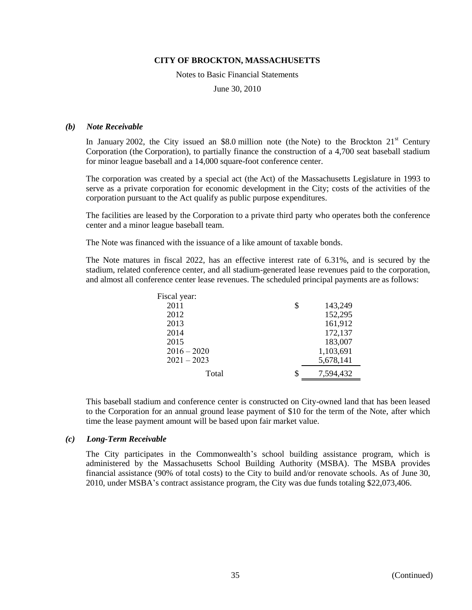Notes to Basic Financial Statements

June 30, 2010

#### *(b) Note Receivable*

In January 2002, the City issued an \$8.0 million note (the Note) to the Brockton  $21<sup>st</sup>$  Century Corporation (the Corporation), to partially finance the construction of a 4,700 seat baseball stadium for minor league baseball and a 14,000 square-foot conference center.

The corporation was created by a special act (the Act) of the Massachusetts Legislature in 1993 to serve as a private corporation for economic development in the City; costs of the activities of the corporation pursuant to the Act qualify as public purpose expenditures.

The facilities are leased by the Corporation to a private third party who operates both the conference center and a minor league baseball team.

The Note was financed with the issuance of a like amount of taxable bonds.

The Note matures in fiscal 2022, has an effective interest rate of 6.31%, and is secured by the stadium, related conference center, and all stadium-generated lease revenues paid to the corporation, and almost all conference center lease revenues. The scheduled principal payments are as follows:

| Fiscal year:  |    |           |
|---------------|----|-----------|
| 2011          | \$ | 143,249   |
| 2012          |    | 152,295   |
| 2013          |    | 161,912   |
| 2014          |    | 172,137   |
| 2015          |    | 183,007   |
| $2016 - 2020$ |    | 1,103,691 |
| $2021 - 2023$ |    | 5,678,141 |
| Total         | S  | 7,594,432 |

This baseball stadium and conference center is constructed on City-owned land that has been leased to the Corporation for an annual ground lease payment of \$10 for the term of the Note, after which time the lease payment amount will be based upon fair market value.

#### *(c) Long-Term Receivable*

The City participates in the Commonwealth's school building assistance program, which is administered by the Massachusetts School Building Authority (MSBA). The MSBA provides financial assistance (90% of total costs) to the City to build and/or renovate schools. As of June 30, 2010, under MSBA's contract assistance program, the City was due funds totaling \$22,073,406.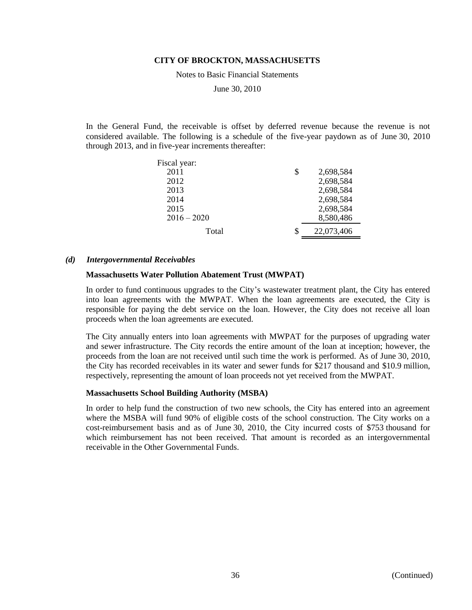Notes to Basic Financial Statements

June 30, 2010

In the General Fund, the receivable is offset by deferred revenue because the revenue is not considered available. The following is a schedule of the five-year paydown as of June 30, 2010 through 2013, and in five-year increments thereafter:

| Fiscal year:  |                 |
|---------------|-----------------|
| 2011          | \$<br>2,698,584 |
| 2012          | 2,698,584       |
| 2013          | 2,698,584       |
| 2014          | 2,698,584       |
| 2015          | 2,698,584       |
| $2016 - 2020$ | 8,580,486       |
| Total         | 22,073,406      |

#### *(d) Intergovernmental Receivables*

#### **Massachusetts Water Pollution Abatement Trust (MWPAT)**

In order to fund continuous upgrades to the City's wastewater treatment plant, the City has entered into loan agreements with the MWPAT. When the loan agreements are executed, the City is responsible for paying the debt service on the loan. However, the City does not receive all loan proceeds when the loan agreements are executed.

The City annually enters into loan agreements with MWPAT for the purposes of upgrading water and sewer infrastructure. The City records the entire amount of the loan at inception; however, the proceeds from the loan are not received until such time the work is performed. As of June 30, 2010, the City has recorded receivables in its water and sewer funds for \$217 thousand and \$10.9 million, respectively, representing the amount of loan proceeds not yet received from the MWPAT.

#### **Massachusetts School Building Authority (MSBA)**

In order to help fund the construction of two new schools, the City has entered into an agreement where the MSBA will fund 90% of eligible costs of the school construction. The City works on a cost-reimbursement basis and as of June 30, 2010, the City incurred costs of \$753 thousand for which reimbursement has not been received. That amount is recorded as an intergovernmental receivable in the Other Governmental Funds.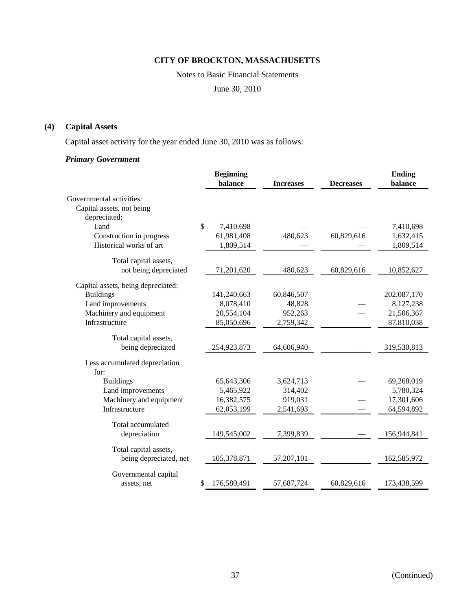Notes to Basic Financial Statements

June 30, 2010

### **(4) Capital Assets**

Capital asset activity for the year ended June 30, 2010 was as follows:

### *Primary Government*

|                                       |              | <b>Beginning</b> |                  |                  | <b>Ending</b> |
|---------------------------------------|--------------|------------------|------------------|------------------|---------------|
|                                       |              | balance          | <b>Increases</b> | <b>Decreases</b> | balance       |
| Governmental activities:              |              |                  |                  |                  |               |
| Capital assets, not being             |              |                  |                  |                  |               |
| depreciated:                          |              |                  |                  |                  |               |
| Land                                  | $\mathbb{S}$ | 7,410,698        |                  |                  | 7,410,698     |
| Construction in progress              |              | 61,981,408       | 480,623          | 60,829,616       | 1,632,415     |
| Historical works of art               |              | 1,809,514        |                  |                  | 1,809,514     |
| Total capital assets,                 |              |                  |                  |                  |               |
| not being depreciated                 |              | 71,201,620       | 480,623          | 60,829,616       | 10,852,627    |
| Capital assets, being depreciated:    |              |                  |                  |                  |               |
| <b>Buildings</b>                      |              | 141,240,663      | 60,846,507       |                  | 202,087,170   |
| Land improvements                     |              | 8,078,410        | 48,828           |                  | 8,127,238     |
| Machinery and equipment               |              | 20,554,104       | 952,263          |                  | 21,506,367    |
| Infrastructure                        |              | 85,050,696       | 2,759,342        |                  | 87,810,038    |
| Total capital assets,                 |              |                  |                  |                  |               |
| being depreciated                     |              | 254,923,873      | 64,606,940       |                  | 319,530,813   |
| Less accumulated depreciation<br>for: |              |                  |                  |                  |               |
| <b>Buildings</b>                      |              | 65,643,306       | 3,624,713        |                  | 69,268,019    |
| Land improvements                     |              | 5,465,922        | 314,402          |                  | 5,780,324     |
| Machinery and equipment               |              | 16,382,575       | 919,031          |                  | 17,301,606    |
| Infrastructure                        |              | 62,053,199       | 2,541,693        |                  | 64,594,892    |
| Total accumulated                     |              |                  |                  |                  |               |
| depreciation                          |              | 149,545,002      | 7,399,839        |                  | 156,944,841   |
| Total capital assets,                 |              |                  |                  |                  |               |
| being depreciated, net                |              | 105,378,871      | 57,207,101       |                  | 162,585,972   |
| Governmental capital                  |              |                  |                  |                  |               |
| assets, net                           | \$           | 176,580,491      | 57,687,724       | 60,829,616       | 173,438,599   |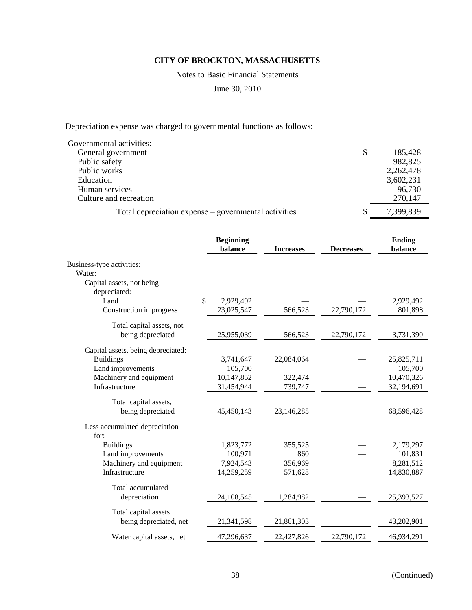Notes to Basic Financial Statements

June 30, 2010

Depreciation expense was charged to governmental functions as follows:

| Governmental activities:                             |               |
|------------------------------------------------------|---------------|
| General government                                   | \$<br>185,428 |
| Public safety                                        | 982,825       |
| Public works                                         | 2,262,478     |
| Education                                            | 3,602,231     |
| Human services                                       | 96,730        |
| Culture and recreation                               | 270,147       |
| Total depreciation expense – governmental activities | 7,399,839     |

|                                    | <b>Beginning</b><br>balance | <b>Increases</b> | <b>Decreases</b> | <b>Ending</b><br>balance |
|------------------------------------|-----------------------------|------------------|------------------|--------------------------|
| Business-type activities:          |                             |                  |                  |                          |
| Water:                             |                             |                  |                  |                          |
| Capital assets, not being          |                             |                  |                  |                          |
| depreciated:                       |                             |                  |                  |                          |
| Land                               | \$<br>2,929,492             |                  |                  | 2,929,492                |
| Construction in progress           | 23,025,547                  | 566,523          | 22,790,172       | 801,898                  |
| Total capital assets, not          |                             |                  |                  |                          |
| being depreciated                  | 25,955,039                  | 566,523          | 22,790,172       | 3,731,390                |
|                                    |                             |                  |                  |                          |
| Capital assets, being depreciated: |                             |                  |                  |                          |
| <b>Buildings</b>                   | 3,741,647                   | 22,084,064       |                  | 25,825,711               |
| Land improvements                  | 105,700                     |                  |                  | 105,700                  |
| Machinery and equipment            | 10,147,852                  | 322,474          |                  | 10,470,326               |
| Infrastructure                     | 31,454,944                  | 739,747          |                  | 32,194,691               |
| Total capital assets,              |                             |                  |                  |                          |
| being depreciated                  | 45,450,143                  | 23,146,285       |                  | 68,596,428               |
| Less accumulated depreciation      |                             |                  |                  |                          |
| for:                               |                             |                  |                  |                          |
| <b>Buildings</b>                   | 1,823,772                   | 355,525          |                  | 2,179,297                |
| Land improvements                  | 100,971                     | 860              |                  | 101,831                  |
| Machinery and equipment            | 7,924,543                   | 356,969          |                  | 8,281,512                |
| Infrastructure                     | 14,259,259                  | 571,628          |                  | 14,830,887               |
| Total accumulated                  |                             |                  |                  |                          |
| depreciation                       | 24,108,545                  | 1,284,982        |                  | 25,393,527               |
|                                    |                             |                  |                  |                          |
| Total capital assets               |                             |                  |                  |                          |
| being depreciated, net             | 21, 341, 598                | 21,861,303       |                  | 43,202,901               |
| Water capital assets, net          | 47,296,637                  | 22,427,826       | 22,790,172       | 46,934,291               |
|                                    |                             |                  |                  |                          |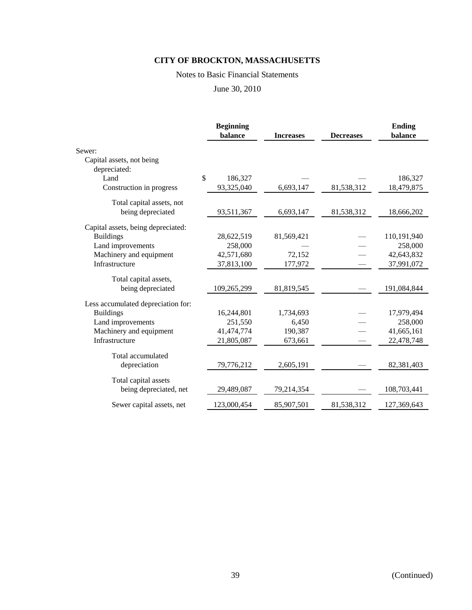### Notes to Basic Financial Statements

### June 30, 2010

|                                           | <b>Beginning</b><br>balance | <b>Increases</b> | <b>Decreases</b> | <b>Ending</b><br>balance |
|-------------------------------------------|-----------------------------|------------------|------------------|--------------------------|
| Sewer:                                    |                             |                  |                  |                          |
| Capital assets, not being<br>depreciated: |                             |                  |                  |                          |
| Land                                      | \$<br>186,327               |                  |                  | 186,327                  |
| Construction in progress                  | 93,325,040                  | 6,693,147        | 81,538,312       | 18,479,875               |
| Total capital assets, not                 |                             |                  |                  |                          |
| being depreciated                         | 93,511,367                  | 6,693,147        | 81,538,312       | 18,666,202               |
| Capital assets, being depreciated:        |                             |                  |                  |                          |
| <b>Buildings</b>                          | 28,622,519                  | 81,569,421       |                  | 110,191,940              |
| Land improvements                         | 258,000                     |                  |                  | 258,000                  |
| Machinery and equipment                   | 42,571,680                  | 72,152           |                  | 42,643,832               |
| Infrastructure                            | 37,813,100                  | 177,972          |                  | 37,991,072               |
| Total capital assets,                     |                             |                  |                  |                          |
| being depreciated                         | 109,265,299                 | 81,819,545       |                  | 191,084,844              |
| Less accumulated depreciation for:        |                             |                  |                  |                          |
| <b>Buildings</b>                          | 16,244,801                  | 1,734,693        |                  | 17,979,494               |
| Land improvements                         | 251,550                     | 6,450            |                  | 258,000                  |
| Machinery and equipment                   | 41,474,774                  | 190,387          |                  | 41,665,161               |
| Infrastructure                            | 21,805,087                  | 673,661          |                  | 22,478,748               |
| Total accumulated                         |                             |                  |                  |                          |
| depreciation                              | 79,776,212                  | 2,605,191        |                  | 82,381,403               |
| Total capital assets                      |                             |                  |                  |                          |
| being depreciated, net                    | 29,489,087                  | 79,214,354       |                  | 108,703,441              |
| Sewer capital assets, net                 | 123,000,454                 | 85,907,501       | 81,538,312       | 127,369,643              |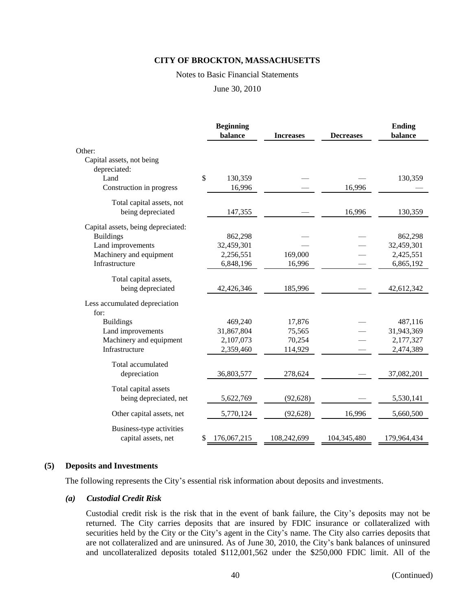#### Notes to Basic Financial Statements

### June 30, 2010

|                                           | <b>Beginning</b><br>balance | <b>Increases</b> | <b>Decreases</b> | <b>Ending</b><br>balance |
|-------------------------------------------|-----------------------------|------------------|------------------|--------------------------|
| Other:                                    |                             |                  |                  |                          |
| Capital assets, not being<br>depreciated: |                             |                  |                  |                          |
| Land                                      | \$<br>130,359               |                  |                  | 130,359                  |
| Construction in progress                  | 16,996                      |                  | 16,996           |                          |
| Total capital assets, not                 |                             |                  |                  |                          |
| being depreciated                         | 147,355                     |                  | 16,996           | 130,359                  |
| Capital assets, being depreciated:        |                             |                  |                  |                          |
| <b>Buildings</b>                          | 862,298                     |                  |                  | 862,298                  |
| Land improvements                         | 32,459,301                  |                  |                  | 32,459,301               |
| Machinery and equipment                   | 2,256,551                   | 169,000          |                  | 2,425,551                |
| Infrastructure                            | 6,848,196                   | 16,996           |                  | 6,865,192                |
| Total capital assets,                     |                             |                  |                  |                          |
| being depreciated                         | 42,426,346                  | 185,996          |                  | 42,612,342               |
| Less accumulated depreciation<br>for:     |                             |                  |                  |                          |
| <b>Buildings</b>                          | 469,240                     | 17,876           |                  | 487,116                  |
| Land improvements                         | 31,867,804                  | 75,565           |                  | 31,943,369               |
| Machinery and equipment                   | 2,107,073                   | 70,254           |                  | 2,177,327                |
| Infrastructure                            | 2,359,460                   | 114,929          |                  | 2,474,389                |
| Total accumulated                         |                             |                  |                  |                          |
| depreciation                              | 36,803,577                  | 278,624          |                  | 37,082,201               |
| Total capital assets                      |                             |                  |                  |                          |
| being depreciated, net                    | 5,622,769                   | (92, 628)        |                  | 5,530,141                |
| Other capital assets, net                 | 5,770,124                   | (92, 628)        | 16,996           | 5,660,500                |
| Business-type activities                  |                             |                  |                  |                          |
| capital assets, net                       | \$<br>176,067,215           | 108,242,699      | 104,345,480      | 179,964,434              |

#### **(5) Deposits and Investments**

The following represents the City's essential risk information about deposits and investments.

#### *(a) Custodial Credit Risk*

Custodial credit risk is the risk that in the event of bank failure, the City's deposits may not be returned. The City carries deposits that are insured by FDIC insurance or collateralized with securities held by the City or the City's agent in the City's name. The City also carries deposits that are not collateralized and are uninsured. As of June 30, 2010, the City's bank balances of uninsured and uncollateralized deposits totaled \$112,001,562 under the \$250,000 FDIC limit. All of the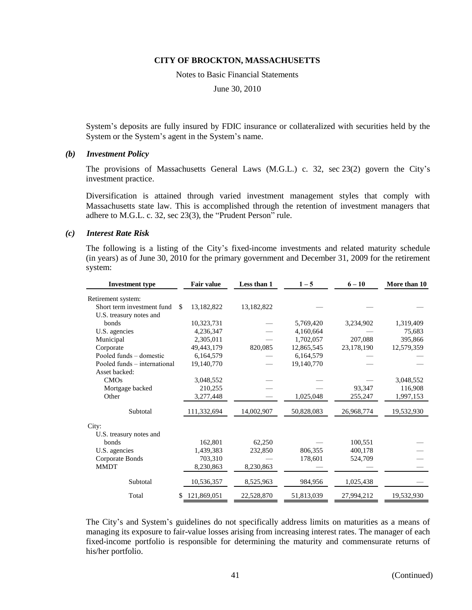Notes to Basic Financial Statements

June 30, 2010

System's deposits are fully insured by FDIC insurance or collateralized with securities held by the System or the System's agent in the System's name.

#### *(b) Investment Policy*

The provisions of Massachusetts General Laws (M.G.L.) c. 32, sec 23(2) govern the City's investment practice.

Diversification is attained through varied investment management styles that comply with Massachusetts state law. This is accomplished through the retention of investment managers that adhere to M.G.L. c. 32, sec 23(3), the "Prudent Person" rule.

#### *(c) Interest Rate Risk*

The following is a listing of the City's fixed-income investments and related maturity schedule (in years) as of June 30, 2010 for the primary government and December 31, 2009 for the retirement system:

| <b>Investment</b> type       | <b>Fair value</b> | Less than 1 | $1 - 5$    | $6 - 10$   | More than 10 |
|------------------------------|-------------------|-------------|------------|------------|--------------|
| Retirement system:           |                   |             |            |            |              |
| Short term investment fund   | \$.<br>13,182,822 | 13,182,822  |            |            |              |
| U.S. treasury notes and      |                   |             |            |            |              |
| bonds                        | 10,323,731        |             | 5,769,420  | 3,234,902  | 1,319,409    |
| U.S. agencies                | 4,236,347         |             | 4,160,664  |            | 75,683       |
| Municipal                    | 2,305,011         |             | 1,702,057  | 207,088    | 395,866      |
| Corporate                    | 49,443,179        | 820,085     | 12,865,545 | 23,178,190 | 12,579,359   |
| Pooled funds - domestic      | 6,164,579         |             | 6,164,579  |            |              |
| Pooled funds – international | 19,140,770        |             | 19,140,770 |            |              |
| Asset backed:                |                   |             |            |            |              |
| <b>CMOs</b>                  | 3,048,552         |             |            |            | 3,048,552    |
| Mortgage backed              | 210,255           |             |            | 93,347     | 116,908      |
| Other                        | 3,277,448         |             | 1,025,048  | 255,247    | 1,997,153    |
| Subtotal                     | 111,332,694       | 14,002,907  | 50,828,083 | 26,968,774 | 19,532,930   |
| City:                        |                   |             |            |            |              |
| U.S. treasury notes and      |                   |             |            |            |              |
| bonds                        | 162,801           | 62,250      |            | 100,551    |              |
| U.S. agencies                | 1,439,383         | 232,850     | 806,355    | 400,178    |              |
| Corporate Bonds              | 703,310           |             | 178,601    | 524,709    |              |
| <b>MMDT</b>                  | 8,230,863         | 8,230,863   |            |            |              |
| Subtotal                     | 10,536,357        | 8,525,963   | 984,956    | 1,025,438  |              |
| Total                        | 121,869,051<br>\$ | 22,528,870  | 51,813,039 | 27,994,212 | 19,532,930   |

The City's and System's guidelines do not specifically address limits on maturities as a means of managing its exposure to fair-value losses arising from increasing interest rates. The manager of each fixed-income portfolio is responsible for determining the maturity and commensurate returns of his/her portfolio.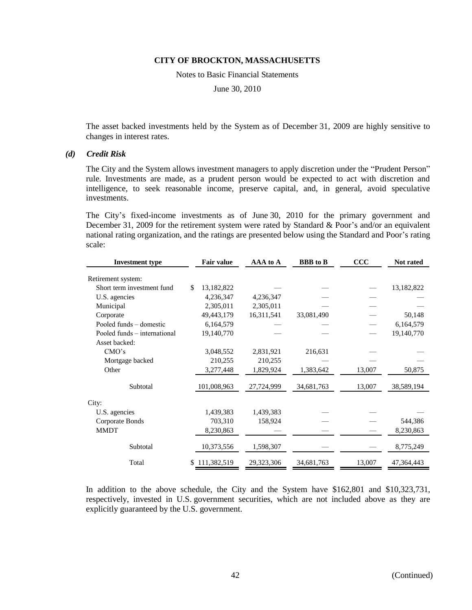Notes to Basic Financial Statements

June 30, 2010

The asset backed investments held by the System as of December 31, 2009 are highly sensitive to changes in interest rates.

#### *(d) Credit Risk*

The City and the System allows investment managers to apply discretion under the "Prudent Person" rule. Investments are made, as a prudent person would be expected to act with discretion and intelligence, to seek reasonable income, preserve capital, and, in general, avoid speculative investments.

The City's fixed-income investments as of June 30, 2010 for the primary government and December 31, 2009 for the retirement system were rated by Standard & Poor's and/or an equivalent national rating organization, and the ratings are presented below using the Standard and Poor's rating scale:

| <b>Investment type</b>       | <b>Fair value</b> | AAA to A   | <b>BBB</b> to <b>B</b> | CCC    | Not rated  |
|------------------------------|-------------------|------------|------------------------|--------|------------|
| Retirement system:           |                   |            |                        |        |            |
| Short term investment fund   | \$<br>13,182,822  |            |                        |        | 13,182,822 |
| U.S. agencies                | 4,236,347         | 4,236,347  |                        |        |            |
| Municipal                    | 2,305,011         | 2,305,011  |                        |        |            |
| Corporate                    | 49,443,179        | 16,311,541 | 33,081,490             |        | 50,148     |
| Pooled funds – domestic      | 6,164,579         |            |                        |        | 6,164,579  |
| Pooled funds - international | 19,140,770        |            |                        |        | 19,140,770 |
| Asset backed:                |                   |            |                        |        |            |
| CMO's                        | 3,048,552         | 2,831,921  | 216,631                |        |            |
| Mortgage backed              | 210,255           | 210,255    |                        |        |            |
| Other                        | 3,277,448         | 1,829,924  | 1,383,642              | 13,007 | 50,875     |
| Subtotal                     | 101,008,963       | 27,724,999 | 34,681,763             | 13,007 | 38,589,194 |
| City:                        |                   |            |                        |        |            |
| U.S. agencies                | 1,439,383         | 1,439,383  |                        |        |            |
| Corporate Bonds              | 703,310           | 158,924    |                        |        | 544,386    |
| <b>MMDT</b>                  | 8,230,863         |            |                        |        | 8,230,863  |
| Subtotal                     | 10,373,556        | 1,598,307  |                        |        | 8,775,249  |
| Total                        | 111,382,519<br>\$ | 29,323,306 | 34,681,763             | 13,007 | 47,364,443 |

In addition to the above schedule, the City and the System have \$162,801 and \$10,323,731, respectively, invested in U.S. government securities, which are not included above as they are explicitly guaranteed by the U.S. government.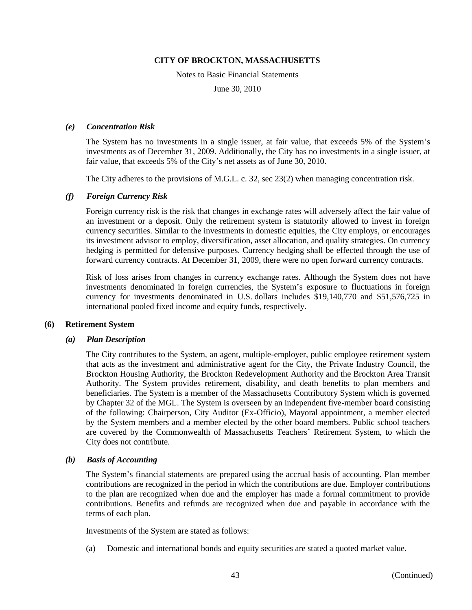Notes to Basic Financial Statements

June 30, 2010

#### *(e) Concentration Risk*

The System has no investments in a single issuer, at fair value, that exceeds 5% of the System's investments as of December 31, 2009. Additionally, the City has no investments in a single issuer, at fair value, that exceeds 5% of the City's net assets as of June 30, 2010.

The City adheres to the provisions of M.G.L. c. 32, sec 23(2) when managing concentration risk.

#### *(f) Foreign Currency Risk*

Foreign currency risk is the risk that changes in exchange rates will adversely affect the fair value of an investment or a deposit. Only the retirement system is statutorily allowed to invest in foreign currency securities. Similar to the investments in domestic equities, the City employs, or encourages its investment advisor to employ, diversification, asset allocation, and quality strategies. On currency hedging is permitted for defensive purposes. Currency hedging shall be effected through the use of forward currency contracts. At December 31, 2009, there were no open forward currency contracts.

Risk of loss arises from changes in currency exchange rates. Although the System does not have investments denominated in foreign currencies, the System's exposure to fluctuations in foreign currency for investments denominated in U.S. dollars includes \$19,140,770 and \$51,576,725 in international pooled fixed income and equity funds, respectively.

#### **(6) Retirement System**

#### *(a) Plan Description*

The City contributes to the System, an agent, multiple-employer, public employee retirement system that acts as the investment and administrative agent for the City, the Private Industry Council, the Brockton Housing Authority, the Brockton Redevelopment Authority and the Brockton Area Transit Authority. The System provides retirement, disability, and death benefits to plan members and beneficiaries. The System is a member of the Massachusetts Contributory System which is governed by Chapter 32 of the MGL. The System is overseen by an independent five-member board consisting of the following: Chairperson, City Auditor (Ex-Officio), Mayoral appointment, a member elected by the System members and a member elected by the other board members. Public school teachers are covered by the Commonwealth of Massachusetts Teachers' Retirement System, to which the City does not contribute.

#### *(b) Basis of Accounting*

The System's financial statements are prepared using the accrual basis of accounting. Plan member contributions are recognized in the period in which the contributions are due. Employer contributions to the plan are recognized when due and the employer has made a formal commitment to provide contributions. Benefits and refunds are recognized when due and payable in accordance with the terms of each plan.

Investments of the System are stated as follows:

(a) Domestic and international bonds and equity securities are stated a quoted market value.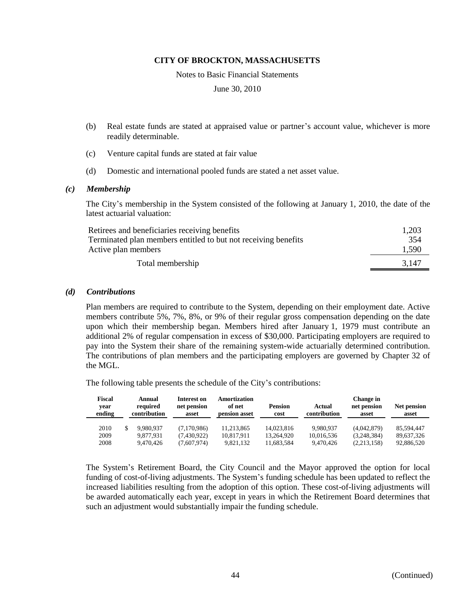#### Notes to Basic Financial Statements

June 30, 2010

- (b) Real estate funds are stated at appraised value or partner's account value, whichever is more readily determinable.
- (c) Venture capital funds are stated at fair value
- (d) Domestic and international pooled funds are stated a net asset value.

#### *(c) Membership*

The City's membership in the System consisted of the following at January 1, 2010, the date of the latest actuarial valuation:

| Retirees and beneficiaries receiving benefits                  | 1,203 |
|----------------------------------------------------------------|-------|
| Terminated plan members entitled to but not receiving benefits | 354   |
| Active plan members                                            | 1,590 |
| Total membership                                               | 3.147 |

#### *(d) Contributions*

Plan members are required to contribute to the System, depending on their employment date. Active members contribute 5%, 7%, 8%, or 9% of their regular gross compensation depending on the date upon which their membership began. Members hired after January 1, 1979 must contribute an additional 2% of regular compensation in excess of \$30,000. Participating employers are required to pay into the System their share of the remaining system-wide actuarially determined contribution. The contributions of plan members and the participating employers are governed by Chapter 32 of the MGL.

The following table presents the schedule of the City's contributions:

| Fiscal<br>vear<br>ending | Annual<br>required<br>contribution | Interest on<br>net pension<br>asset | Amortization<br>of net<br>pension asset | <b>Pension</b><br>cost | Actual<br>contribution | Change in<br>net pension<br>asset | Net pension<br>asset |
|--------------------------|------------------------------------|-------------------------------------|-----------------------------------------|------------------------|------------------------|-----------------------------------|----------------------|
| 2010                     | 9.980.937                          | (7.170.986)                         | 11.213.865                              | 14.023.816             | 9.980.937              | (4.042.879)                       | 85.594.447           |
| 2009                     | 9.877.931                          | (7.430.922)                         | 10.817.911                              | 13,264,920             | 10,016,536             | (3,248,384)                       | 89,637,326           |
| 2008                     | 9.470.426                          | (7,607,974)                         | 9,821,132                               | 11,683,584             | 9.470.426              | (2,213,158)                       | 92,886,520           |

The System's Retirement Board, the City Council and the Mayor approved the option for local funding of cost-of-living adjustments. The System's funding schedule has been updated to reflect the increased liabilities resulting from the adoption of this option. These cost-of-living adjustments will be awarded automatically each year, except in years in which the Retirement Board determines that such an adjustment would substantially impair the funding schedule.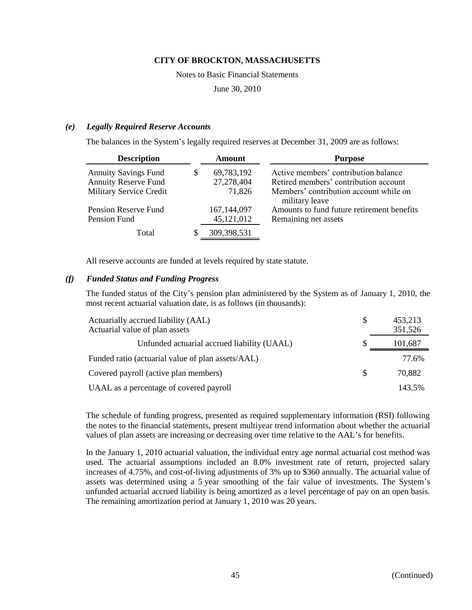Notes to Basic Financial Statements

June 30, 2010

#### *(e) Legally Required Reserve Accounts*

The balances in the System's legally required reserves at December 31, 2009 are as follows:

| <b>Description</b>          |    | Amount        | <b>Purpose</b>                                           |
|-----------------------------|----|---------------|----------------------------------------------------------|
| <b>Annuity Savings Fund</b> | \$ | 69,783,192    | Active members' contribution balance                     |
| <b>Annuity Reserve Fund</b> |    | 27,278,404    | Retired members' contribution account                    |
| Military Service Credit     |    | 71,826        | Members' contribution account while on<br>military leave |
| Pension Reserve Fund        |    | 167, 144, 097 | Amounts to fund future retirement benefits               |
| Pension Fund                |    | 45,121,012    | Remaining net assets                                     |
| Total                       | S  | 309,398,531   |                                                          |

All reserve accounts are funded at levels required by state statute.

#### *(f) Funded Status and Funding Progress*

The funded status of the City's pension plan administered by the System as of January 1, 2010, the most recent actuarial valuation date, is as follows (in thousands):

| Actuarially accrued liability (AAL)<br>Actuarial value of plan assets | S        | 453,213<br>351,526 |
|-----------------------------------------------------------------------|----------|--------------------|
| Unfunded actuarial accrued liability (UAAL)                           | S.       | 101,687            |
| Funded ratio (actuarial value of plan assets/AAL)                     |          | 77.6%              |
| Covered payroll (active plan members)                                 | <b>S</b> | 70,882             |
| UAAL as a percentage of covered payroll                               |          | 143.5%             |

The schedule of funding progress, presented as required supplementary information (RSI) following the notes to the financial statements, present multiyear trend information about whether the actuarial values of plan assets are increasing or decreasing over time relative to the AAL's for benefits.

In the January 1, 2010 actuarial valuation, the individual entry age normal actuarial cost method was used. The actuarial assumptions included an 8.0% investment rate of return, projected salary increases of 4.75%, and cost-of-living adjustments of 3% up to \$360 annually. The actuarial value of assets was determined using a 5 year smoothing of the fair value of investments. The System's unfunded actuarial accrued liability is being amortized as a level percentage of pay on an open basis. The remaining amortization period at January 1, 2010 was 20 years.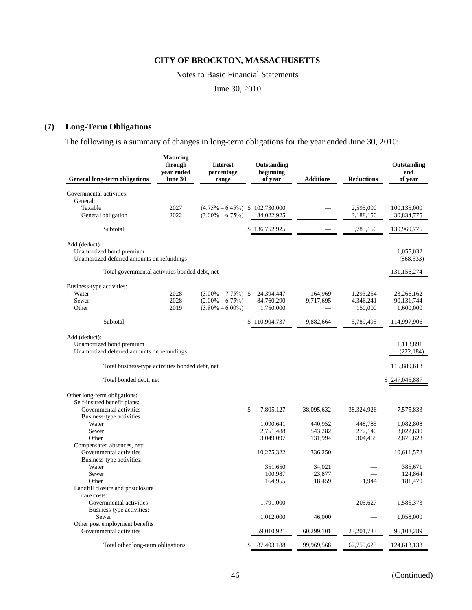### Notes to Basic Financial Statements

June 30, 2010

### **(7) Long-Term Obligations**

The following is a summary of changes in long-term obligations for the year ended June 30, 2010:

| <b>General long-term obligations</b>                                                    | <b>Maturing</b><br>through<br>year ended<br>June 30 | <b>Interest</b><br>percentage<br>range | Outstanding<br>beginning<br>of vear | <b>Additions</b>   | <b>Reductions</b>  | Outstanding<br>end<br>of year |
|-----------------------------------------------------------------------------------------|-----------------------------------------------------|----------------------------------------|-------------------------------------|--------------------|--------------------|-------------------------------|
| Governmental activities:                                                                |                                                     |                                        |                                     |                    |                    |                               |
| General:                                                                                |                                                     |                                        |                                     |                    |                    |                               |
| Taxable                                                                                 | 2027                                                | $(4.75\% - 6.45\%)$ \$ 102,730,000     |                                     |                    | 2,595,000          | 100,135,000                   |
| General obligation                                                                      | 2022                                                | $(3.00\% - 6.75\%)$                    | 34,022,925                          |                    | 3,188,150          | 30,834,775                    |
| Subtotal                                                                                |                                                     |                                        | 136,752,925                         |                    | 5,783,150          | 130,969,775                   |
| Add (deduct):<br>Unamortized bond premium<br>Unamortized deferred amounts on refundings |                                                     |                                        |                                     |                    |                    | 1,055,032<br>(868, 533)       |
| Total governmental activities bonded debt, net                                          |                                                     |                                        |                                     |                    |                    | 131,156,274                   |
|                                                                                         |                                                     |                                        |                                     |                    |                    |                               |
| Business-type activities:<br>Water                                                      | 2028                                                | $(3.00\% - 7.75\%)$ \$                 | 24,394,447                          | 164,969            | 1,293,254          | 23,266,162                    |
| Sewer                                                                                   | 2028                                                | $(2.00\% - 6.75\%)$                    | 84,760,290                          | 9,717,695          | 4,346,241          | 90,131,744                    |
| Other                                                                                   | 2019                                                | $(3.80\% - 6.00\%)$                    | 1,750,000                           |                    | 150,000            | 1,600,000                     |
| Subtotal                                                                                |                                                     |                                        | \$110,904,737                       | 9,882,664          | 5,789,495          | 114,997,906                   |
| Add (deduct):<br>Unamortized bond premium<br>Unamortized deferred amounts on refundings |                                                     |                                        |                                     |                    |                    | 1,113,891<br>(222, 184)       |
| Total business-type activities bonded debt, net                                         |                                                     |                                        |                                     |                    |                    | 115,889,613                   |
| Total bonded debt, net                                                                  |                                                     |                                        |                                     |                    |                    | \$247,045,887                 |
| Other long-term obligations:<br>Self-insured benefit plans:                             |                                                     |                                        |                                     |                    |                    |                               |
| Governmental activities                                                                 |                                                     |                                        | \$<br>7,805,127                     | 38,095,632         | 38,324,926         | 7,575,833                     |
| Business-type activities:                                                               |                                                     |                                        |                                     |                    |                    |                               |
| Water<br>Sewer                                                                          |                                                     |                                        | 1,090,641                           | 440,952<br>543,282 | 448,785<br>272,140 | 1,082,808                     |
| Other                                                                                   |                                                     |                                        | 2,751,488<br>3,049,097              | 131,994            | 304,468            | 3,022,630<br>2,876,623        |
| Compensated absences, net:                                                              |                                                     |                                        |                                     |                    |                    |                               |
| Governmental activities                                                                 |                                                     |                                        | 10,275,322                          | 336,250            |                    | 10,611,572                    |
| Business-type activities:                                                               |                                                     |                                        |                                     |                    |                    |                               |
| Water                                                                                   |                                                     |                                        | 351,650                             | 34.021             |                    | 385,671                       |
| Sewer                                                                                   |                                                     |                                        | 100,987                             | 23,877             |                    | 124,864                       |
| Other                                                                                   |                                                     |                                        | 164,955                             | 18,459             | 1,944              | 181,470                       |
| Landfill closure and postclosure                                                        |                                                     |                                        |                                     |                    |                    |                               |
| care costs:                                                                             |                                                     |                                        |                                     |                    |                    |                               |
| Governmental activities                                                                 |                                                     |                                        | 1,791,000                           |                    | 205,627            | 1,585,373                     |
| Business-type activities:<br>Sewer                                                      |                                                     |                                        | 1,012,000                           | 46,000             |                    | 1,058,000                     |
| Other post employment benefits                                                          |                                                     |                                        |                                     |                    |                    |                               |
| Governmental activities                                                                 |                                                     |                                        | 59,010,921                          | 60,299,101         | 23, 201, 733       | 96,108,289                    |
| Total other long-term obligations                                                       |                                                     |                                        | 87,403,188<br>\$                    | 99,969,568         | 62,759,623         | 124,613,133                   |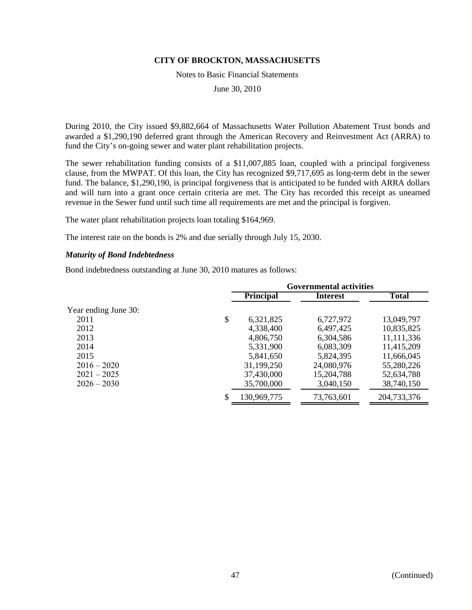Notes to Basic Financial Statements

June 30, 2010

During 2010, the City issued \$9,882,664 of Massachusetts Water Pollution Abatement Trust bonds and awarded a \$1,290,190 deferred grant through the American Recovery and Reinvestment Act (ARRA) to fund the City's on-going sewer and water plant rehabilitation projects.

The sewer rehabilitation funding consists of a \$11,007,885 loan, coupled with a principal forgiveness clause, from the MWPAT. Of this loan, the City has recognized \$9,717,695 as long-term debt in the sewer fund. The balance, \$1,290,190, is principal forgiveness that is anticipated to be funded with ARRA dollars and will turn into a grant once certain criteria are met. The City has recorded this receipt as unearned revenue in the Sewer fund until such time all requirements are met and the principal is forgiven.

The water plant rehabilitation projects loan totaling \$164,969.

The interest rate on the bonds is 2% and due serially through July 15, 2030.

#### *Maturity of Bond Indebtedness*

Bond indebtedness outstanding at June 30, 2010 matures as follows:

|                      | <b>Governmental activities</b> |                 |              |  |  |
|----------------------|--------------------------------|-----------------|--------------|--|--|
|                      | <b>Principal</b>               | <b>Interest</b> | <b>Total</b> |  |  |
| Year ending June 30: |                                |                 |              |  |  |
| 2011                 | \$<br>6,321,825                | 6,727,972       | 13,049,797   |  |  |
| 2012                 | 4,338,400                      | 6,497,425       | 10,835,825   |  |  |
| 2013                 | 4,806,750                      | 6,304,586       | 11,111,336   |  |  |
| 2014                 | 5,331,900                      | 6,083,309       | 11,415,209   |  |  |
| 2015                 | 5,841,650                      | 5,824,395       | 11,666,045   |  |  |
| $2016 - 2020$        | 31,199,250                     | 24,080,976      | 55,280,226   |  |  |
| $2021 - 2025$        | 37,430,000                     | 15,204,788      | 52,634,788   |  |  |
| $2026 - 2030$        | 35,700,000                     | 3,040,150       | 38,740,150   |  |  |
|                      | \$<br>130,969,775              | 73,763,601      | 204,733,376  |  |  |
|                      |                                |                 |              |  |  |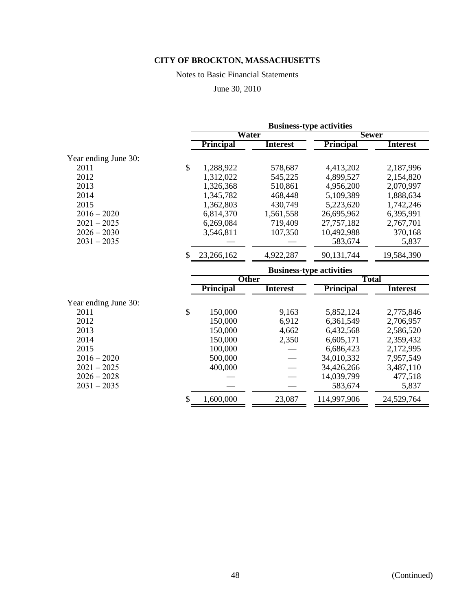Notes to Basic Financial Statements

June 30, 2010

|                      |    | <b>Business-type activities</b> |                 |                                 |                 |  |  |
|----------------------|----|---------------------------------|-----------------|---------------------------------|-----------------|--|--|
|                      |    | Water                           |                 |                                 | <b>Sewer</b>    |  |  |
|                      |    | <b>Principal</b>                | <b>Interest</b> | <b>Principal</b>                | <b>Interest</b> |  |  |
| Year ending June 30: |    |                                 |                 |                                 |                 |  |  |
| 2011                 | \$ | 1,288,922                       | 578,687         | 4,413,202                       | 2,187,996       |  |  |
| 2012                 |    | 1,312,022                       | 545,225         | 4,899,527                       | 2,154,820       |  |  |
| 2013                 |    | 1,326,368                       | 510,861         | 4,956,200                       | 2,070,997       |  |  |
| 2014                 |    | 1,345,782                       | 468,448         | 5,109,389                       | 1,888,634       |  |  |
| 2015                 |    | 1,362,803                       | 430,749         | 5,223,620                       | 1,742,246       |  |  |
| $2016 - 2020$        |    | 6,814,370                       | 1,561,558       | 26,695,962                      | 6,395,991       |  |  |
| $2021 - 2025$        |    | 6,269,084                       | 719,409         | 27,757,182                      | 2,767,701       |  |  |
| $2026 - 2030$        |    | 3,546,811                       | 107,350         | 10,492,988                      | 370,168         |  |  |
| $2031 - 2035$        |    |                                 |                 | 583,674                         | 5,837           |  |  |
|                      | S  | 23,266,162                      | 4,922,287       | 90,131,744                      | 19,584,390      |  |  |
|                      |    |                                 |                 | <b>Business-type activities</b> |                 |  |  |
|                      |    | <b>Other</b>                    |                 | <b>Total</b>                    |                 |  |  |
|                      |    | <b>Principal</b>                | <b>Interest</b> | <b>Principal</b>                | <b>Interest</b> |  |  |
| Year ending June 30: |    |                                 |                 |                                 |                 |  |  |
| 2011                 | \$ | 150,000                         | 9,163           | 5,852,124                       | 2,775,846       |  |  |
| 2012                 |    | 150,000                         | 6,912           | 6,361,549                       | 2,706,957       |  |  |
| 2013                 |    | 150,000                         | 4,662           | 6,432,568                       | 2,586,520       |  |  |
| 2014                 |    | 150,000                         | 2,350           | 6,605,171                       | 2,359,432       |  |  |
| 2015                 |    | 100,000                         |                 | 6,686,423                       | 2,172,995       |  |  |
| $2016 - 2020$        |    | 500,000                         |                 | 34,010,332                      | 7,957,549       |  |  |
| $2021 - 2025$        |    | 400,000                         |                 | 34,426,266                      | 3,487,110       |  |  |
| $2026 - 2028$        |    |                                 |                 | 14,039,799                      | 477,518         |  |  |
| $2031 - 2035$        |    |                                 |                 | 583,674                         | 5,837           |  |  |
|                      | \$ | 1,600,000                       | 23,087          | 114,997,906                     | 24,529,764      |  |  |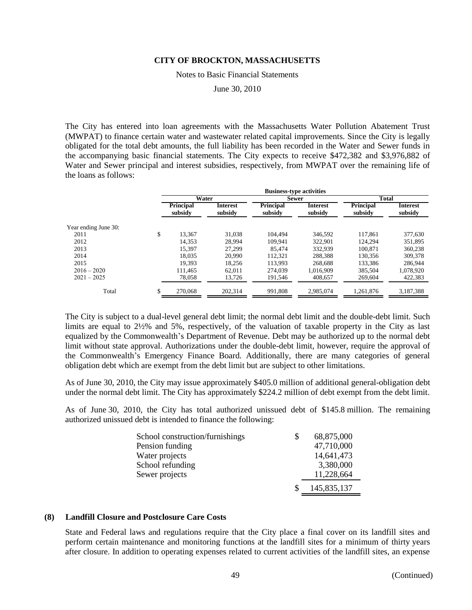Notes to Basic Financial Statements

June 30, 2010

The City has entered into loan agreements with the Massachusetts Water Pollution Abatement Trust (MWPAT) to finance certain water and wastewater related capital improvements. Since the City is legally obligated for the total debt amounts, the full liability has been recorded in the Water and Sewer funds in the accompanying basic financial statements. The City expects to receive \$472,382 and \$3,976,882 of Water and Sewer principal and interest subsidies, respectively, from MWPAT over the remaining life of the loans as follows:

|                      |        | <b>Business-type activities</b> |                            |                             |                            |                             |                     |  |  |  |
|----------------------|--------|---------------------------------|----------------------------|-----------------------------|----------------------------|-----------------------------|---------------------|--|--|--|
|                      |        | Water                           |                            | Sewer                       |                            | <b>Total</b>                |                     |  |  |  |
|                      |        | <b>Principal</b><br>subsidy     | <b>Interest</b><br>subsidy | <b>Principal</b><br>subsidy | <b>Interest</b><br>subsidy | <b>Principal</b><br>subsidy | Interest<br>subsidy |  |  |  |
| Year ending June 30: |        |                                 |                            |                             |                            |                             |                     |  |  |  |
| 2011                 | ¢<br>D | 13.367                          | 31.038                     | 104.494                     | 346.592                    | 117.861                     | 377,630             |  |  |  |
| 2012                 |        | 14,353                          | 28.994                     | 109.941                     | 322.901                    | 124.294                     | 351,895             |  |  |  |
| 2013                 |        | 15.397                          | 27.299                     | 85.474                      | 332.939                    | 100.871                     | 360,238             |  |  |  |
| 2014                 |        | 18,035                          | 20,990                     | 112.321                     | 288.388                    | 130.356                     | 309,378             |  |  |  |
| 2015                 |        | 19.393                          | 18.256                     | 113.993                     | 268,688                    | 133.386                     | 286,944             |  |  |  |
| $2016 - 2020$        |        | 111.465                         | 62.011                     | 274,039                     | 1.016.909                  | 385.504                     | 1,078,920           |  |  |  |
| $2021 - 2025$        |        | 78,058                          | 13,726                     | 191,546                     | 408,657                    | 269,604                     | 422,383             |  |  |  |
| Total                |        | 270,068                         | 202.314                    | 991.808                     | 2.985.074                  | 1.261.876                   | 3,187,388           |  |  |  |
|                      |        |                                 |                            |                             |                            |                             |                     |  |  |  |

The City is subject to a dual-level general debt limit; the normal debt limit and the double-debt limit. Such limits are equal to 2½% and 5%, respectively, of the valuation of taxable property in the City as last equalized by the Commonwealth's Department of Revenue. Debt may be authorized up to the normal debt limit without state approval. Authorizations under the double-debt limit, however, require the approval of the Commonwealth's Emergency Finance Board. Additionally, there are many categories of general obligation debt which are exempt from the debt limit but are subject to other limitations.

As of June 30, 2010, the City may issue approximately \$405.0 million of additional general-obligation debt under the normal debt limit. The City has approximately \$224.2 million of debt exempt from the debt limit.

As of June 30, 2010, the City has total authorized unissued debt of \$145.8 million. The remaining authorized unissued debt is intended to finance the following:

| School construction/furnishings | S | 68,875,000  |
|---------------------------------|---|-------------|
| Pension funding                 |   | 47,710,000  |
| Water projects                  |   | 14,641,473  |
| School refunding                |   | 3,380,000   |
| Sewer projects                  |   | 11,228,664  |
|                                 | S | 145,835,137 |

#### **(8) Landfill Closure and Postclosure Care Costs**

State and Federal laws and regulations require that the City place a final cover on its landfill sites and perform certain maintenance and monitoring functions at the landfill sites for a minimum of thirty years after closure. In addition to operating expenses related to current activities of the landfill sites, an expense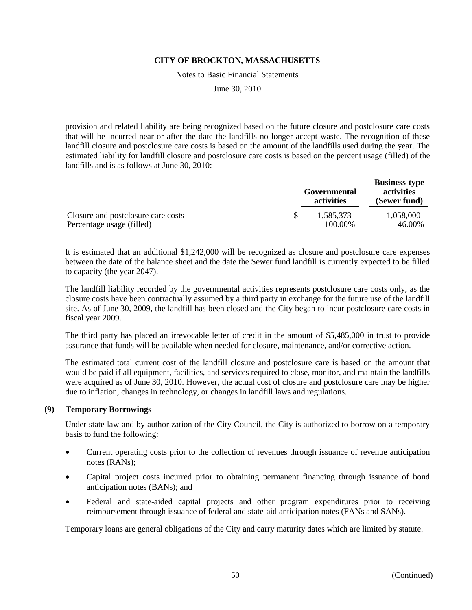Notes to Basic Financial Statements

June 30, 2010

provision and related liability are being recognized based on the future closure and postclosure care costs that will be incurred near or after the date the landfills no longer accept waste. The recognition of these landfill closure and postclosure care costs is based on the amount of the landfills used during the year. The estimated liability for landfill closure and postclosure care costs is based on the percent usage (filled) of the landfills and is as follows at June 30, 2010:

|                                    | Governmental<br>activities | <b>Business-type</b><br>activities<br>(Sewer fund) |
|------------------------------------|----------------------------|----------------------------------------------------|
| Closure and postclosure care costs | 1.585.373                  | 1,058,000                                          |
| Percentage usage (filled)          | 100.00%                    | 46.00%                                             |

It is estimated that an additional \$1,242,000 will be recognized as closure and postclosure care expenses between the date of the balance sheet and the date the Sewer fund landfill is currently expected to be filled to capacity (the year 2047).

The landfill liability recorded by the governmental activities represents postclosure care costs only, as the closure costs have been contractually assumed by a third party in exchange for the future use of the landfill site. As of June 30, 2009, the landfill has been closed and the City began to incur postclosure care costs in fiscal year 2009.

The third party has placed an irrevocable letter of credit in the amount of \$5,485,000 in trust to provide assurance that funds will be available when needed for closure, maintenance, and/or corrective action.

The estimated total current cost of the landfill closure and postclosure care is based on the amount that would be paid if all equipment, facilities, and services required to close, monitor, and maintain the landfills were acquired as of June 30, 2010. However, the actual cost of closure and postclosure care may be higher due to inflation, changes in technology, or changes in landfill laws and regulations.

#### **(9) Temporary Borrowings**

Under state law and by authorization of the City Council, the City is authorized to borrow on a temporary basis to fund the following:

- Current operating costs prior to the collection of revenues through issuance of revenue anticipation notes (RANs);
- Capital project costs incurred prior to obtaining permanent financing through issuance of bond anticipation notes (BANs); and
- Federal and state-aided capital projects and other program expenditures prior to receiving reimbursement through issuance of federal and state-aid anticipation notes (FANs and SANs).

Temporary loans are general obligations of the City and carry maturity dates which are limited by statute.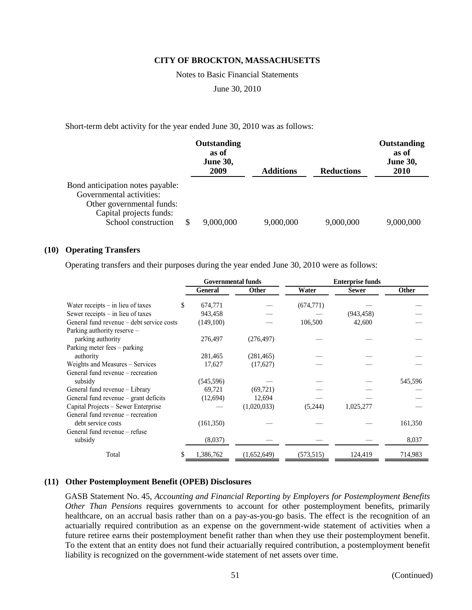Notes to Basic Financial Statements

June 30, 2010

Short-term debt activity for the year ended June 30, 2010 was as follows:

|                                                                                                                                             | Outstanding<br>as of<br><b>June 30,</b><br>2009 | <b>Additions</b> | <b>Reductions</b> | Outstanding<br>as of<br><b>June 30,</b><br><b>2010</b> |
|---------------------------------------------------------------------------------------------------------------------------------------------|-------------------------------------------------|------------------|-------------------|--------------------------------------------------------|
| Bond anticipation notes payable:<br>Governmental activities:<br>Other governmental funds:<br>Capital projects funds:<br>School construction | 9,000,000                                       | 9,000,000        | 9,000,000         | 9,000,000                                              |

#### **(10) Operating Transfers**

Operating transfers and their purposes during the year ended June 30, 2010 were as follows:

|                                           |    | <b>Governmental funds</b> |              | <b>Enterprise funds</b> |              |         |  |
|-------------------------------------------|----|---------------------------|--------------|-------------------------|--------------|---------|--|
|                                           |    | General                   | <b>Other</b> | Water                   | <b>Sewer</b> | Other   |  |
| Water receipts $-$ in lieu of taxes       | \$ | 674,771                   |              | (674, 771)              |              |         |  |
| Sewer receipts $-$ in lieu of taxes       |    | 943,458                   |              |                         | (943, 458)   |         |  |
| General fund revenue – debt service costs |    | (149,100)                 |              | 106,500                 | 42,600       |         |  |
| Parking authority reserve –               |    |                           |              |                         |              |         |  |
| parking authority                         |    | 276,497                   | (276, 497)   |                         |              |         |  |
| Parking meter fees – parking              |    |                           |              |                         |              |         |  |
| authority                                 |    | 281,465                   | (281, 465)   |                         |              |         |  |
| Weights and Measures – Services           |    | 17,627                    | (17,627)     |                         |              |         |  |
| General fund revenue – recreation         |    |                           |              |                         |              |         |  |
| subsidy                                   |    | (545, 596)                |              |                         |              | 545,596 |  |
| General fund revenue – Library            |    | 69,721                    | (69, 721)    |                         |              |         |  |
| General fund revenue – grant deficits     |    | (12,694)                  | 12,694       |                         |              |         |  |
| Capital Projects – Sewer Enterprise       |    |                           | (1,020,033)  | (5,244)                 | 1,025,277    |         |  |
| General fund revenue – recreation         |    |                           |              |                         |              |         |  |
| debt service costs                        |    | (161,350)                 |              |                         |              | 161,350 |  |
| General fund revenue – refuse             |    |                           |              |                         |              |         |  |
| subsidy                                   |    | (8,037)                   |              |                         |              | 8,037   |  |
| Total                                     | S  | 1,386,762                 | (1,652,649)  | (573, 515)              | 124,419      | 714,983 |  |

#### **(11) Other Postemployment Benefit (OPEB) Disclosures**

GASB Statement No. 45, *Accounting and Financial Reporting by Employers for Postemployment Benefits Other Than Pensions* requires governments to account for other postemployment benefits, primarily healthcare, on an accrual basis rather than on a pay-as-you-go basis. The effect is the recognition of an actuarially required contribution as an expense on the government-wide statement of activities when a future retiree earns their postemployment benefit rather than when they use their postemployment benefit. To the extent that an entity does not fund their actuarially required contribution, a postemployment benefit liability is recognized on the government-wide statement of net assets over time.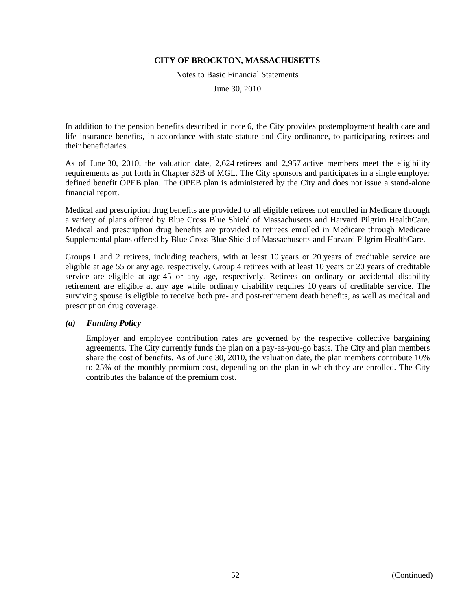Notes to Basic Financial Statements

June 30, 2010

In addition to the pension benefits described in note 6, the City provides postemployment health care and life insurance benefits, in accordance with state statute and City ordinance, to participating retirees and their beneficiaries.

As of June 30, 2010, the valuation date, 2,624 retirees and 2,957 active members meet the eligibility requirements as put forth in Chapter 32B of MGL. The City sponsors and participates in a single employer defined benefit OPEB plan. The OPEB plan is administered by the City and does not issue a stand-alone financial report.

Medical and prescription drug benefits are provided to all eligible retirees not enrolled in Medicare through a variety of plans offered by Blue Cross Blue Shield of Massachusetts and Harvard Pilgrim HealthCare. Medical and prescription drug benefits are provided to retirees enrolled in Medicare through Medicare Supplemental plans offered by Blue Cross Blue Shield of Massachusetts and Harvard Pilgrim HealthCare.

Groups 1 and 2 retirees, including teachers, with at least 10 years or 20 years of creditable service are eligible at age 55 or any age, respectively. Group 4 retirees with at least 10 years or 20 years of creditable service are eligible at age 45 or any age, respectively. Retirees on ordinary or accidental disability retirement are eligible at any age while ordinary disability requires 10 years of creditable service. The surviving spouse is eligible to receive both pre- and post-retirement death benefits, as well as medical and prescription drug coverage.

#### *(a) Funding Policy*

Employer and employee contribution rates are governed by the respective collective bargaining agreements. The City currently funds the plan on a pay-as-you-go basis. The City and plan members share the cost of benefits. As of June 30, 2010, the valuation date, the plan members contribute 10% to 25% of the monthly premium cost, depending on the plan in which they are enrolled. The City contributes the balance of the premium cost.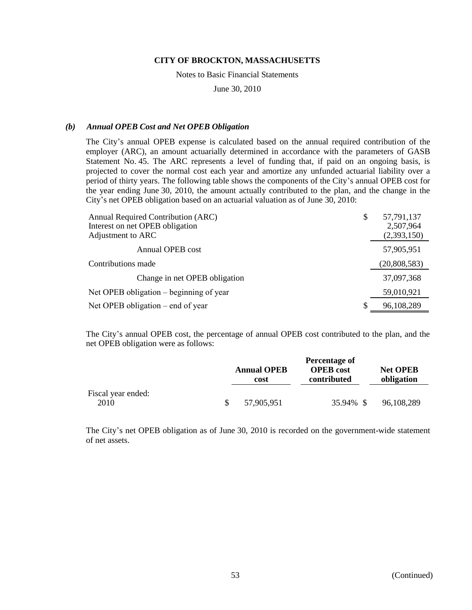#### Notes to Basic Financial Statements

June 30, 2010

#### *(b) Annual OPEB Cost and Net OPEB Obligation*

The City's annual OPEB expense is calculated based on the annual required contribution of the employer (ARC), an amount actuarially determined in accordance with the parameters of GASB Statement No. 45. The ARC represents a level of funding that, if paid on an ongoing basis, is projected to cover the normal cost each year and amortize any unfunded actuarial liability over a period of thirty years. The following table shows the components of the City's annual OPEB cost for the year ending June 30, 2010, the amount actually contributed to the plan, and the change in the City's net OPEB obligation based on an actuarial valuation as of June 30, 2010:

| Annual Required Contribution (ARC)<br>Interest on net OPEB obligation<br>Adjustment to ARC | \$<br>57,791,137<br>2,507,964<br>(2,393,150) |
|--------------------------------------------------------------------------------------------|----------------------------------------------|
| Annual OPEB cost                                                                           | 57,905,951                                   |
| Contributions made                                                                         | (20,808,583)                                 |
| Change in net OPEB obligation                                                              | 37,097,368                                   |
| Net OPEB obligation – beginning of year                                                    | 59,010,921                                   |
| Net OPEB obligation – end of year                                                          | 96,108,289                                   |

The City's annual OPEB cost, the percentage of annual OPEB cost contributed to the plan, and the net OPEB obligation were as follows:

|                    |                            | Percentage of                   |                               |  |
|--------------------|----------------------------|---------------------------------|-------------------------------|--|
|                    | <b>Annual OPEB</b><br>cost | <b>OPEB</b> cost<br>contributed | <b>Net OPEB</b><br>obligation |  |
| Fiscal year ended: |                            |                                 |                               |  |
| 2010               | 57,905,951                 | 35.94% \$                       | 96,108,289                    |  |

The City's net OPEB obligation as of June 30, 2010 is recorded on the government-wide statement of net assets.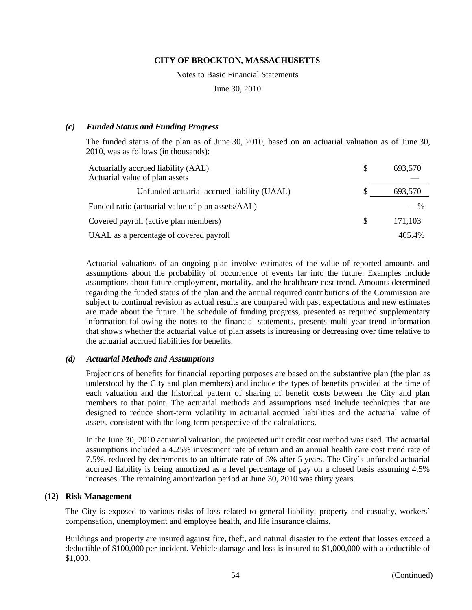Notes to Basic Financial Statements

June 30, 2010

#### *(c) Funded Status and Funding Progress*

The funded status of the plan as of June 30, 2010, based on an actuarial valuation as of June 30, 2010, was as follows (in thousands):

| Actuarially accrued liability (AAL)<br>Actuarial value of plan assets |          | 693,570 |
|-----------------------------------------------------------------------|----------|---------|
| Unfunded actuarial accrued liability (UAAL)                           | S        | 693,570 |
| Funded ratio (actuarial value of plan assets/AAL)                     |          | $-$ %   |
| Covered payroll (active plan members)                                 | <b>S</b> | 171.103 |
| UAAL as a percentage of covered payroll                               |          | 405.4%  |

Actuarial valuations of an ongoing plan involve estimates of the value of reported amounts and assumptions about the probability of occurrence of events far into the future. Examples include assumptions about future employment, mortality, and the healthcare cost trend. Amounts determined regarding the funded status of the plan and the annual required contributions of the Commission are subject to continual revision as actual results are compared with past expectations and new estimates are made about the future. The schedule of funding progress, presented as required supplementary information following the notes to the financial statements, presents multi-year trend information that shows whether the actuarial value of plan assets is increasing or decreasing over time relative to the actuarial accrued liabilities for benefits.

#### *(d) Actuarial Methods and Assumptions*

Projections of benefits for financial reporting purposes are based on the substantive plan (the plan as understood by the City and plan members) and include the types of benefits provided at the time of each valuation and the historical pattern of sharing of benefit costs between the City and plan members to that point. The actuarial methods and assumptions used include techniques that are designed to reduce short-term volatility in actuarial accrued liabilities and the actuarial value of assets, consistent with the long-term perspective of the calculations.

In the June 30, 2010 actuarial valuation, the projected unit credit cost method was used. The actuarial assumptions included a 4.25% investment rate of return and an annual health care cost trend rate of 7.5%, reduced by decrements to an ultimate rate of 5% after 5 years. The City's unfunded actuarial accrued liability is being amortized as a level percentage of pay on a closed basis assuming 4.5% increases. The remaining amortization period at June 30, 2010 was thirty years.

#### **(12) Risk Management**

The City is exposed to various risks of loss related to general liability, property and casualty, workers' compensation, unemployment and employee health, and life insurance claims.

Buildings and property are insured against fire, theft, and natural disaster to the extent that losses exceed a deductible of \$100,000 per incident. Vehicle damage and loss is insured to \$1,000,000 with a deductible of \$1,000.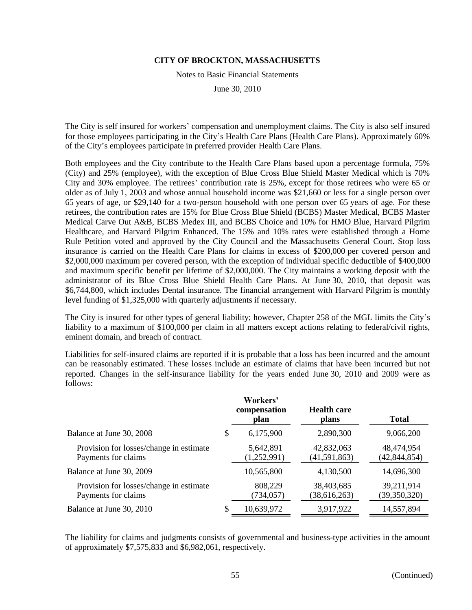Notes to Basic Financial Statements

June 30, 2010

The City is self insured for workers' compensation and unemployment claims. The City is also self insured for those employees participating in the City's Health Care Plans (Health Care Plans). Approximately 60% of the City's employees participate in preferred provider Health Care Plans.

Both employees and the City contribute to the Health Care Plans based upon a percentage formula, 75% (City) and 25% (employee), with the exception of Blue Cross Blue Shield Master Medical which is 70% City and 30% employee. The retirees' contribution rate is 25%, except for those retirees who were 65 or older as of July 1, 2003 and whose annual household income was \$21,660 or less for a single person over 65 years of age, or \$29,140 for a two-person household with one person over 65 years of age. For these retirees, the contribution rates are 15% for Blue Cross Blue Shield (BCBS) Master Medical, BCBS Master Medical Carve Out A&B, BCBS Medex III, and BCBS Choice and 10% for HMO Blue, Harvard Pilgrim Healthcare, and Harvard Pilgrim Enhanced. The 15% and 10% rates were established through a Home Rule Petition voted and approved by the City Council and the Massachusetts General Court. Stop loss insurance is carried on the Health Care Plans for claims in excess of \$200,000 per covered person and \$2,000,000 maximum per covered person, with the exception of individual specific deductible of \$400,000 and maximum specific benefit per lifetime of \$2,000,000. The City maintains a working deposit with the administrator of its Blue Cross Blue Shield Health Care Plans. At June 30, 2010, that deposit was \$6,744,800, which includes Dental insurance. The financial arrangement with Harvard Pilgrim is monthly level funding of \$1,325,000 with quarterly adjustments if necessary.

The City is insured for other types of general liability; however, Chapter 258 of the MGL limits the City's liability to a maximum of \$100,000 per claim in all matters except actions relating to federal/civil rights, eminent domain, and breach of contract.

Liabilities for self-insured claims are reported if it is probable that a loss has been incurred and the amount can be reasonably estimated. These losses include an estimate of claims that have been incurred but not reported. Changes in the self-insurance liability for the years ended June 30, 2010 and 2009 were as follows:

|                                                                |    | Workers'<br>compensation<br>plan | <b>Health care</b><br>plans  | <b>Total</b>                 |
|----------------------------------------------------------------|----|----------------------------------|------------------------------|------------------------------|
| Balance at June 30, 2008                                       | \$ | 6,175,900                        | 2,890,300                    | 9,066,200                    |
| Provision for losses/change in estimate<br>Payments for claims |    | 5,642,891<br>(1,252,991)         | 42,832,063<br>(41, 591, 863) | 48,474,954<br>(42, 844, 854) |
| Balance at June 30, 2009                                       |    | 10,565,800                       | 4,130,500                    | 14,696,300                   |
| Provision for losses/change in estimate<br>Payments for claims |    | 808,229<br>(734, 057)            | 38,403,685<br>(38, 616, 263) | 39,211,914<br>(39, 350, 320) |
| Balance at June 30, 2010                                       | S  | 10,639,972                       | 3,917,922                    | 14,557,894                   |

The liability for claims and judgments consists of governmental and business-type activities in the amount of approximately \$7,575,833 and \$6,982,061, respectively.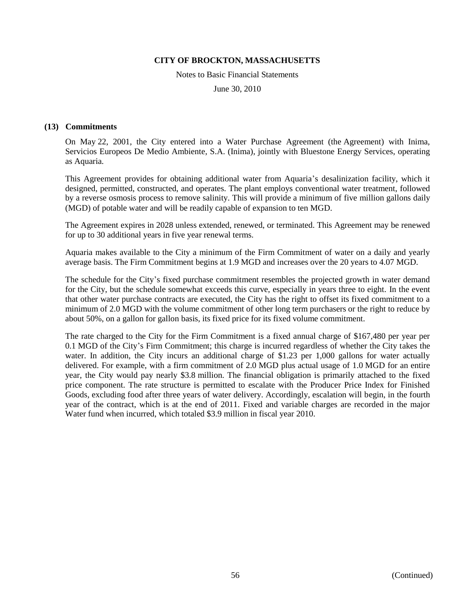Notes to Basic Financial Statements

June 30, 2010

#### **(13) Commitments**

On May 22, 2001, the City entered into a Water Purchase Agreement (the Agreement) with Inima, Servicios Europeos De Medio Ambiente, S.A. (Inima), jointly with Bluestone Energy Services, operating as Aquaria.

This Agreement provides for obtaining additional water from Aquaria's desalinization facility, which it designed, permitted, constructed, and operates. The plant employs conventional water treatment, followed by a reverse osmosis process to remove salinity. This will provide a minimum of five million gallons daily (MGD) of potable water and will be readily capable of expansion to ten MGD.

The Agreement expires in 2028 unless extended, renewed, or terminated. This Agreement may be renewed for up to 30 additional years in five year renewal terms.

Aquaria makes available to the City a minimum of the Firm Commitment of water on a daily and yearly average basis. The Firm Commitment begins at 1.9 MGD and increases over the 20 years to 4.07 MGD.

The schedule for the City's fixed purchase commitment resembles the projected growth in water demand for the City, but the schedule somewhat exceeds this curve, especially in years three to eight. In the event that other water purchase contracts are executed, the City has the right to offset its fixed commitment to a minimum of 2.0 MGD with the volume commitment of other long term purchasers or the right to reduce by about 50%, on a gallon for gallon basis, its fixed price for its fixed volume commitment.

The rate charged to the City for the Firm Commitment is a fixed annual charge of \$167,480 per year per 0.1 MGD of the City's Firm Commitment; this charge is incurred regardless of whether the City takes the water. In addition, the City incurs an additional charge of \$1.23 per 1,000 gallons for water actually delivered. For example, with a firm commitment of 2.0 MGD plus actual usage of 1.0 MGD for an entire year, the City would pay nearly \$3.8 million. The financial obligation is primarily attached to the fixed price component. The rate structure is permitted to escalate with the Producer Price Index for Finished Goods, excluding food after three years of water delivery. Accordingly, escalation will begin, in the fourth year of the contract, which is at the end of 2011. Fixed and variable charges are recorded in the major Water fund when incurred, which totaled \$3.9 million in fiscal year 2010.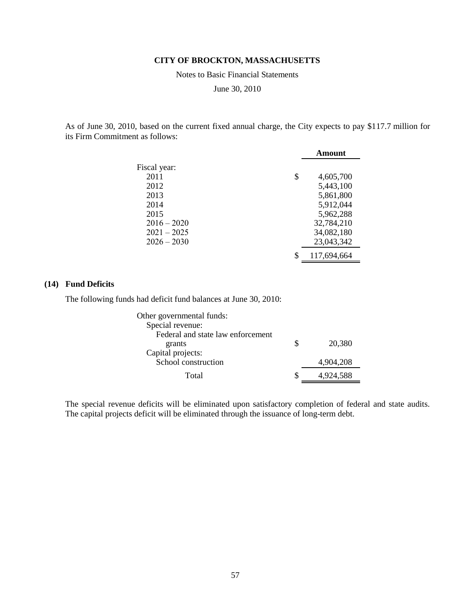Notes to Basic Financial Statements

June 30, 2010

As of June 30, 2010, based on the current fixed annual charge, the City expects to pay \$117.7 million for its Firm Commitment as follows:

|               | <b>Amount</b>     |
|---------------|-------------------|
| Fiscal year:  |                   |
| 2011          | \$<br>4,605,700   |
| 2012          | 5,443,100         |
| 2013          | 5,861,800         |
| 2014          | 5,912,044         |
| 2015          | 5,962,288         |
| $2016 - 2020$ | 32,784,210        |
| $2021 - 2025$ | 34,082,180        |
| $2026 - 2030$ | 23,043,342        |
|               | \$<br>117,694,664 |

### **(14) Fund Deficits**

The following funds had deficit fund balances at June 30, 2010:

| Other governmental funds:         |           |
|-----------------------------------|-----------|
| Special revenue:                  |           |
| Federal and state law enforcement |           |
| grants                            | 20,380    |
| Capital projects:                 |           |
| School construction               | 4,904,208 |
| Total                             | 4,924,588 |

The special revenue deficits will be eliminated upon satisfactory completion of federal and state audits. The capital projects deficit will be eliminated through the issuance of long-term debt.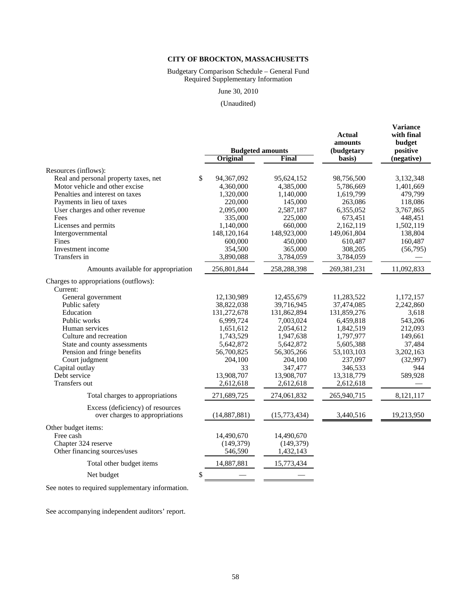#### Budgetary Comparison Schedule – General Fund Required Supplementary Information

#### June 30, 2010

#### (Unaudited)

**Variance**

| <b>Budgeted amounts</b><br>Final<br><b>Original</b><br>basis)<br>(negative)<br>Resources (inflows):<br>\$<br>Real and personal property taxes, net<br>94,367,092<br>95,624,152<br>98,756,500<br>Motor vehicle and other excise<br>4,360,000<br>4,385,000<br>5,786,669<br>Penalties and interest on taxes<br>1,320,000<br>1,140,000<br>1,619,799<br>Payments in lieu of taxes<br>220,000<br>145,000<br>263,086<br>2,587,187<br>3,767,865<br>User charges and other revenue<br>2,095,000<br>6,355,052<br>225,000<br>673,451<br>448,451<br>Fees<br>335,000<br>Licenses and permits<br>1,140,000<br>660,000<br>2,162,119<br>1,502,119<br>Intergovernmental<br>148,120,164<br>148,923,000<br>149,061,804<br>138,804<br>Fines<br>600,000<br>450,000<br>610,487<br>160,487<br>Investment income<br>354,500<br>365,000<br>308,205<br>Transfers in<br>3,890,088<br>3,784,059<br>3,784,059<br>256,801,844<br>258,288,398<br>269,381,231<br>Amounts available for appropriation<br>Charges to appropriations (outflows):<br>Current:<br>General government<br>12,130,989<br>12,455,679<br>11,283,522<br>Public safety<br>38,822,038<br>39,716,945<br>37,474,085<br>Education<br>131,859,276<br>131,272,678<br>131,862,894<br>Public works<br>6,999,724<br>7,003,024<br>6,459,818<br>Human services<br>1,651,612<br>2,054,612<br>1,842,519<br>Culture and recreation<br>1,743,529<br>1,947,638<br>1,797,977<br>State and county assessments<br>5,642,872<br>5,642,872<br>5,605,388<br>Pension and fringe benefits<br>56,700,825<br>56,305,266<br>53,103,103<br>Court judgment<br>204,100<br>237,097<br>204,100<br>Capital outlay<br>33<br>347,477<br>346,533<br>Debt service<br>13,908,707<br>13,908,707<br>13,318,779<br><b>Transfers</b> out<br>2,612,618<br>2,612,618<br>2,612,618<br>271,689,725<br>265,940,715<br>Total charges to appropriations<br>274,061,832<br>Excess (deficiency) of resources<br>over charges to appropriations<br>(14,887,881)<br>3,440,516<br>(15,773,434)<br>Other budget items:<br>Free cash<br>14,490,670<br>14,490,670<br>Chapter 324 reserve<br>(149, 379)<br>(149, 379)<br>546,590<br>1,432,143<br>Other financing sources/uses<br>14,887,881<br>15,773,434<br>Total other budget items |  |  | <b>Actual</b><br>amounts | with final<br>budget |
|-----------------------------------------------------------------------------------------------------------------------------------------------------------------------------------------------------------------------------------------------------------------------------------------------------------------------------------------------------------------------------------------------------------------------------------------------------------------------------------------------------------------------------------------------------------------------------------------------------------------------------------------------------------------------------------------------------------------------------------------------------------------------------------------------------------------------------------------------------------------------------------------------------------------------------------------------------------------------------------------------------------------------------------------------------------------------------------------------------------------------------------------------------------------------------------------------------------------------------------------------------------------------------------------------------------------------------------------------------------------------------------------------------------------------------------------------------------------------------------------------------------------------------------------------------------------------------------------------------------------------------------------------------------------------------------------------------------------------------------------------------------------------------------------------------------------------------------------------------------------------------------------------------------------------------------------------------------------------------------------------------------------------------------------------------------------------------------------------------------------------------------------------------------------------------------------------------------------|--|--|--------------------------|----------------------|
|                                                                                                                                                                                                                                                                                                                                                                                                                                                                                                                                                                                                                                                                                                                                                                                                                                                                                                                                                                                                                                                                                                                                                                                                                                                                                                                                                                                                                                                                                                                                                                                                                                                                                                                                                                                                                                                                                                                                                                                                                                                                                                                                                                                                                 |  |  | (budgetary               | positive             |
|                                                                                                                                                                                                                                                                                                                                                                                                                                                                                                                                                                                                                                                                                                                                                                                                                                                                                                                                                                                                                                                                                                                                                                                                                                                                                                                                                                                                                                                                                                                                                                                                                                                                                                                                                                                                                                                                                                                                                                                                                                                                                                                                                                                                                 |  |  |                          |                      |
|                                                                                                                                                                                                                                                                                                                                                                                                                                                                                                                                                                                                                                                                                                                                                                                                                                                                                                                                                                                                                                                                                                                                                                                                                                                                                                                                                                                                                                                                                                                                                                                                                                                                                                                                                                                                                                                                                                                                                                                                                                                                                                                                                                                                                 |  |  |                          |                      |
|                                                                                                                                                                                                                                                                                                                                                                                                                                                                                                                                                                                                                                                                                                                                                                                                                                                                                                                                                                                                                                                                                                                                                                                                                                                                                                                                                                                                                                                                                                                                                                                                                                                                                                                                                                                                                                                                                                                                                                                                                                                                                                                                                                                                                 |  |  |                          | 3,132,348            |
|                                                                                                                                                                                                                                                                                                                                                                                                                                                                                                                                                                                                                                                                                                                                                                                                                                                                                                                                                                                                                                                                                                                                                                                                                                                                                                                                                                                                                                                                                                                                                                                                                                                                                                                                                                                                                                                                                                                                                                                                                                                                                                                                                                                                                 |  |  |                          | 1,401,669            |
|                                                                                                                                                                                                                                                                                                                                                                                                                                                                                                                                                                                                                                                                                                                                                                                                                                                                                                                                                                                                                                                                                                                                                                                                                                                                                                                                                                                                                                                                                                                                                                                                                                                                                                                                                                                                                                                                                                                                                                                                                                                                                                                                                                                                                 |  |  |                          | 479,799              |
|                                                                                                                                                                                                                                                                                                                                                                                                                                                                                                                                                                                                                                                                                                                                                                                                                                                                                                                                                                                                                                                                                                                                                                                                                                                                                                                                                                                                                                                                                                                                                                                                                                                                                                                                                                                                                                                                                                                                                                                                                                                                                                                                                                                                                 |  |  |                          | 118,086              |
|                                                                                                                                                                                                                                                                                                                                                                                                                                                                                                                                                                                                                                                                                                                                                                                                                                                                                                                                                                                                                                                                                                                                                                                                                                                                                                                                                                                                                                                                                                                                                                                                                                                                                                                                                                                                                                                                                                                                                                                                                                                                                                                                                                                                                 |  |  |                          |                      |
|                                                                                                                                                                                                                                                                                                                                                                                                                                                                                                                                                                                                                                                                                                                                                                                                                                                                                                                                                                                                                                                                                                                                                                                                                                                                                                                                                                                                                                                                                                                                                                                                                                                                                                                                                                                                                                                                                                                                                                                                                                                                                                                                                                                                                 |  |  |                          |                      |
|                                                                                                                                                                                                                                                                                                                                                                                                                                                                                                                                                                                                                                                                                                                                                                                                                                                                                                                                                                                                                                                                                                                                                                                                                                                                                                                                                                                                                                                                                                                                                                                                                                                                                                                                                                                                                                                                                                                                                                                                                                                                                                                                                                                                                 |  |  |                          |                      |
|                                                                                                                                                                                                                                                                                                                                                                                                                                                                                                                                                                                                                                                                                                                                                                                                                                                                                                                                                                                                                                                                                                                                                                                                                                                                                                                                                                                                                                                                                                                                                                                                                                                                                                                                                                                                                                                                                                                                                                                                                                                                                                                                                                                                                 |  |  |                          |                      |
|                                                                                                                                                                                                                                                                                                                                                                                                                                                                                                                                                                                                                                                                                                                                                                                                                                                                                                                                                                                                                                                                                                                                                                                                                                                                                                                                                                                                                                                                                                                                                                                                                                                                                                                                                                                                                                                                                                                                                                                                                                                                                                                                                                                                                 |  |  |                          |                      |
|                                                                                                                                                                                                                                                                                                                                                                                                                                                                                                                                                                                                                                                                                                                                                                                                                                                                                                                                                                                                                                                                                                                                                                                                                                                                                                                                                                                                                                                                                                                                                                                                                                                                                                                                                                                                                                                                                                                                                                                                                                                                                                                                                                                                                 |  |  |                          | (56,795)             |
|                                                                                                                                                                                                                                                                                                                                                                                                                                                                                                                                                                                                                                                                                                                                                                                                                                                                                                                                                                                                                                                                                                                                                                                                                                                                                                                                                                                                                                                                                                                                                                                                                                                                                                                                                                                                                                                                                                                                                                                                                                                                                                                                                                                                                 |  |  |                          |                      |
|                                                                                                                                                                                                                                                                                                                                                                                                                                                                                                                                                                                                                                                                                                                                                                                                                                                                                                                                                                                                                                                                                                                                                                                                                                                                                                                                                                                                                                                                                                                                                                                                                                                                                                                                                                                                                                                                                                                                                                                                                                                                                                                                                                                                                 |  |  |                          | 11,092,833           |
|                                                                                                                                                                                                                                                                                                                                                                                                                                                                                                                                                                                                                                                                                                                                                                                                                                                                                                                                                                                                                                                                                                                                                                                                                                                                                                                                                                                                                                                                                                                                                                                                                                                                                                                                                                                                                                                                                                                                                                                                                                                                                                                                                                                                                 |  |  |                          |                      |
|                                                                                                                                                                                                                                                                                                                                                                                                                                                                                                                                                                                                                                                                                                                                                                                                                                                                                                                                                                                                                                                                                                                                                                                                                                                                                                                                                                                                                                                                                                                                                                                                                                                                                                                                                                                                                                                                                                                                                                                                                                                                                                                                                                                                                 |  |  |                          |                      |
|                                                                                                                                                                                                                                                                                                                                                                                                                                                                                                                                                                                                                                                                                                                                                                                                                                                                                                                                                                                                                                                                                                                                                                                                                                                                                                                                                                                                                                                                                                                                                                                                                                                                                                                                                                                                                                                                                                                                                                                                                                                                                                                                                                                                                 |  |  |                          | 1,172,157            |
|                                                                                                                                                                                                                                                                                                                                                                                                                                                                                                                                                                                                                                                                                                                                                                                                                                                                                                                                                                                                                                                                                                                                                                                                                                                                                                                                                                                                                                                                                                                                                                                                                                                                                                                                                                                                                                                                                                                                                                                                                                                                                                                                                                                                                 |  |  |                          | 2,242,860            |
|                                                                                                                                                                                                                                                                                                                                                                                                                                                                                                                                                                                                                                                                                                                                                                                                                                                                                                                                                                                                                                                                                                                                                                                                                                                                                                                                                                                                                                                                                                                                                                                                                                                                                                                                                                                                                                                                                                                                                                                                                                                                                                                                                                                                                 |  |  |                          | 3,618                |
|                                                                                                                                                                                                                                                                                                                                                                                                                                                                                                                                                                                                                                                                                                                                                                                                                                                                                                                                                                                                                                                                                                                                                                                                                                                                                                                                                                                                                                                                                                                                                                                                                                                                                                                                                                                                                                                                                                                                                                                                                                                                                                                                                                                                                 |  |  |                          | 543,206              |
|                                                                                                                                                                                                                                                                                                                                                                                                                                                                                                                                                                                                                                                                                                                                                                                                                                                                                                                                                                                                                                                                                                                                                                                                                                                                                                                                                                                                                                                                                                                                                                                                                                                                                                                                                                                                                                                                                                                                                                                                                                                                                                                                                                                                                 |  |  |                          | 212,093              |
|                                                                                                                                                                                                                                                                                                                                                                                                                                                                                                                                                                                                                                                                                                                                                                                                                                                                                                                                                                                                                                                                                                                                                                                                                                                                                                                                                                                                                                                                                                                                                                                                                                                                                                                                                                                                                                                                                                                                                                                                                                                                                                                                                                                                                 |  |  |                          | 149,661              |
|                                                                                                                                                                                                                                                                                                                                                                                                                                                                                                                                                                                                                                                                                                                                                                                                                                                                                                                                                                                                                                                                                                                                                                                                                                                                                                                                                                                                                                                                                                                                                                                                                                                                                                                                                                                                                                                                                                                                                                                                                                                                                                                                                                                                                 |  |  |                          | 37,484               |
|                                                                                                                                                                                                                                                                                                                                                                                                                                                                                                                                                                                                                                                                                                                                                                                                                                                                                                                                                                                                                                                                                                                                                                                                                                                                                                                                                                                                                                                                                                                                                                                                                                                                                                                                                                                                                                                                                                                                                                                                                                                                                                                                                                                                                 |  |  |                          | 3,202,163            |
|                                                                                                                                                                                                                                                                                                                                                                                                                                                                                                                                                                                                                                                                                                                                                                                                                                                                                                                                                                                                                                                                                                                                                                                                                                                                                                                                                                                                                                                                                                                                                                                                                                                                                                                                                                                                                                                                                                                                                                                                                                                                                                                                                                                                                 |  |  |                          | (32,997)             |
|                                                                                                                                                                                                                                                                                                                                                                                                                                                                                                                                                                                                                                                                                                                                                                                                                                                                                                                                                                                                                                                                                                                                                                                                                                                                                                                                                                                                                                                                                                                                                                                                                                                                                                                                                                                                                                                                                                                                                                                                                                                                                                                                                                                                                 |  |  |                          | 944                  |
|                                                                                                                                                                                                                                                                                                                                                                                                                                                                                                                                                                                                                                                                                                                                                                                                                                                                                                                                                                                                                                                                                                                                                                                                                                                                                                                                                                                                                                                                                                                                                                                                                                                                                                                                                                                                                                                                                                                                                                                                                                                                                                                                                                                                                 |  |  |                          | 589,928              |
|                                                                                                                                                                                                                                                                                                                                                                                                                                                                                                                                                                                                                                                                                                                                                                                                                                                                                                                                                                                                                                                                                                                                                                                                                                                                                                                                                                                                                                                                                                                                                                                                                                                                                                                                                                                                                                                                                                                                                                                                                                                                                                                                                                                                                 |  |  |                          |                      |
|                                                                                                                                                                                                                                                                                                                                                                                                                                                                                                                                                                                                                                                                                                                                                                                                                                                                                                                                                                                                                                                                                                                                                                                                                                                                                                                                                                                                                                                                                                                                                                                                                                                                                                                                                                                                                                                                                                                                                                                                                                                                                                                                                                                                                 |  |  |                          | 8,121,117            |
|                                                                                                                                                                                                                                                                                                                                                                                                                                                                                                                                                                                                                                                                                                                                                                                                                                                                                                                                                                                                                                                                                                                                                                                                                                                                                                                                                                                                                                                                                                                                                                                                                                                                                                                                                                                                                                                                                                                                                                                                                                                                                                                                                                                                                 |  |  |                          |                      |
|                                                                                                                                                                                                                                                                                                                                                                                                                                                                                                                                                                                                                                                                                                                                                                                                                                                                                                                                                                                                                                                                                                                                                                                                                                                                                                                                                                                                                                                                                                                                                                                                                                                                                                                                                                                                                                                                                                                                                                                                                                                                                                                                                                                                                 |  |  |                          | 19,213,950           |
|                                                                                                                                                                                                                                                                                                                                                                                                                                                                                                                                                                                                                                                                                                                                                                                                                                                                                                                                                                                                                                                                                                                                                                                                                                                                                                                                                                                                                                                                                                                                                                                                                                                                                                                                                                                                                                                                                                                                                                                                                                                                                                                                                                                                                 |  |  |                          |                      |
|                                                                                                                                                                                                                                                                                                                                                                                                                                                                                                                                                                                                                                                                                                                                                                                                                                                                                                                                                                                                                                                                                                                                                                                                                                                                                                                                                                                                                                                                                                                                                                                                                                                                                                                                                                                                                                                                                                                                                                                                                                                                                                                                                                                                                 |  |  |                          |                      |
|                                                                                                                                                                                                                                                                                                                                                                                                                                                                                                                                                                                                                                                                                                                                                                                                                                                                                                                                                                                                                                                                                                                                                                                                                                                                                                                                                                                                                                                                                                                                                                                                                                                                                                                                                                                                                                                                                                                                                                                                                                                                                                                                                                                                                 |  |  |                          |                      |
|                                                                                                                                                                                                                                                                                                                                                                                                                                                                                                                                                                                                                                                                                                                                                                                                                                                                                                                                                                                                                                                                                                                                                                                                                                                                                                                                                                                                                                                                                                                                                                                                                                                                                                                                                                                                                                                                                                                                                                                                                                                                                                                                                                                                                 |  |  |                          |                      |
|                                                                                                                                                                                                                                                                                                                                                                                                                                                                                                                                                                                                                                                                                                                                                                                                                                                                                                                                                                                                                                                                                                                                                                                                                                                                                                                                                                                                                                                                                                                                                                                                                                                                                                                                                                                                                                                                                                                                                                                                                                                                                                                                                                                                                 |  |  |                          |                      |
| \$<br>Net budget                                                                                                                                                                                                                                                                                                                                                                                                                                                                                                                                                                                                                                                                                                                                                                                                                                                                                                                                                                                                                                                                                                                                                                                                                                                                                                                                                                                                                                                                                                                                                                                                                                                                                                                                                                                                                                                                                                                                                                                                                                                                                                                                                                                                |  |  |                          |                      |

See notes to required supplementary information.

See accompanying independent auditors' report.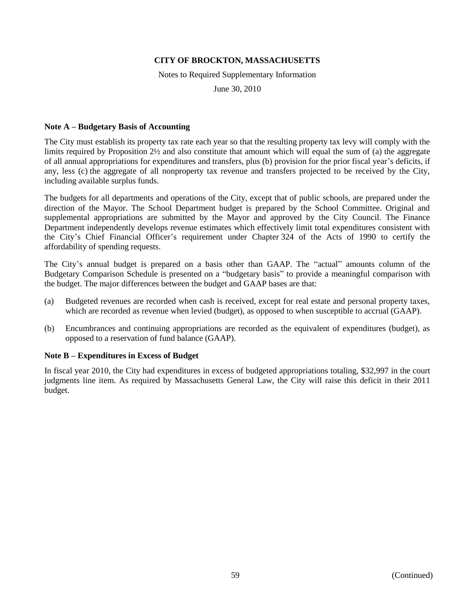Notes to Required Supplementary Information

June 30, 2010

#### **Note A – Budgetary Basis of Accounting**

The City must establish its property tax rate each year so that the resulting property tax levy will comply with the limits required by Proposition 2½ and also constitute that amount which will equal the sum of (a) the aggregate of all annual appropriations for expenditures and transfers, plus (b) provision for the prior fiscal year's deficits, if any, less (c) the aggregate of all nonproperty tax revenue and transfers projected to be received by the City, including available surplus funds.

The budgets for all departments and operations of the City, except that of public schools, are prepared under the direction of the Mayor. The School Department budget is prepared by the School Committee. Original and supplemental appropriations are submitted by the Mayor and approved by the City Council. The Finance Department independently develops revenue estimates which effectively limit total expenditures consistent with the City's Chief Financial Officer's requirement under Chapter 324 of the Acts of 1990 to certify the affordability of spending requests.

The City's annual budget is prepared on a basis other than GAAP. The "actual" amounts column of the Budgetary Comparison Schedule is presented on a "budgetary basis" to provide a meaningful comparison with the budget. The major differences between the budget and GAAP bases are that:

- (a) Budgeted revenues are recorded when cash is received, except for real estate and personal property taxes, which are recorded as revenue when levied (budget), as opposed to when susceptible to accrual (GAAP).
- (b) Encumbrances and continuing appropriations are recorded as the equivalent of expenditures (budget), as opposed to a reservation of fund balance (GAAP).

#### **Note B – Expenditures in Excess of Budget**

In fiscal year 2010, the City had expenditures in excess of budgeted appropriations totaling, \$32,997 in the court judgments line item. As required by Massachusetts General Law, the City will raise this deficit in their 2011 budget.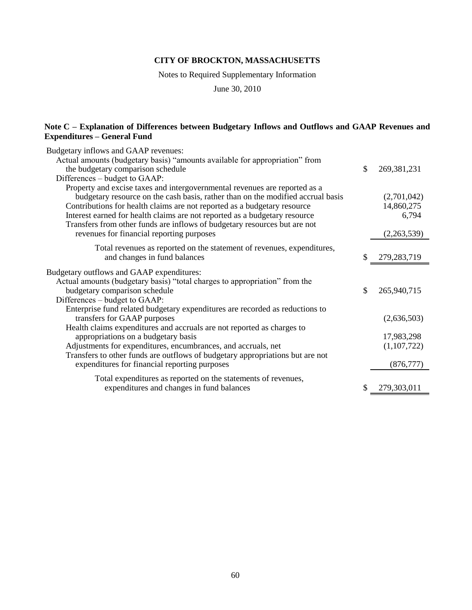Notes to Required Supplementary Information

June 30, 2010

### **Note C – Explanation of Differences between Budgetary Inflows and Outflows and GAAP Revenues and Expenditures – General Fund**

| Budgetary inflows and GAAP revenues:                                            |              |               |
|---------------------------------------------------------------------------------|--------------|---------------|
| Actual amounts (budgetary basis) "amounts available for appropriation" from     |              |               |
| the budgetary comparison schedule                                               | $\mathbb{S}$ | 269,381,231   |
| Differences – budget to GAAP:                                                   |              |               |
| Property and excise taxes and intergovernmental revenues are reported as a      |              |               |
| budgetary resource on the cash basis, rather than on the modified accrual basis |              | (2,701,042)   |
| Contributions for health claims are not reported as a budgetary resource        |              | 14,860,275    |
| Interest earned for health claims are not reported as a budgetary resource      |              | 6,794         |
| Transfers from other funds are inflows of budgetary resources but are not       |              |               |
| revenues for financial reporting purposes                                       |              | (2,263,539)   |
| Total revenues as reported on the statement of revenues, expenditures,          |              |               |
| and changes in fund balances                                                    |              | 279, 283, 719 |
|                                                                                 |              |               |
| Budgetary outflows and GAAP expenditures:                                       |              |               |
| Actual amounts (budgetary basis) "total charges to appropriation" from the      |              |               |
| budgetary comparison schedule                                                   | \$           | 265,940,715   |
| Differences – budget to GAAP:                                                   |              |               |
| Enterprise fund related budgetary expenditures are recorded as reductions to    |              |               |
| transfers for GAAP purposes                                                     |              | (2,636,503)   |
| Health claims expenditures and accruals are not reported as charges to          |              |               |
| appropriations on a budgetary basis                                             |              | 17,983,298    |
| Adjustments for expenditures, encumbrances, and accruals, net                   |              | (1,107,722)   |
| Transfers to other funds are outflows of budgetary appropriations but are not   |              |               |
| expenditures for financial reporting purposes                                   |              | (876, 777)    |
| Total expenditures as reported on the statements of revenues,                   |              |               |
| expenditures and changes in fund balances                                       | \$           | 279,303,011   |